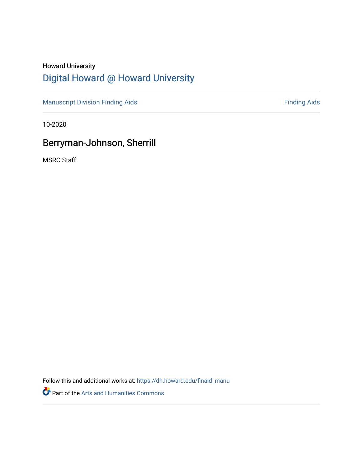# Howard University [Digital Howard @ Howard University](https://dh.howard.edu/)

[Manuscript Division Finding Aids](https://dh.howard.edu/finaid_manu) **Finding Aids** Finding Aids

10-2020

# Berryman-Johnson, Sherrill

MSRC Staff

Follow this and additional works at: [https://dh.howard.edu/finaid\\_manu](https://dh.howard.edu/finaid_manu?utm_source=dh.howard.edu%2Ffinaid_manu%2F274&utm_medium=PDF&utm_campaign=PDFCoverPages) 

Part of the [Arts and Humanities Commons](http://network.bepress.com/hgg/discipline/438?utm_source=dh.howard.edu%2Ffinaid_manu%2F274&utm_medium=PDF&utm_campaign=PDFCoverPages)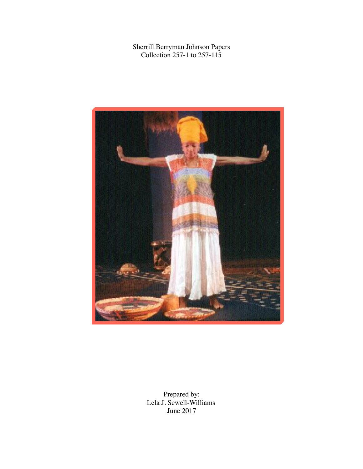Sherrill Berryman Johnson Papers Collection 257-1 to 257-115



Prepared by: Lela J. Sewell-Williams June 2017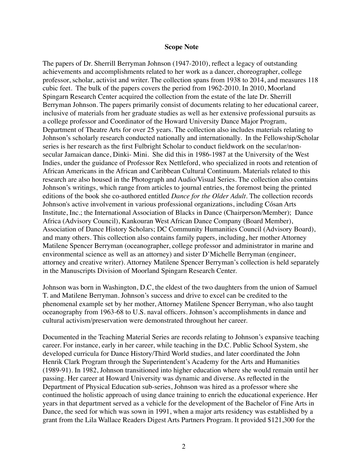#### **Scope Note**

The papers of Dr. Sherrill Berryman Johnson (1947-2010), reflect a legacy of outstanding achievements and accomplishments related to her work as a dancer, choreographer, college professor, scholar, activist and writer. The collection spans from 1938 to 2014, and measures 118 cubic feet. The bulk of the papers covers the period from 1962-2010. In 2010, Moorland Spingarn Research Center acquired the collection from the estate of the late Dr. Sherrill Berryman Johnson. The papers primarily consist of documents relating to her educational career, inclusive of materials from her graduate studies as well as her extensive professional pursuits as a college professor and Coordinator of the Howard University Dance Major Program, Department of Theatre Arts for over 25 years. The collection also includes materials relating to Johnson's scholarly research conducted nationally and internationally. In the Fellowship/Scholar series is her research as the first Fulbright Scholar to conduct fieldwork on the secular/nonsecular Jamaican dance, Dinki- Mini. She did this in 1986-1987 at the University of the West Indies, under the guidance of Professor Rex Nettleford, who specialized in roots and retention of African Americans in the African and Caribbean Cultural Continuum. Materials related to this research are also housed in the Photograph and Audio/Visual Series. The collection also contains Johnson's writings, which range from articles to journal entries, the foremost being the printed editions of the book she co-authored entitled *Dance for the Older Adult.* The collection records Johnson's active involvement in various professional organizations, including Cósan Arts Institute, Inc.; the International Association of Blacks in Dance (Chairperson/Member); Dance Africa (Advisory Council), Kankouran West African Dance Company (Board Member), Association of Dance History Scholars; DC Community Humanities Council (Advisory Board), and many others. This collection also contains family papers, including, her mother Attorney Matilene Spencer Berryman (oceanographer, college professor and administrator in marine and environmental science as well as an attorney) and sister D'Michelle Berryman (engineer, attorney and creative writer). Attorney Matilene Spencer Berryman's collection is held separately in the Manuscripts Division of Moorland Spingarn Research Center.

Johnson was born in Washington, D.C, the eldest of the two daughters from the union of Samuel T. and Matilene Berryman. Johnson's success and drive to excel can be credited to the phenomenal example set by her mother, Attorney Matilene Spencer Berryman, who also taught oceanography from 1963-68 to U.S. naval officers. Johnson's accomplishments in dance and cultural activism/preservation were demonstrated throughout her career.

Documented in the Teaching Material Series are records relating to Johnson's expansive teaching career. For instance, early in her career, while teaching in the D.C. Public School System, she developed curricula for Dance History/Third World studies, and later coordinated the John Henrik Clark Program through the Superintendent's Academy for the Arts and Humanities (1989-91). In 1982, Johnson transitioned into higher education where she would remain until her passing. Her career at Howard University was dynamic and diverse. As reflected in the Department of Physical Education sub-series, Johnson was hired as a professor where she continued the holistic approach of using dance training to enrich the educational experience. Her years in that department served as a vehicle for the development of the Bachelor of Fine Arts in Dance, the seed for which was sown in 1991, when a major arts residency was established by a grant from the Lila Wallace Readers Digest Arts Partners Program. It provided \$121,300 for the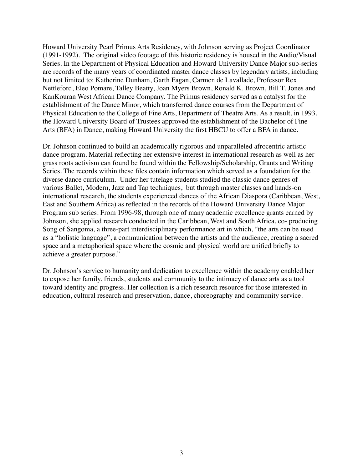Howard University Pearl Primus Arts Residency, with Johnson serving as Project Coordinator (1991-1992). The original video footage of this historic residency is housed in the Audio/Visual Series. In the Department of Physical Education and Howard University Dance Major sub-series are records of the many years of coordinated master dance classes by legendary artists, including but not limited to: Katherine Dunham, Garth Fagan, Carmen de Lavallade, Professor Rex Nettleford, Eleo Pomare, Talley Beatty, Joan Myers Brown, Ronald K. Brown, Bill T. Jones and KanKouran West African Dance Company. The Primus residency served as a catalyst for the establishment of the Dance Minor, which transferred dance courses from the Department of Physical Education to the College of Fine Arts, Department of Theatre Arts. As a result, in 1993, the Howard University Board of Trustees approved the establishment of the Bachelor of Fine Arts (BFA) in Dance, making Howard University the first HBCU to offer a BFA in dance.

Dr. Johnson continued to build an academically rigorous and unparalleled afrocentric artistic dance program. Material reflecting her extensive interest in international research as well as her grass roots activism can found be found within the Fellowship/Scholarship, Grants and Writing Series. The records within these files contain information which served as a foundation for the diverse dance curriculum. Under her tutelage students studied the classic dance genres of various Ballet, Modern, Jazz and Tap techniques, but through master classes and hands-on international research, the students experienced dances of the African Diaspora (Caribbean, West, East and Southern Africa) as reflected in the records of the Howard University Dance Major Program sub series. From 1996-98, through one of many academic excellence grants earned by Johnson, she applied research conducted in the Caribbean, West and South Africa, co- producing Song of Sangoma, a three-part interdisciplinary performance art in which, "the arts can be used as a "holistic language", a communication between the artists and the audience, creating a sacred space and a metaphorical space where the cosmic and physical world are unified briefly to achieve a greater purpose."

Dr. Johnson's service to humanity and dedication to excellence within the academy enabled her to expose her family, friends, students and community to the intimacy of dance arts as a tool toward identity and progress. Her collection is a rich research resource for those interested in education, cultural research and preservation, dance, choreography and community service.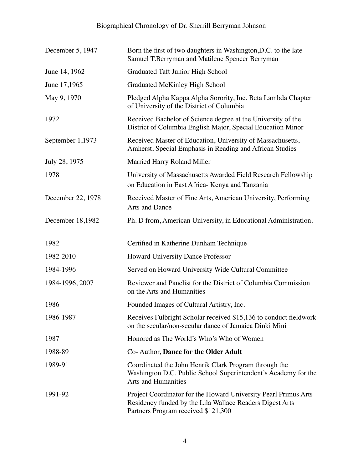| December 5, 1947  | Born the first of two daughters in Washington, D.C. to the late<br>Samuel T.Berryman and Matilene Spencer Berryman                                                 |
|-------------------|--------------------------------------------------------------------------------------------------------------------------------------------------------------------|
| June 14, 1962     | Graduated Taft Junior High School                                                                                                                                  |
| June 17,1965      | <b>Graduated McKinley High School</b>                                                                                                                              |
| May 9, 1970       | Pledged Alpha Kappa Alpha Sorority, Inc. Beta Lambda Chapter<br>of University of the District of Columbia                                                          |
| 1972              | Received Bachelor of Science degree at the University of the<br>District of Columbia English Major, Special Education Minor                                        |
| September 1,1973  | Received Master of Education, University of Massachusetts,<br>Amherst, Special Emphasis in Reading and African Studies                                             |
| July 28, 1975     | Married Harry Roland Miller                                                                                                                                        |
| 1978              | University of Massachusetts Awarded Field Research Fellowship<br>on Education in East Africa- Kenya and Tanzania                                                   |
| December 22, 1978 | Received Master of Fine Arts, American University, Performing<br><b>Arts and Dance</b>                                                                             |
| December 18,1982  | Ph. D from, American University, in Educational Administration.                                                                                                    |
| 1982              | Certified in Katherine Dunham Technique                                                                                                                            |
| 1982-2010         | <b>Howard University Dance Professor</b>                                                                                                                           |
| 1984-1996         | Served on Howard University Wide Cultural Committee                                                                                                                |
| 1984-1996, 2007   | Reviewer and Panelist for the District of Columbia Commission<br>on the Arts and Humanities                                                                        |
| 1986              | Founded Images of Cultural Artistry, Inc.                                                                                                                          |
| 1986-1987         | Receives Fulbright Scholar received \$15,136 to conduct fieldwork<br>on the secular/non-secular dance of Jamaica Dinki Mini                                        |
| 1987              | Honored as The World's Who's Who of Women                                                                                                                          |
| 1988-89           | Co-Author, Dance for the Older Adult                                                                                                                               |
| 1989-91           | Coordinated the John Henrik Clark Program through the<br>Washington D.C. Public School Superintendent's Academy for the<br><b>Arts and Humanities</b>              |
| 1991-92           | Project Coordinator for the Howard University Pearl Primus Arts<br>Residency funded by the Lila Wallace Readers Digest Arts<br>Partners Program received \$121,300 |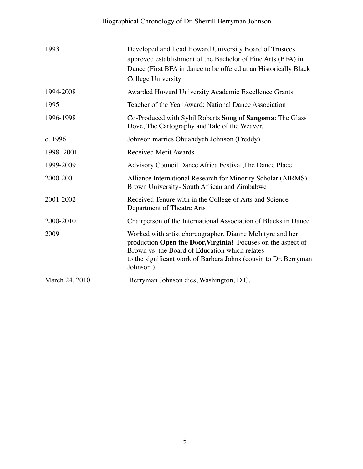# Biographical Chronology of Dr. Sherrill Berryman Johnson

| 1993           | Developed and Lead Howard University Board of Trustees<br>approved establishment of the Bachelor of Fine Arts (BFA) in<br>Dance (First BFA in dance to be offered at an Historically Black)<br>College University                                            |
|----------------|--------------------------------------------------------------------------------------------------------------------------------------------------------------------------------------------------------------------------------------------------------------|
| 1994-2008      | Awarded Howard University Academic Excellence Grants                                                                                                                                                                                                         |
| 1995           | Teacher of the Year Award; National Dance Association                                                                                                                                                                                                        |
| 1996-1998      | Co-Produced with Sybil Roberts Song of Sangoma: The Glass<br>Dove, The Cartography and Tale of the Weaver.                                                                                                                                                   |
| c. 1996        | Johnson marries Ohuahdyah Johnson (Freddy)                                                                                                                                                                                                                   |
| 1998-2001      | <b>Received Merit Awards</b>                                                                                                                                                                                                                                 |
| 1999-2009      | Advisory Council Dance Africa Festival, The Dance Place                                                                                                                                                                                                      |
| 2000-2001      | Alliance International Research for Minority Scholar (AIRMS)<br>Brown University- South African and Zimbabwe                                                                                                                                                 |
| 2001-2002      | Received Tenure with in the College of Arts and Science-<br>Department of Theatre Arts                                                                                                                                                                       |
| 2000-2010      | Chairperson of the International Association of Blacks in Dance                                                                                                                                                                                              |
| 2009           | Worked with artist choreographer, Dianne McIntyre and her<br>production Open the Door, Virginia! Focuses on the aspect of<br>Brown vs. the Board of Education which relates<br>to the significant work of Barbara Johns (cousin to Dr. Berryman<br>Johnson). |
| March 24, 2010 | Berryman Johnson dies, Washington, D.C.                                                                                                                                                                                                                      |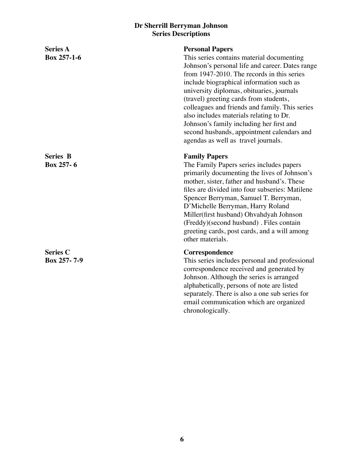| <b>Series A</b><br><b>Box 257-1-6</b>  | <b>Personal Papers</b><br>This series contains material documenting<br>Johnson's personal life and career. Dates range<br>from 1947-2010. The records in this series<br>include biographical information such as<br>university diplomas, obituaries, journals<br>(travel) greeting cards from students,<br>colleagues and friends and family. This series<br>also includes materials relating to Dr.<br>Johnson's family including her first and<br>second husbands, appointment calendars and<br>agendas as well as travel journals. |
|----------------------------------------|---------------------------------------------------------------------------------------------------------------------------------------------------------------------------------------------------------------------------------------------------------------------------------------------------------------------------------------------------------------------------------------------------------------------------------------------------------------------------------------------------------------------------------------|
| <b>Series B</b><br><b>Box 257-6</b>    | <b>Family Papers</b><br>The Family Papers series includes papers<br>primarily documenting the lives of Johnson's<br>mother, sister, father and husband's. These<br>files are divided into four subseries: Matilene<br>Spencer Berryman, Samuel T. Berryman,<br>D'Michelle Berryman, Harry Roland<br>Miller(first husband) Ohvahdyah Johnson<br>(Freddy)(second husband) . Files contain<br>greeting cards, post cards, and a will among<br>other materials.                                                                           |
| <b>Series C</b><br><b>Box 257-7--9</b> | Correspondence<br>This series includes personal and professional<br>correspondence received and generated by<br>Johnson. Although the series is arranged<br>alphabetically, persons of note are listed<br>separately. There is also a one sub series for<br>email communication which are organized<br>chronologically.                                                                                                                                                                                                               |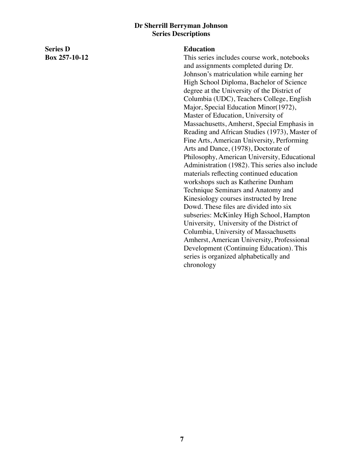**Series D Box 257-10-12**

#### **Education**

This series includes course work, notebooks and assignments completed during Dr. Johnson's matriculation while earning her High School Diploma, Bachelor of Science degree at the University of the District of Columbia (UDC), Teachers College, English Major, Special Education Minor(1972), Master of Education, University of Massachusetts, Amherst, Special Emphasis in Reading and African Studies (1973), Master of Fine Arts, American University, Performing Arts and Dance, (1978), Doctorate of Philosophy, American University, Educational Administration (1982). This series also include materials reflecting continued education workshops such as Katherine Dunham Technique Seminars and Anatomy and Kinesiology courses instructed by Irene Dowd. These files are divided into six subseries: McKinley High School, Hampton University, University of the District of Columbia, University of Massachusetts Amherst, American University, Professional Development (Continuing Education). This series is organized alphabetically and chronology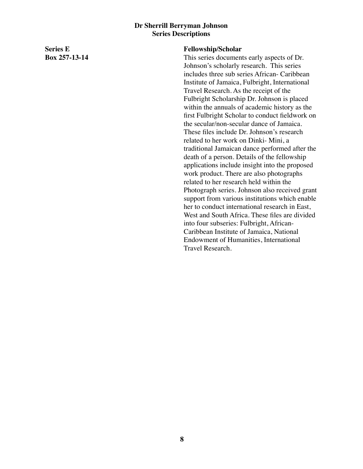**Series E Box 257-13-14**

#### **Fellowship/Scholar**

This series documents early aspects of Dr. Johnson's scholarly research. This series includes three sub series African- Caribbean Institute of Jamaica, Fulbright, International Travel Research. As the receipt of the Fulbright Scholarship Dr. Johnson is placed within the annuals of academic history as the first Fulbright Scholar to conduct fieldwork on the secular/non-secular dance of Jamaica. These files include Dr. Johnson's research related to her work on Dinki- Mini, a traditional Jamaican dance performed after the death of a person. Details of the fellowship applications include insight into the proposed work product. There are also photographs related to her research held within the Photograph series. Johnson also received grant support from various institutions which enable her to conduct international research in East, West and South Africa. These files are divided into four subseries: Fulbright, African-Caribbean Institute of Jamaica, National Endowment of Humanities, International Travel Research.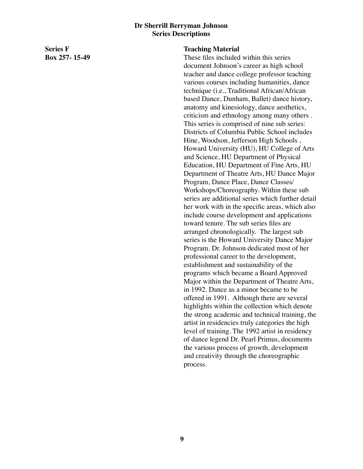**Series F Box 257- 15-49**

#### **Teaching Material**

These files included within this series document Johnson's career as high school teacher and dance college professor teaching various courses including humanities, dance technique (i.e., Traditional African/African based Dance, Dunham, Ballet) dance history, anatomy and kinesiology, dance aesthetics, criticism and ethnology among many others . This series is comprised of nine sub series: Districts of Columbia Public School includes Hine, Woodson, Jefferson High Schools , Howard University (HU), HU College of Arts and Science, HU Department of Physical Education, HU Department of Fine Arts, HU Department of Theatre Arts, HU Dance Major Program, Dance Place, Dance Classes/ Workshops/Choreography. Within these sub series are additional series which further detail her work with in the specific areas, which also include course development and applications toward tenure. The sub series files are arranged chronologically. The largest sub series is the Howard University Dance Major Program. Dr. Johnson dedicated most of her professional career to the development, establishment and sustainability of the programs which became a Board Approved Major within the Department of Theatre Arts, in 1992. Dance as a minor became to be offered in 1991. Although there are several highlights within the collection which denote the strong academic and technical training, the artist in residencies truly categories the high level of training. The 1992 artist in residency of dance legend Dr. Pearl Primus, documents the various process of growth, development and creativity through the choreographic process.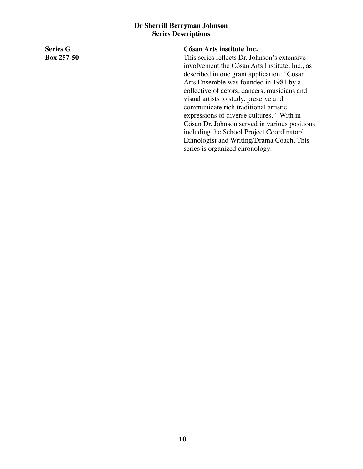**Series G Box 257-50**

#### **Cósan Arts institute Inc.**

This series reflects Dr. Johnson's extensive involvement the Cósan Arts Institute, Inc., as described in one grant application: "Cosan Arts Ensemble was founded in 1981 by a collective of actors, dancers, musicians and visual artists to study, preserve and communicate rich traditional artistic expressions of diverse cultures." With in Cósan Dr. Johnson served in various positions including the School Project Coordinator/ Ethnologist and Writing/Drama Coach. This series is organized chronology.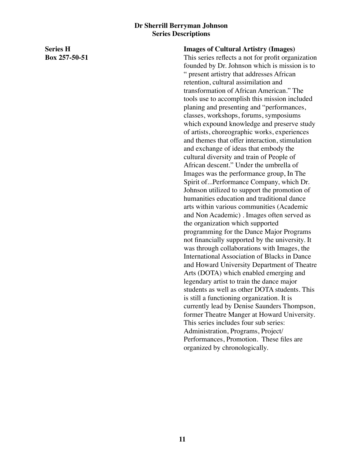**Series H Box 257-50-51** **Images of Cultural Artistry (Images)**

This series reflects a not for profit organization founded by Dr. Johnson which is mission is to " present artistry that addresses African retention, cultural assimilation and transformation of African American." The tools use to accomplish this mission included planing and presenting and "performances, classes, workshops, forums, symposiums which expound knowledge and preserve study of artists, choreographic works, experiences and themes that offer interaction, stimulation and exchange of ideas that embody the cultural diversity and train of People of African descent." Under the umbrella of Images was the performance group, In The Spirit of...Performance Company, which Dr. Johnson utilized to support the promotion of humanities education and traditional dance arts within various communities (Academic and Non Academic) . Images often served as the organization which supported programming for the Dance Major Programs not financially supported by the university. It was through collaborations with Images, the International Association of Blacks in Dance and Howard University Department of Theatre Arts (DOTA) which enabled emerging and legendary artist to train the dance major students as well as other DOTA students. This is still a functioning organization. It is currently lead by Denise Saunders Thompson, former Theatre Manger at Howard University. This series includes four sub series: Administration, Programs, Project/ Performances, Promotion. These files are organized by chronologically.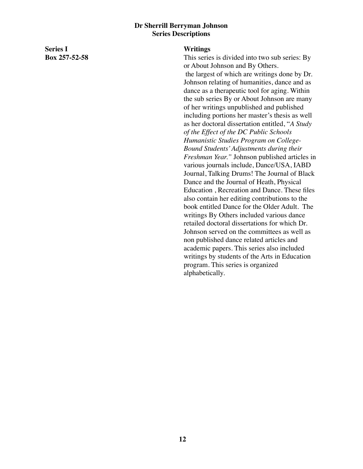**Series I Box 257-52-58**

#### **Writings**

This series is divided into two sub series: By or About Johnson and By Others. the largest of which are writings done by Dr. Johnson relating of humanities, dance and as dance as a therapeutic tool for aging. Within the sub series By or About Johnson are many of her writings unpublished and published including portions her master's thesis as well as her doctoral dissertation entitled, "*A Study of the Effect of the DC Public Schools Humanistic Studies Program on College-Bound Students' Adjustments during their Freshman Year."* Johnson published articles in various journals include, Dance/USA, IABD Journal, Talking Drums! The Journal of Black Dance and the Journal of Heath, Physical Education , Recreation and Dance. These files also contain her editing contributions to the book entitled Dance for the Older Adult. The writings By Others included various dance retailed doctoral dissertations for which Dr. Johnson served on the committees as well as non published dance related articles and academic papers. This series also included writings by students of the Arts in Education program. This series is organized alphabetically.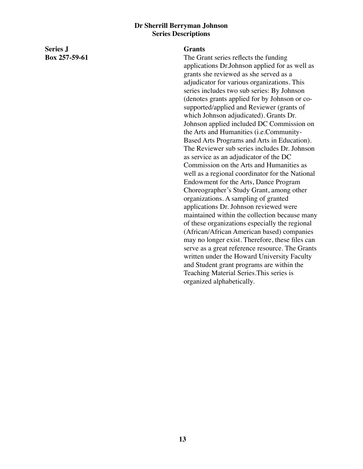**Series J Box 257-59-61**

#### **Grants**

The Grant series reflects the funding applications Dr.Johnson applied for as well as grants she reviewed as she served as a adjudicator for various organizations. This series includes two sub series: By Johnson (denotes grants applied for by Johnson or cosupported/applied and Reviewer (grants of which Johnson adjudicated). Grants Dr. Johnson applied included DC Commission on the Arts and Humanities (i.e.Community-Based Arts Programs and Arts in Education). The Reviewer sub series includes Dr. Johnson as service as an adjudicator of the DC Commission on the Arts and Humanities as well as a regional coordinator for the National Endowment for the Arts, Dance Program Choreographer's Study Grant, among other organizations. A sampling of granted applications Dr. Johnson reviewed were maintained within the collection because many of these organizations especially the regional (African/African American based) companies may no longer exist. Therefore, these files can serve as a great reference resource. The Grants written under the Howard University Faculty and Student grant programs are within the Teaching Material Series.This series is organized alphabetically.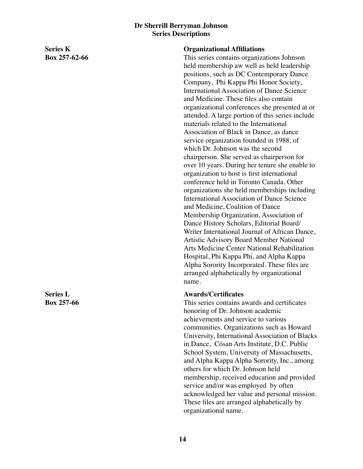**Series K Box 257-62-66**

**Series L Box 257-66**

#### **Organizational Affiliations**

This series contains organizations Johnson held membership aw well as held leadership positions, such as DC Contemporary Dance Company, Phi Kappa Phi Honor Society, International Association of Dance Science and Medicine. These files also contain organizational conferences she presented at or attended. A large portion of this series include materials related to the International Association of Black in Dance, as dance service organization founded in 1988, of which Dr. Johnson was the second chairperson. She served as chairperson for over 10 years. During her tenure she enable to organization to host is first international conference held in Toronto Canada. Other organizations she held memberships including International Association of Dance Science and Medicine, Coalition of Dance Membership Organization, Association of Dance History Scholars, Editorial Board/ Writer International Journal of African Dance, Artistic Advisory Board Member National Arts Medicine Center National Rehabilitation Hospital, Phi Kappa Phi, and Alpha Kappa Alpha Sorority Incorporated. These files are arranged alphabetically by organizational name.

#### **Awards/Certificates**

This series contains awards and certificates honoring of Dr. Johnson academic achievements and service to various communities. Organizations such as Howard University, International Association of Blacks in Dance, Cósan Arts Institute, D.C. Public School System, University of Massachusetts, and Alpha Kappa Alpha Sorority, Inc., among others for which Dr. Johnson held membership, received education and provided service and/or was employed by often acknowledged her value and personal mission. These files are arranged alphabetically by organizational name.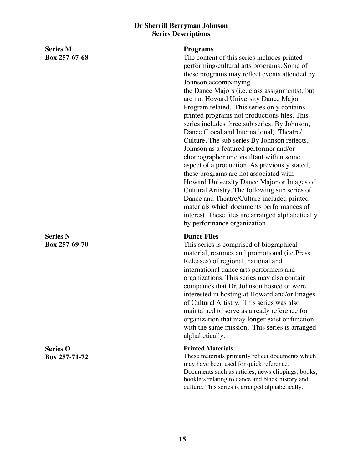**Series M Box 257-67-68**

**Series N Box 257-69-70**

**Series O Box 257-71-72**

#### **Programs**

The content of this series includes printed performing/cultural arts programs. Some of these programs may reflect events attended by Johnson accompanying the Dance Majors (i.e. class assignments), but are not Howard University Dance Major Program related. This series only contains printed programs not productions files. This series includes three sub series: By Johnson, Dance (Local and International), Theatre/ Culture. The sub series By Johnson reflects, Johnson as a featured performer and/or choreographer or consultant within some aspect of a production. As previously stated, these programs are not associated with Howard University Dance Major or Images of Cultural Artistry. The following sub series of Dance and Theatre/Culture included printed materials which documents performances of interest. These files are arranged alphabetically by performance organization.

#### **Dance Files**

This series is comprised of biographical material, resumes and promotional (i.e.Press Releases) of regional, national and international dance arts performers and organizations. This series may also contain companies that Dr. Johnson hosted or were interested in hosting at Howard and/or Images of Cultural Artistry. This series was also maintained to serve as a ready reference for organization that may longer exist or function with the same mission. This series is arranged alphabetically.

#### **Printed Materials**

These materials primarily reflect documents which may have been used for quick reference. Documents such as articles, news clippings, books, booklets relating to dance and black history and culture. This series is arranged alphabetically.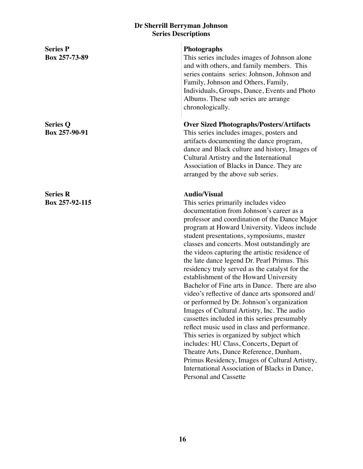| <b>Series P</b><br>Box 257-73-89  | Photographs<br>This series includes images of Johnson alone<br>and with others, and family members. This<br>series contains series: Johnson, Johnson and<br>Family, Johnson and Others, Family,<br>Individuals, Groups, Dance, Events and Photo<br>Albums. These sub series are arrange<br>chronologically.                                                                                                                                                                                                                                                                                                                                                                                                                                                                                                                                                                                                                                                                                                                                                                |
|-----------------------------------|----------------------------------------------------------------------------------------------------------------------------------------------------------------------------------------------------------------------------------------------------------------------------------------------------------------------------------------------------------------------------------------------------------------------------------------------------------------------------------------------------------------------------------------------------------------------------------------------------------------------------------------------------------------------------------------------------------------------------------------------------------------------------------------------------------------------------------------------------------------------------------------------------------------------------------------------------------------------------------------------------------------------------------------------------------------------------|
| <b>Series Q</b><br>Box 257-90-91  | <b>Over Sized Photographs/Posters/Artifacts</b><br>This series includes images, posters and<br>artifacts documenting the dance program,<br>dance and Black culture and history, Images of<br>Cultural Artistry and the International<br>Association of Blacks in Dance. They are<br>arranged by the above sub series.                                                                                                                                                                                                                                                                                                                                                                                                                                                                                                                                                                                                                                                                                                                                                      |
| <b>Series R</b><br>Box 257-92-115 | <b>Audio/Visual</b><br>This series primarily includes video<br>documentation from Johnson's career as a<br>professor and coordination of the Dance Major<br>program at Howard University. Videos include<br>student presentations, symposiums, master<br>classes and concerts. Most outstandingly are<br>the videos capturing the artistic residence of<br>the late dance legend Dr. Pearl Primus. This<br>residency truly served as the catalyst for the<br>establishment of the Howard University<br>Bachelor of Fine arts in Dance. There are also<br>video's reflective of dance arts sponsored and/<br>or performed by Dr. Johnson's organization<br>Images of Cultural Artistry, Inc. The audio<br>cassettes included in this series presumably<br>reflect music used in class and performance.<br>This series is organized by subject which<br>includes: HU Class, Concerts, Depart of<br>Theatre Arts, Dance Reference, Dunham,<br>Primus Residency, Images of Cultural Artistry,<br>International Association of Blacks in Dance,<br><b>Personal and Cassette</b> |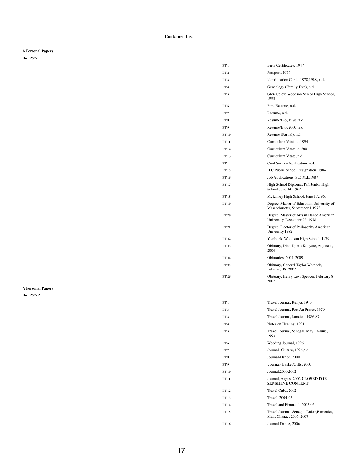**Container List**

**A Personal Papers**

**Box 257-1**

| FF 1            | Birth Certificates, 1947                                                     |
|-----------------|------------------------------------------------------------------------------|
| FF 2            | Passport, 1979                                                               |
| FF <sub>3</sub> | Identification Cards, 1978, 1988, n.d.                                       |
| FF4             | Genealogy (Family Tree), n.d.                                                |
| FF 5            | Glen Coley: Woodson Senior High School,<br>1998                              |
| FF 6            | First Resume, n.d.                                                           |
| FF 7            | Resume, n.d.                                                                 |
| FF 8            | Resume/Bio, 1978, n.d.                                                       |
| FF 9            | Resume/Bio, 2000, n.d.                                                       |
| FF 10           | Resume (Partial), n.d.                                                       |
| <b>FF 11</b>    | Curriculum Vitate, c.1994                                                    |
| FF 12           | Curriculum Vitate, c. 2001                                                   |
| FF 13           | Curriculum Vitate, n.d.                                                      |
| FF 14           | Civil Service Application, n.d.                                              |
| FF 15           | D.C Public School Resignation, 1984                                          |
| FF 16           | Job Applications, S.O.M.E, 1987                                              |
| <b>FF 17</b>    | High School Diploma, Taft Junior High<br>School, June 14, 1962               |
| FF 18           | McKinley High School, June 17,1965                                           |
| FF 19           | Degree, Master of Education University of<br>Massachusetts, September 1,1973 |
| <b>FF 20</b>    | Degree, Master of Arts in Dance American<br>University, December 22, 1978    |
| FF 21           | Degree, Doctor of Philosophy American<br>University, 1982                    |
| FF 22           | Yearbook, Woodson High School, 1979                                          |
| FF 23           | Obituary, Diali Djimo Kouyate, August 1,<br>2004                             |
| FF 24           | Obituaries, 2004, 2009                                                       |
| FF 25           | Obituary, General Taylor Womack,<br>February 18, 2007                        |
| FF 26           | Obituary, Henry Levi Spencer, February 8,<br>2007                            |

| FF 1            | Travel Journal, Kenya, 1973                                           |
|-----------------|-----------------------------------------------------------------------|
| FF <sub>3</sub> | Travel Journal, Port Au Prince, 1979                                  |
| FF <sub>3</sub> | Travel Journal, Jamaica, 1986-87                                      |
| FF 4            | Notes on Healing, 1991                                                |
| FF 5            | Travel Journal, Senegal, May 17-June,<br>1993                         |
| FF 6            | Wedding Journal, 1996                                                 |
| FF 7            | Journal-Culture, 1996, n.d.                                           |
| FF 8            | Journal-Dance, 2000                                                   |
| FF 9            | Journal-Basket/Gifts, 2000                                            |
| <b>FF 10</b>    | Journal, 2000, 2002                                                   |
| FF 11           | Journal, August 2002 CLOSED FOR<br><b>SENSITIVE CONTENT</b>           |
| FF 12           | Travel Cuba, 2002                                                     |
| <b>FF13</b>     | Travel, 2004-05                                                       |
| FF 14           | Travel and Financial, 2005-06                                         |
| FF 15           | Travel Journal- Senegal, Dakar, Bamouka,<br>Mali, Ghana, , 2005, 2007 |
| FF 16           | Journal-Dance, 2006                                                   |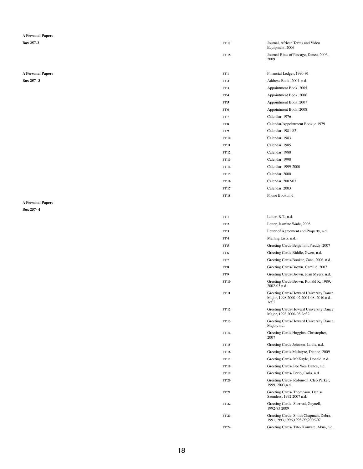### **A Personal Papers**

# **A Personal Papers**

| <b>Box 257-2</b>         | <b>FF17</b>     | Journal, African Terms and Video<br>Equipment, 2006 |
|--------------------------|-----------------|-----------------------------------------------------|
|                          | <b>FF 18</b>    | Journal-Rites of Passage, Dance, 2006,<br>2009      |
| <b>A Personal Papers</b> | FF1             | Financial Ledger, 1990-91                           |
| <b>Box 257-3</b>         | FF <sub>2</sub> | Address Book, 2004, n.d.                            |
|                          | FF <sub>3</sub> | Appointment Book, 2005                              |
|                          | FF <sub>4</sub> | Appointment Book, 2006                              |
|                          | FF <sub>5</sub> | Appointment Book, 2007                              |
|                          | FF <sub>6</sub> | Appointment Book, 2008                              |
|                          | FF <sub>7</sub> | Calendar, 1976                                      |
|                          | FF 8            | Calendar/Appointment Book, c.1979                   |
|                          | FF9             | Calendar, 1981-82                                   |
|                          | <b>FF 10</b>    | Calendar, 1983                                      |
|                          | <b>FF 11</b>    | Calendar, 1985                                      |
|                          | <b>FF12</b>     | Calendar, 1988                                      |
|                          | <b>FF13</b>     | Calendar, 1990                                      |
|                          | <b>FF 14</b>    | Calendar, 1999-2000                                 |
|                          | <b>FF15</b>     | Calendar, 2000                                      |
|                          | <b>FF 16</b>    | Calendar, 2002-03                                   |
|                          | <b>FF 17</b>    | Calendar, 2003                                      |
|                          | <b>FF 18</b>    | Phone Book, n.d.                                    |
|                          |                 |                                                     |

# **A Personal Papers**

| FF1             | Letter, B.T., n.d.                                    |
|-----------------|-------------------------------------------------------|
| FF <sub>2</sub> | Letter, Jasmine Wade, 2008                            |
| <b>FF 3</b>     | Letter of Agreement and Property, n.d.                |
| FF 4            | Mailing Lists, n.d.                                   |
| FF 5            | Greeting Cards-Benjamin, Freddy, 2007                 |
| FF 6            | Greeting Cards-Biddle, Gwen, n.d.                     |
| FF 7            | Greeting Cards-Booker, Zane, 2006, n.d.               |
| FF <sub>8</sub> | Greeting Cards-Brown, Camille, 2007                   |
| FF 9            | Greeting Cards-Brown, Joan Myers, n.d.                |
| <b>FF 10</b>    | Greeting Cards-Brown, Ronald K, 1989,<br>2002-03 n.d. |
| INN 11          | Greening Cords Howard University Dense                |

| FF 11        | Greeting Cards-Howard University Dance<br>Major, 1998, 2000-02, 2004-08, 2010, n.d.<br>1 <sub>of</sub> 2 |
|--------------|----------------------------------------------------------------------------------------------------------|
| FF 12        | Greeting Cards-Howard University Dance<br>Major, 1998, 2000-08 2of 2                                     |
| <b>FF 13</b> | Greeting Cards-Howard University Dance<br>Major, n.d.                                                    |
| FF 14        | Greeting Cards-Huggins, Christopher,<br>2007                                                             |
| FF 15        | Greeting Cards-Johnson, Louis, n.d.                                                                      |
| <b>FF 16</b> | Greeting Cards-McIntyre, Dianne, 2009                                                                    |
| <b>FF17</b>  | Greeting Cards-McKayle, Donald, n.d.                                                                     |
| <b>FF 18</b> | Greeting Cards-Pee Wee Dance, n.d.                                                                       |
| FF 19        | Greeting Cards-Perlo, Carla, n.d.                                                                        |
| <b>FF 20</b> | Greeting Cards-Robinson, Cleo Parker,<br>1999, 2003, n.d.                                                |
| FF 21        | Greeting Cards-Thompson, Denise<br>Saunders, 1992, 2007 n.d.                                             |
| FF 22        | Greeting Cards- Sherrod, Gaynell,<br>1992-93,2009                                                        |
| FF 23        | Greeting Cards- Smith Chapman, Debra,<br>1991, 1993, 1996, 1998-99, 2006-07                              |
| FF 24        | Greeting Cards-Tate-Kouyate, Akua, n.d.                                                                  |
|              |                                                                                                          |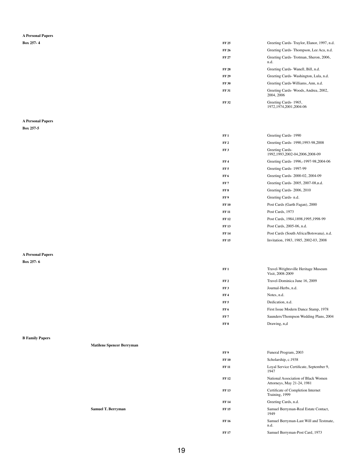### **A Personal Papers**

| <b>Box 257-4</b> | <b>FF 25</b> | Greeting Cards-Traylor, Elanor, 1997, n.d.        |
|------------------|--------------|---------------------------------------------------|
|                  | <b>FF 26</b> | Greeting Cards-Thompson, Lee Aca, n.d.            |
|                  | <b>FF 27</b> | Greeting Cards-Trotman, Sheron, 2006,<br>n.d.     |
|                  | <b>FF 28</b> | Greeting Cards-Wanell, Bill, n.d.                 |
|                  | <b>FF 29</b> | Greeting Cards-Washington, Lula, n.d.             |
|                  | <b>FF 30</b> | Greeting Cards-Williams, Ann, n.d.                |
|                  | <b>FF 31</b> | Greeting Cards-Woods, Andrea, 2002,<br>2004, 2006 |
|                  | <b>FF 32</b> | Greeting Cards-1965,<br>1972, 1974, 2001, 2004-06 |

### **A Personal Papers**

**Box 257-5**

| FF 1            | Greeting Cards-1990                                   |
|-----------------|-------------------------------------------------------|
| FF <sub>2</sub> | Greeting Cards-1990, 1993-98, 2008                    |
| FF <sub>3</sub> | Greeting Cards-<br>1992, 1993, 2002-04, 2006, 2008-09 |
| FF 4            | Greeting Cards- 1996,-1997-98,2004-06                 |
| FF 5            | Greeting Cards-1997-99                                |
| FF <sub>6</sub> | Greeting Cards-2000-02, 2004-09                       |
| FF 7            | Greeting Cards-2005, 2007-08, n.d.                    |
| FF 8            | Greeting Cards-2006, 2010                             |
| FF 9            | Greeting Cards- n.d.                                  |
| FF 10           | Post Cards (Garth Fagan), 2000                        |
| <b>FF 11</b>    | Post Cards, 1973                                      |
| FF 12           | Post Cards, 1984, 1898, 1995, 1998-99                 |
| FF 13           | Post Cards, 2005-06, n.d.                             |
| FF 14           | Post Cards (South Africa/Botswana), n.d.              |
| FF 15           | Invitation, 1983, 1985, 2002-03, 2008                 |
|                 |                                                       |

### **A Personal Papers**

| FF 1 | Travel-Wrightsville Heritage Museum<br>Visit, 2008-2009 |
|------|---------------------------------------------------------|
| FF 2 | Travel-Dominica June 16, 2009                           |
| FF 3 | Journal-Herbs, n.d.                                     |

|                        |                                  | FF <sub>4</sub> | Notes, n.d.                                                       |
|------------------------|----------------------------------|-----------------|-------------------------------------------------------------------|
|                        |                                  | FF <sub>5</sub> | Dedication, n.d.                                                  |
|                        |                                  | FF <sub>6</sub> | First Issue Modern Dance Stamp, 1978                              |
|                        |                                  | FF <sub>7</sub> | Saunders/Thompson Wedding Plans, 2004                             |
|                        |                                  | FF8             | Drawing, n,d                                                      |
|                        |                                  |                 |                                                                   |
| <b>B Family Papers</b> |                                  |                 |                                                                   |
|                        | <b>Matilene Spencer Berryman</b> |                 |                                                                   |
|                        |                                  | FF 9            | Funeral Program, 2003                                             |
|                        |                                  | <b>FF 10</b>    | Scholarship, c.1938                                               |
|                        |                                  | <b>FF 11</b>    | Loyal Service Certificate, September 9,<br>1947                   |
|                        |                                  | <b>FF 12</b>    | National Association of Black Women<br>Attorneys, May 21-24, 1981 |
|                        |                                  | <b>FF13</b>     | Certificate of Completion Internet<br>Training, 1999              |
|                        |                                  | <b>FF 14</b>    | Greeting Cards, n.d.                                              |
|                        | <b>Samuel T. Berryman</b>        | <b>FF 15</b>    | Samuel Berryman-Real Estate Contact,<br>1949                      |
|                        |                                  | <b>FF 16</b>    | Samuel Berryman-Last Will and Testmate,<br>n.d.                   |
|                        |                                  | <b>FF17</b>     | Samuel Berryman-Post Card, 1973                                   |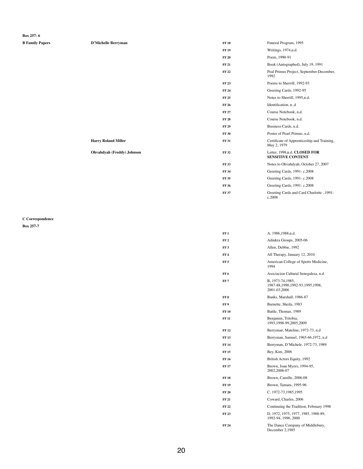### **Box 257- 6**

| <b>B Family Papers</b> | <b>D'Michelle Berryman</b>        | <b>FF18</b>  | Funeral Program, 1995                                      |
|------------------------|-----------------------------------|--------------|------------------------------------------------------------|
|                        |                                   | <b>FF 19</b> | Writings, 1974,n.d.                                        |
|                        |                                   | <b>FF 20</b> | Poem, 1990-91                                              |
|                        |                                   | <b>FF 21</b> | Book (Autographed), July 19, 1991                          |
|                        |                                   | <b>FF 22</b> | Peal Primus Project, September-December,<br>1992           |
|                        |                                   | <b>FF 23</b> | Poems to Sherrill, 1992-93                                 |
|                        |                                   | <b>FF 24</b> | Greeting Cards, 1992-95                                    |
|                        |                                   | <b>FF 25</b> | Notes to Sherrill, 1995,n.d.                               |
|                        |                                   | <b>FF 26</b> | Identification, n.d                                        |
|                        |                                   | <b>FF 27</b> | Course Notebook, n.d.                                      |
|                        |                                   | <b>FF 28</b> | Course Notebook, n.d.                                      |
|                        |                                   | <b>FF 29</b> | Business Cards, n.d.                                       |
|                        |                                   | <b>FF 30</b> | Poster of Pearl Primus, n.d.                               |
|                        | <b>Harry Roland Miller</b>        | <b>FF 31</b> | Certificate of Apprenticeship and Training,<br>May 2, 1979 |
|                        | <b>Ohvahdyah (Freddy) Johnson</b> | <b>FF 32</b> | Letter, 1998, n.d. CLOSED FOR<br><b>SENSITIVE CONTENT</b>  |
|                        |                                   | <b>FF33</b>  | Notes to Ohvahdyah, October 27, 2007                       |
|                        |                                   | <b>FF 34</b> | Greeting Cards, 1991-c.2008                                |
|                        |                                   | <b>FF 35</b> | Greeting Cards, 1991-c.2008                                |
|                        |                                   | <b>FF 36</b> | Greeting Cards, 1991-c.2008                                |
|                        |                                   | <b>FF 37</b> | Greeting Cards and Card Charlotte, 1991-<br>c.2008         |

### **C Correspondence**

| FF 1 | A, 1986, 1988, n.d.                                                  |
|------|----------------------------------------------------------------------|
| FF 2 | Adinkra Groups, 2005-06                                              |
| FF 3 | Allen, Debbie, 1992                                                  |
| FF 4 | All Therapy, January 12, 2010                                        |
| FF 5 | American College of Sports Medicine,<br>1994                         |
| FF 6 | Asociacion Cultural Senegalesa, n.d.                                 |
| FF 7 | B, 1973-74, 1985,<br>1987-88,1990,1992-93,1995,1998,<br>2001-03,2006 |

| FF <sub>8</sub> | Banks, Marshall, 1986-87                                   |
|-----------------|------------------------------------------------------------|
| FF <sub>9</sub> | Barnette, Sheila, 1983                                     |
| <b>FF10</b>     | Battle, Thomas, 1989                                       |
| <b>FF11</b>     | Benjamin, Tritobia,<br>1993, 1998-99, 2005, 2009           |
| <b>FF 12</b>    | Berryman, Mateline, 1972-73, n.d.                          |
| <b>FF 13</b>    | Berryman, Samuel, 1965-66, 1972, n.d.                      |
| <b>FF14</b>     | Berryman, D'Michele, 1972-73, 1989                         |
| <b>FF15</b>     | Bey, Kim, 2006                                             |
| <b>FF16</b>     | British Actors Equity, 1992                                |
| <b>FF</b> 17    | Brown, Joan Myers, 1994-95,<br>2002,2006-07                |
| <b>FF18</b>     | Brown, Camille, 2006-08                                    |
| <b>FF</b> 19    | Brown, Tamara, 1995-96                                     |
| <b>FF 20</b>    | C, 1972-73, 1985, 1995                                     |
| <b>FF 21</b>    | Coward, Charles, 2006                                      |
| <b>FF22</b>     | Continuing the Tradition, February 1998                    |
| <b>FF 23</b>    | D, 1972, 1975, 1977, 1985, 1988-89,<br>1992-94, 1996, 2000 |
| <b>FF 24</b>    | The Dance Company of Middlebury,<br>December 2,1985        |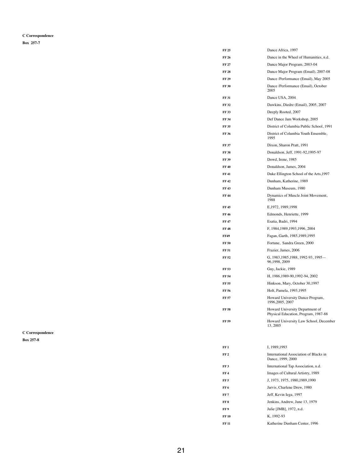### **C Correspondence**

| FF 25        | Dance Africa, 1997                                   |
|--------------|------------------------------------------------------|
| FF 26        | Dance in the Wheel of Humanities, n.d.               |
| <b>FF 27</b> | Dance Major Program, 2003-04                         |
| <b>FF 28</b> | Dance Major Program (Email), 2007-08                 |
| FF 29        | Dance /Performance (Email), May 2005                 |
| <b>FF 30</b> | Dance /Performance (Email), October<br>2005          |
| <b>FF 31</b> | Dance USA, 2004                                      |
| FF 32        | Dawkins, Diedre (Email), 2005, 2007                  |
| <b>FF33</b>  | Deeply Rooted, 2007                                  |
| <b>FF 34</b> | Def Dance Jam Workshop, 2005                         |
| <b>FF35</b>  | District of Columbia Public School, 1991             |
| <b>FF36</b>  | District of Columbia Youth Ensemble,<br>1995         |
| <b>FF 37</b> | Dixon, Sharon Pratt, 1991                            |
| <b>FF38</b>  | Donaldson, Jeff, 1991-92, 1995-97                    |
| <b>FF 39</b> | Dowd, Irene, 1985                                    |
| <b>FF 40</b> | Donaldson, James, 2004                               |
| <b>FF41</b>  | Duke Ellington School of the Arts, 1997              |
| FF 42        | Dunham, Katherine, 1989                              |
| FF 43        | Dunham Museum, 1980                                  |
| FF 44        | Dynamics of Muscle Joint Movement,<br>1988           |
| FF 45        | E, 1972, 1989, 1998                                  |
| FF 46        | Edmonds, Henriette, 1999                             |
| <b>FF 47</b> | Esatia, Badri, 1994                                  |
| <b>FF48</b>  | F, 1984, 1989, 1993, 1996, 2004                      |
| <b>FF49</b>  | Fagan, Garth, 1985, 1989, 1995                       |
| <b>FF 50</b> | Fortune, Sandra Green, 2000                          |
| <b>FF 51</b> | Frazier, James, 2006                                 |
| FF 52        | G, 1983, 1985, 1988, 1992-93, 1995-<br>96,1998, 2009 |
| <b>FF 53</b> | Guy, Jackie, 1989                                    |
| FF 54        | H, 1986, 1989-90, 1992-94, 2002                      |
| FF 55        | Hinkson, Mary, October 30,1997                       |
| FF 56        | Holt, Pamela, 1993, 1995                             |

**Box 257-7**

|                         | <b>FF 57</b>    | Howard University Dance Program,<br>1996, 2005, 2007                    |
|-------------------------|-----------------|-------------------------------------------------------------------------|
|                         | <b>FF 58</b>    | Howard University Department of<br>Physical Education, Program, 1987-88 |
|                         | <b>FF 59</b>    | Howard University Law School, December<br>13, 2005                      |
| <b>C</b> Correspondence |                 |                                                                         |
| <b>Box 257-8</b>        |                 |                                                                         |
|                         | FF1             | I, 1989, 1993                                                           |
|                         | FF <sub>2</sub> | International Association of Blacks in<br>Dance, 1999, 2000             |
|                         | FF <sub>3</sub> | International Tap Association, n.d.                                     |
|                         | FF4             | Images of Cultural Artistry, 1989                                       |
|                         | FF <sub>5</sub> | J, 1973, 1975, 1980, 1989, 1990                                         |
|                         | FF <sub>6</sub> | Jarvis, Charlene Drew, 1980                                             |
|                         | FF <sub>7</sub> | Jeff, Kevin Iega, 1997                                                  |
|                         | FF 8            | Jenkins, Andrew, June 13, 1979                                          |
|                         | FF 9            | Julie [JMB], 1972, n.d.                                                 |
|                         | <b>FF 10</b>    | K, 1992-93                                                              |
|                         | <b>FF 11</b>    | Katherine Dunham Center, 1996                                           |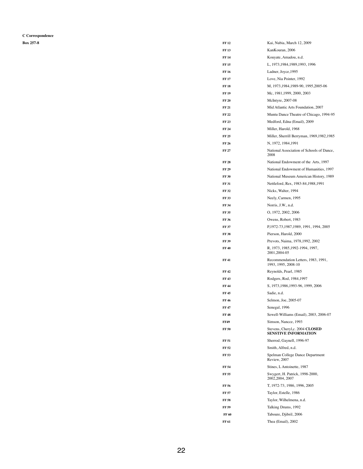**C Correspondence**

| <b>Box 257-8</b> | <b>FF 12</b> | Kai, Nubia, March 12, 2009                                 |
|------------------|--------------|------------------------------------------------------------|
|                  | <b>FF13</b>  | KanKouran, 2006                                            |
|                  | <b>FF 14</b> | Kouyate, Amadou, n.d.                                      |
|                  | <b>FF 15</b> | L, 1973, 1984, 1989, 1993, 1996                            |
|                  | <b>FF 16</b> | Ladner, Joyce, 1995                                        |
|                  | <b>FF 17</b> | Love, Nia Pointer, 1992                                    |
|                  | <b>FF18</b>  | M, 1973, 1984, 1989-90, 1995, 2005-06                      |
|                  | <b>FF 19</b> | Mc, 1981, 1999, 2000, 2003                                 |
|                  | <b>FF 20</b> | McIntyre, 2007-08                                          |
|                  | <b>FF 21</b> | Mid Atlantic Arts Foundation, 2007                         |
|                  | <b>FF 22</b> | Muntu Dance Theatre of Chicago, 1994-95                    |
|                  | <b>FF 23</b> | Medford, Edna (Email), 2009                                |
|                  | <b>FF 24</b> | Miller, Harold, 1968                                       |
|                  | <b>FF 25</b> | Miller, Sherrill Berryman, 1969, 1982, 1985                |
|                  | <b>FF 26</b> | N, 1972, 1984, 1991                                        |
|                  | <b>FF 27</b> | National Association of Schools of Dance,<br>2008          |
|                  | <b>FF 28</b> | National Endowment of the Arts, 1997                       |
|                  | <b>FF 29</b> | National Endowment of Humanities, 1997                     |
|                  | <b>FF 30</b> | National Museum American History, 1989                     |
|                  | <b>FF 31</b> | Nettleford, Rex, 1983-84, 1988, 1991                       |
|                  | <b>FF 32</b> | Nicks, Walter, 1994                                        |
|                  | <b>FF 33</b> | Neely, Carmen, 1995                                        |
|                  | <b>FF 34</b> | Norris, J.W., n.d.                                         |
|                  | <b>FF 35</b> | 0, 1972, 2002, 2006                                        |
|                  | <b>FF 36</b> | Owens, Robert, 1983                                        |
|                  | <b>FF 37</b> | P,1972-73,1987,1989, 1991, 1994, 2005                      |
|                  | <b>FF 38</b> | Pierson, Harold, 2000                                      |
|                  | <b>FF 39</b> | Prevots, Naima, 1978, 1992, 2002                           |
|                  | <b>FF 40</b> | R, 1973, 1985, 1992-1994, 1997,<br>2001, 2004-05           |
|                  | <b>FF 41</b> | Recommendation Letters, 1983, 1991,<br>1993, 1995, 2008-10 |
|                  | <b>FF42</b>  | Reynolds, Pearl, 1985                                      |
|                  | <b>FF43</b>  | Rodgers, Rod, 1984, 1997                                   |
|                  | <b>FF 44</b> | S, 1973, 1986, 1993-96, 1999, 2006                         |
|                  | <b>FF 45</b> | Sadie, n.d.                                                |
|                  | <b>FF 46</b> | Selmon, Joe, 2005-07                                       |
|                  | <b>FF 47</b> | Senegal, 1996                                              |
|                  | <b>FF48</b>  | Sewell-Williams (Email), 2003, 2006-07                     |
|                  | <b>FF49</b>  | Simson, Nancee, 1993                                       |
|                  | <b>FF 50</b> | Stevens, Cheryl,c. 2004 CLOSED<br>SENSTIVE INFORMATION     |
|                  | <b>FF 51</b> | Sherrod, Gaynell, 1996-97                                  |
|                  | <b>FF 52</b> | Smith, Alfred, n.d.                                        |
|                  | <b>FF 53</b> | Spelman College Dance Department<br>Review, 2007           |
|                  | <b>FF 54</b> | Stines, L Antoinette, 1987                                 |
|                  | <b>FF 55</b> | Swygert, H. Patrick, 1998-2000,<br>2002, 2004, 2007        |
|                  | <b>FF 56</b> | T, 1972-73, 1986, 1996, 2005                               |
|                  | <b>FF 57</b> | Taylor, Estelle, 1986                                      |
|                  | <b>FF 58</b> | Taylor, Wilhelmena, n.d.                                   |
|                  | <b>FF 59</b> | Talking Drums, 1992                                        |
|                  | <b>FF 60</b> | Taboure, Djibril, 2006                                     |
|                  | <b>FF 61</b> | Thea (Email), 2002                                         |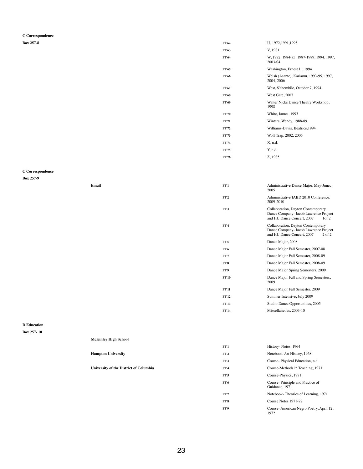**C Correspondence**

| <b>Box 257-8</b> | FF 62        | U, 1972, 1991, 1995                                   |
|------------------|--------------|-------------------------------------------------------|
|                  | FF 63        | V, 1981                                               |
|                  | FF 64        | W, 1972, 1984-85, 1987-1989, 1994, 1997,<br>2003-04   |
|                  | FF 65        | Washington, Ernest L., 1994                           |
|                  | <b>FF 66</b> | Welsh (Asante), Kariamu, 1993-95, 1997,<br>2004, 2006 |
|                  | FF 67        | West, S'thembile, October 7, 1994                     |
|                  | <b>FF 68</b> | West Gate, 2007                                       |
|                  | <b>FF 69</b> | Walter Nicks Dance Theatre Workshop,<br>1998          |
|                  | <b>FF 70</b> | White, James, 1993                                    |
|                  | <b>FF 71</b> | Winters, Wendy, 1988-89                               |
|                  | <b>FF 72</b> | Williams-Davis, Beatrice, 1994                        |
|                  | <b>FF 73</b> | Wolf Trap, 2002, 2005                                 |
|                  | <b>FF 74</b> | X, n.d.                                               |
|                  | <b>FF 75</b> | Y, n.d.                                               |
|                  | <b>FF 76</b> | Z, 1985                                               |

### **C Correspondence**

**Box 257-9**

| Email | FF1             | Administrative Dance Major, May-June,<br>2005                                                                                  |
|-------|-----------------|--------------------------------------------------------------------------------------------------------------------------------|
|       | FF <sub>2</sub> | Administrative IABD 2010 Conference,<br>2009-2010                                                                              |
|       | FF3             | Collaboration, Dayton Contemporary<br>Dance Company- Jacob Lawrence Project<br>and HU Dance Concert, 2007<br>1 <sub>of</sub> 2 |
|       | FF <sub>4</sub> | Collaboration, Dayton Contemporary<br>Dance Company- Jacob Lawrence Project<br>and HU Dance Concert, 2007<br>$2$ of $2$        |
|       | FF <sub>5</sub> | Dance Major, 2008                                                                                                              |
|       | FF <sub>6</sub> | Dance Major Fall Semester, 2007-08                                                                                             |
|       | FF7             | Dance Major Fall Semester, 2008-09                                                                                             |
|       | FF 8            | Dance Major Fall Semester, 2008-09                                                                                             |
|       | FF 9            | Dance Major Spring Semesters, 2009                                                                                             |
|       | <b>FF 10</b>    | Dance Major Fall and Spring Semesters,<br>2009                                                                                 |
|       | <b>FF 11</b>    | Dance Major Fall Semester, 2009                                                                                                |
|       |                 |                                                                                                                                |

| FF1             | History-Notes, 1964                                |
|-----------------|----------------------------------------------------|
| FF <sub>2</sub> | Notebook-Art History, 1968                         |
| FF3             | Course-Physical Education, n.d.                    |
| <b>FF4</b>      | Course-Methods in Teaching, 1971                   |
| <b>FF 5</b>     | Course-Physics, 1971                               |
| FF 6            | Course-Principle and Practice of<br>Guidance, 1971 |
| FF 7            | Notebook-Theories of Learning, 1971                |
| FF8             | Course Notes 1971-72                               |
| FF 9            | Course-American Negro Poetry, April 12,<br>1972    |

| FF 12        | Summer Intensive, July 2009      |
|--------------|----------------------------------|
| <b>FF 13</b> | Studio Dance Opportunities, 2005 |
| FF 14        | Miscellaneous, 2003-10           |

#### **D Education**

### **Box 257- 10**

| <b>McKinley High School</b> |
|-----------------------------|
|-----------------------------|

### **Hampton University FF 2**

**University of the District of Columbia FF4**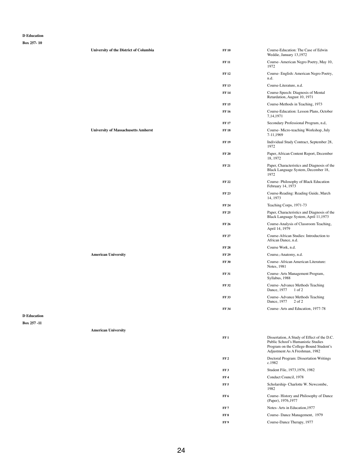#### **D Education**

|                                   | <b>University of the District of Columbia</b> | <b>FF 10</b>    | Course-Education: The Case of Edwin<br>Weddie, January 13,1972                                                                                                |
|-----------------------------------|-----------------------------------------------|-----------------|---------------------------------------------------------------------------------------------------------------------------------------------------------------|
|                                   |                                               | <b>FF 11</b>    | Course-American Negro Poetry, May 10,<br>1972                                                                                                                 |
|                                   |                                               | <b>FF12</b>     | Course- English: American Negro Poetry,<br>n.d.                                                                                                               |
|                                   |                                               | <b>FF13</b>     | Course-Literature, n.d.                                                                                                                                       |
|                                   |                                               | <b>FF 14</b>    | Course-Speech: Diagnosis of Mental<br>Retardation, August 10, 1971                                                                                            |
|                                   |                                               | <b>FF15</b>     | Course-Methods in Teaching, 1973                                                                                                                              |
|                                   |                                               | <b>FF 16</b>    | Course-Education: Lesson Plans, October<br>7, 14, 1971                                                                                                        |
|                                   |                                               | <b>FF17</b>     | Secondary Professional Program, n.d,                                                                                                                          |
|                                   | <b>University of Massachusetts Amherst</b>    | <b>FF18</b>     | Course- Micro-teaching Workshop, July<br>7-11,1969                                                                                                            |
|                                   |                                               | <b>FF19</b>     | Individual Study Contract, September 28,<br>1972                                                                                                              |
|                                   |                                               | <b>FF 20</b>    | Paper, African Content Report, December<br>18, 1972                                                                                                           |
|                                   |                                               | <b>FF 21</b>    | Paper, Characteristics and Diagnosis of the<br>Black Language System, December 18,<br>1972                                                                    |
|                                   |                                               | <b>FF 22</b>    | Course-Philosophy of Black Education<br>February 14, 1973                                                                                                     |
|                                   |                                               | <b>FF 23</b>    | Course-Reading: Reading Guide, March<br>14, 1973                                                                                                              |
|                                   |                                               | <b>FF 24</b>    | Teaching Corps, 1971-73                                                                                                                                       |
|                                   |                                               | <b>FF 25</b>    | Paper, Characteristics and Diagnosis of the<br>Black Language System, April 11,1973                                                                           |
|                                   |                                               | <b>FF 26</b>    | Course-Analysis of Classroom Teaching,<br>April 14, 1979                                                                                                      |
|                                   |                                               | <b>FF 27</b>    | Course-African Studies: Introduction to<br>African Dance, n.d.                                                                                                |
|                                   |                                               | <b>FF 28</b>    | Course Work, n.d.                                                                                                                                             |
|                                   | <b>American University</b>                    | <b>FF 29</b>    | Course,-Anatomy, n.d.                                                                                                                                         |
|                                   |                                               | <b>FF 30</b>    | Course-African American Literature:<br>Notes, 1981                                                                                                            |
|                                   |                                               | <b>FF 31</b>    | Course-Arts Management Program,<br>Syllabus, 1988                                                                                                             |
|                                   |                                               | <b>FF32</b>     | Course-Advance Methods Teaching<br>Dance, 1977<br>$1$ of 2                                                                                                    |
|                                   |                                               | <b>FF33</b>     | Course-Advance Methods Teaching<br>Dance, 1977 2 of 2                                                                                                         |
|                                   |                                               | <b>FF 34</b>    | Course-Arts and Education, 1977-78                                                                                                                            |
| <b>D</b> Education<br>Box 257 -11 |                                               |                 |                                                                                                                                                               |
|                                   | <b>American University</b>                    |                 |                                                                                                                                                               |
|                                   |                                               | FF1             | Dissertation, A Study of Effect of the D.C.<br>Public School's Humanistic Studies<br>Program on the College-Bound Student's<br>Adjustment As A Freshman, 1982 |
|                                   |                                               | FF <sub>2</sub> | Doctoral Program: Dissertation Writings<br>c.1982                                                                                                             |
|                                   |                                               | FF3             | Student File, 1973, 1976, 1982                                                                                                                                |
|                                   |                                               | FF <sub>4</sub> | Conduct Council, 1978                                                                                                                                         |
|                                   |                                               | FF <sub>5</sub> | Scholarship- Charlotte W. Newcombe,<br>1982                                                                                                                   |
|                                   |                                               | FF6             | Course-History and Philosophy of Dance<br>(Paper), 1976, 1977                                                                                                 |
|                                   |                                               | FF <sub>7</sub> | Notes-Arts in Education, 1977                                                                                                                                 |
|                                   |                                               | FF8             | Course-Dance Management, 1979                                                                                                                                 |
|                                   |                                               | FF9             | Course-Dance Therapy, 1977                                                                                                                                    |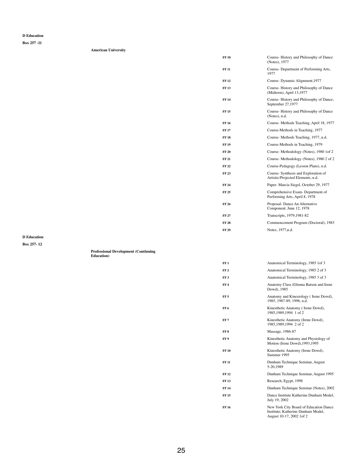#### **D Education**

**Box 257 -11**

**American University**

| <b>FF 10</b> | Course-History and Philosophy of Dance<br>(Notes), 1977                  |
|--------------|--------------------------------------------------------------------------|
| <b>FF 11</b> | Course- Department of Performing Arts,<br>1977                           |
| FF 12        | Course-Dynamic Alignment, 1977                                           |
| <b>FF 13</b> | Course-History and Philosophy of Dance<br>(Midterm), April 13,1977       |
| FF 14        | Course-History and Philosophy of Dance,<br>September 27,1977             |
| FF 15        | Course-History and Philosophy of Dance<br>(Notes), n.d.                  |
| FF 16        | Course-Methods Teaching, April 18, 1977                                  |
| FF 17        | Course-Methods in Teaching, 1977                                         |
| <b>FF 18</b> | Course-Methods Teaching, 1977, n.d.                                      |
| FF 19        | Course-Methods in Teaching, 1979                                         |
| FF 20        | Course-Methodology (Notes), 1980 1of 2                                   |
| FF 21        | Course-Methodology (Notes), 1980 2 of 2                                  |
| FF 22        | Course-Pedagogy (Lesson Plans), n.d.                                     |
| FF 23        | Course-Synthesis and Exploration of<br>Artistic/Projected Elements, n.d. |
| FF 24        | Paper- Marcia Siegel, October 29, 1977                                   |
| FF 25        | Comprehensive Exam- Department of<br>Performing Arts, April 8, 1978      |
| FF 26        | Proposal-Dance An Alternative<br>Component. June 12, 1978                |
| FF 27        | Transcripts, 1979, 1981-82                                               |
| FF 28        | Commencement Program (Doctoral), 1983                                    |
| FF 29        | Notes, 1977, n.d.                                                        |
|              |                                                                          |

| FF 5         | Anatomy and Kinesiology (Irene Dowd),<br>1985, 1987-89, 1996, n.d.                                        |
|--------------|-----------------------------------------------------------------------------------------------------------|
| FF 6         | Kinesthetic Anatomy (Irene Dowd),<br>1985, 1989, 1994 1 of 2                                              |
| FF 7         | Kinesthetic Anatomy (Irene Dowd),<br>1985,1989,1994 2 of 2                                                |
| FF 8         | Massage, 1986-87                                                                                          |
| FF 9         | Kinesthetic Anatomy and Physiology of<br>Motion (Irene Dowd), 1993, 1995                                  |
| FF 10        | Kinesthetic Anatomy (Irene Dowd),<br>Summer 1995                                                          |
| FF 11        | Dunham Technique Seminar, August<br>5-20,1989                                                             |
| FF 12        | Dunham Technique Seminar, August 1995                                                                     |
| <b>FF 13</b> | Research, Egypt, 1998                                                                                     |
| FF 14        | Dunham Technique Seminar (Notes), 2002                                                                    |
| FF 15        | Dance Institute Katherine Dunham Model,<br>July 19, 2002                                                  |
| FF 16        | New York City Board of Education Dance<br>Institute; Katherine Dunham Model,<br>August 10-17, 2002 1 of 2 |

**D Education**

**Box 257- 12**

**Professional Development (Continuing Education)**

| FF 1 | Anatomical Terminology, 1985 1 of 3                   |
|------|-------------------------------------------------------|
| FF 2 | Anatomical Terminology, 1985 2 of 3                   |
| FF 3 | Anatomical Terminology, 1985 3 of 3                   |
| FF 4 | Anatomy Class (Glenna Batson and Irene<br>Dowd), 1985 |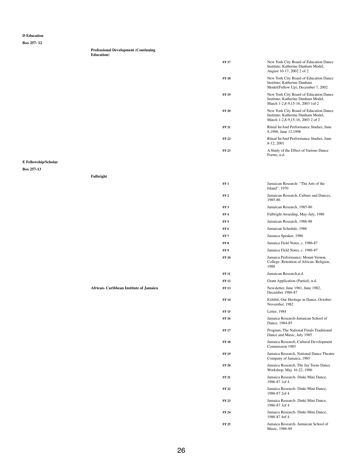#### **D Education**

**Box 257- 12**

|                    | <b>Professional Development (Continuing)</b> |  |
|--------------------|----------------------------------------------|--|
| <b>Education</b> ) |                                              |  |

| <b>FF17</b>  | New York City Board of Education Dance<br>Institute; Katherine Dunham Model,<br>August 10-17, 2002 2 of 2        |
|--------------|------------------------------------------------------------------------------------------------------------------|
| <b>FF</b> 18 | New York City Board of Education Dance<br>Institute; Katherine Dunham<br>Model(Follow Up), December 7, 2002      |
| <b>FF19</b>  | New York City Board of Education Dance<br>Institute; Katherine Dunham Model,<br>March 1-2,8-9,15-16, 2003 1 of 2 |
| <b>FF 20</b> | New York City Board of Education Dance<br>Institute; Katherine Dunham Model,<br>March 1-2,8-9,15-16, 2003 2 of 2 |
| <b>FF 21</b> | Ritual In/And Performance Studies, June<br>8,1998, June 12,1998                                                  |
| <b>FF22</b>  | Ritual In/And Performance Studies, June<br>8-12, 2001                                                            |
| <b>FF 23</b> | A Study of the Effect of Various Dance<br>Forms, n.d.                                                            |

### **E Fellowship/Scholar**

**Box 257-13**

**Fulbright**

|                                         | FF1             | Jamaican Research "The Arts of the<br>Island", 1970                                  |
|-----------------------------------------|-----------------|--------------------------------------------------------------------------------------|
|                                         | FF <sub>2</sub> | Jamaican Research, Culture and Dances,<br>1985-86                                    |
|                                         | FF3             | Jamaican Research, 1985-86                                                           |
|                                         | FF <sub>4</sub> | Fulbright Awarding, May-July, 1986                                                   |
|                                         | FF <sub>5</sub> | Jamaican Research, 1986-88                                                           |
|                                         | FF <sub>6</sub> | Jamaican Schedule, 1986                                                              |
|                                         | FF <sub>7</sub> | Jamaica Speaker, 1986                                                                |
|                                         | FF 8            | Jamaica Field Notes, c. 1986-87                                                      |
|                                         | FF9             | Jamaica Field Notes, c. 1986-87                                                      |
|                                         | <b>FF 10</b>    | Jamaica Performance: Mount Vernon<br>College: Retention of African Religion,<br>1988 |
|                                         | <b>FF 11</b>    | Jamaican Research, n.d.                                                              |
|                                         | <b>FF 12</b>    | Grant Application (Partial), n.d.                                                    |
| African- Caribbean Institute of Jamaica | <b>FF13</b>     | Newsletter, June 1981, June 1982,<br>December 1986-87                                |

| <b>FF14</b>  | Exhibit, Our Heritage in Dance, October-<br>November, 1982             |
|--------------|------------------------------------------------------------------------|
| <b>FF 15</b> | Letter, $1984$                                                         |
| FF 16        | Jamaica Research-Jamaican School of<br>Dance, 1984-85                  |
| FF 17        | Program, The National Finals Traditional<br>Dance and Music, July 1985 |
| FF 18        | Jamaica Research, Cultural Development<br>Commission 1985              |
| FF 19        | Jamaica Research, National Dance Theatre<br>Company of Jamaica, 1985   |
| <b>FF 20</b> | Jamaica Research, The Jay Teens Dance<br>Workshop, May 16-22, 1986     |
| FF 21        | Jamaica Research- Dinki Mini Dance,<br>1986-87 1 of 4                  |
| FF 22        | Jamaica Research- Dinki Mini Dance,<br>1986-87 2of 4                   |
| FF 23        | Jamaica Research - Dinki Mini Dance,<br>1986-87 3of 4                  |
| FF 24        | Jamaica Research- Dinki Mini Dance,<br>1986-87 4of 4                   |
| FF 25        | Jamaica Research- Jamaican School of<br>Music, 1986-89                 |
|              |                                                                        |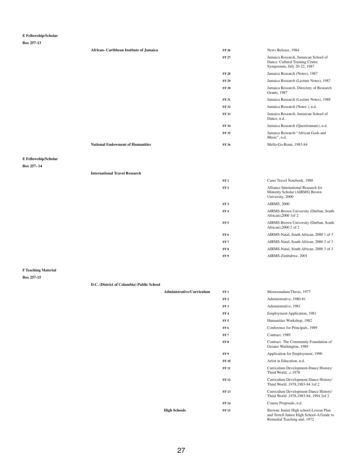# **E Fellowship/Scholar**

**Box 257-13**

| <b>African- Caribbean Institute of Jamaica</b> | <b>FF 26</b> | News Release, 1984                                                                                     |
|------------------------------------------------|--------------|--------------------------------------------------------------------------------------------------------|
|                                                | <b>FF 27</b> | Jamaica Research, Jamaican School of<br>Dance: Cultural Training Centre<br>Symposium, July 20-22, 1987 |
|                                                | <b>FF 28</b> | Jamaica Research (Notes), 1987                                                                         |
|                                                | <b>FF 29</b> | Jamaica Research (Lecture Notes), 1987                                                                 |
|                                                | <b>FF 30</b> | Jamaica Research, Directory of Research<br>Grants, 1987                                                |
|                                                | <b>FF 31</b> | Jamaica Research (Lecture Notes), 1988                                                                 |
|                                                | <b>FF32</b>  | Jamaica Research (Notes), n.d.                                                                         |
|                                                | <b>FF 33</b> | Jamaica Research, Jamaican School of<br>Dance, n.d.                                                    |
|                                                | <b>FF 34</b> | Jamaica Research (Questionnare), n.d.                                                                  |
|                                                | <b>FF35</b>  | Jamaica Research-"African Gods and<br>Music", n.d.                                                     |
| <b>National Endowment of Humanities</b>        | <b>FF 36</b> | Mello-Go-Roun, 1983-84                                                                                 |

# **E Fellowship/Scholar**

### **Box 257- 14**

#### **International Travel Research**

| FF 1          | Cairo Travel Notebook, 1988                                                               |
|---------------|-------------------------------------------------------------------------------------------|
| ${\bf FF\,2}$ | Alliance International Research for<br>Minority Scholar (AIRMS) Brown<br>University, 2000 |
| FF 3          | <b>AIRMS, 2000</b>                                                                        |
| FF 4          | AIRMS-Brown University (Durban, South<br>African), 2000 1 of 2                            |
| FF 5          | AIRMS-Brown University (Durban, South<br>African), 2000 2 of 2                            |
| FF 6          | AIRMS-Natal, South African, 2000 1 of 3                                                   |
| FF 7          | AIRMS-Natal, South African, 2000 2 of 3                                                   |
| FF 8          | AIRMS-Natal, South African, 2000 3 of 3                                                   |
| FF 9          | AIRMS-Zimbabwe, 2001                                                                      |

**F Teaching Material Box 257-15**

Administrative/Curriculum FF1 Memorandum/Thesis, 1977

| FF <sub>2</sub> | Administrative, 1980-81                                                                                           |
|-----------------|-------------------------------------------------------------------------------------------------------------------|
| FF <sub>3</sub> | Administrative, 1981                                                                                              |
| FF <sub>4</sub> | <b>Employment Application</b> , 1981                                                                              |
| FF <sub>5</sub> | Humanities Workshop, 1982                                                                                         |
| FF 6            | Conference for Principals, 1989                                                                                   |
| FF <sub>7</sub> | Contract, 1989                                                                                                    |
| FF <sub>8</sub> | Contract-The Community Foundation of<br>Greater Washington, 1989                                                  |
| FF 9            | Application for Employment, 1990                                                                                  |
| <b>FF10</b>     | Artist in Education, n.d.                                                                                         |
| <b>FF 11</b>    | Curriculum Development-Dance History/<br>Third World, c.1978                                                      |
| <b>FF</b> 12    | Curriculum Development-Dance History/<br>Third World , 1978, 1983-84 1 of 2                                       |
| <b>FF13</b>     | Curriculum Development-Dance History/<br>Third World , 1978, 1983-84, 1994 2of 2                                  |
| <b>FF</b> 14    | Course Proposals, n.d.                                                                                            |
| <b>FF15</b>     | Browne Junior High school-Lesson Plan<br>and Terrell Junior High School-A Guide to<br>Remedial Teaching and, 1972 |

 ${\bf High\ Schools}$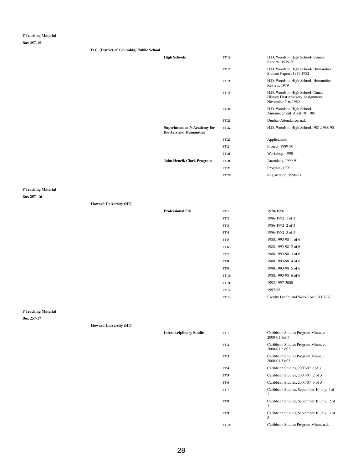**Box 257-15**

**D.C. (District of Columbia) Public School**

| <b>High Schools</b>                                            | <b>FF16</b>  | H.D. Woodson High School- Course<br>Reports, 1979-80                                        |
|----------------------------------------------------------------|--------------|---------------------------------------------------------------------------------------------|
|                                                                | <b>FF17</b>  | H.D. Woodson High School- Humanities<br>Student Papers, 1979, 1982                          |
|                                                                | <b>FF 18</b> | H.D. Woodson High School- Humanities<br><b>Review</b> , 1979                                |
|                                                                | <b>FF19</b>  | H.D. Woodson High School- Dance<br>History First Advisory Assignment,<br>November 5-6, 1980 |
|                                                                | <b>FF 20</b> | H.D. Woodson High School-<br>Announcement, April 10, 1981                                   |
|                                                                | <b>FF 21</b> | Dunbar-Attendance, n.d.                                                                     |
| <b>Superintendent's Academy for</b><br>the Arts and Humanities | <b>FF22</b>  | H.D. Woodson High School, 1981, 1988-90                                                     |
|                                                                | <b>FF23</b>  | Applications                                                                                |
|                                                                | <b>FF 24</b> | Project, 1989-90                                                                            |
|                                                                | <b>FF 25</b> | Workshop, 1990                                                                              |
| <b>John Henrik Clark Program</b>                               | <b>FF 26</b> | Attendees, 1990-91                                                                          |
|                                                                | <b>FF 27</b> | Program, 1990                                                                               |
|                                                                | <b>FF 28</b> | Registration, 1990-91                                                                       |
|                                                                |              |                                                                                             |

**F Teaching Material**

**Box 257- 16**

**Howard University (HU)**

| <b>Professional File</b> | FF1             | 1978-1990            |
|--------------------------|-----------------|----------------------|
|                          | FF <sub>2</sub> | 1986-1992 1 of 3     |
|                          | FF3             | 1986-1992 2 of 3     |
|                          | FF4             | 1986-1992 3 of 3     |
|                          | FF <sub>5</sub> | 1988,1993-98 1 of 6  |
|                          | FF 6            | 1988,1993-98 2 of 6  |
|                          | FF7             | 1988,1993-98 3 of 6  |
|                          | FF <sub>8</sub> | 1988, 1993-98 4 of 6 |
|                          | FF <sub>9</sub> | 1988, 1993-98 5 of 6 |
|                          | <b>FF 10</b>    | 1988,1993-98 6 of 6  |
|                          | <b>FF 11</b>    | 1992, 1997-2000      |
|                          | <b>FF12</b>     | 1997-98              |

FF 13 Faculty Profile and Work Load, 2003-07

# **F Teaching Material**

|  | <b>Howard University (HU)</b> |  |
|--|-------------------------------|--|
|--|-------------------------------|--|

| <b>Interdisciplinary Studies</b> | FF1             | Caribbean Studies Program Minor, c.<br>2000-01 1of 3  |
|----------------------------------|-----------------|-------------------------------------------------------|
|                                  | FF <sub>2</sub> | Caribbean Studies Program Minor, c.<br>2000-01 2 of 3 |
|                                  | FF <sub>3</sub> | Caribbean Studies Program Minor, c.<br>2000-01 3 of 3 |
|                                  | FF <sub>4</sub> | Caribbean Studies, 2000-07 1 of 3                     |
|                                  | FF <sub>5</sub> | Caribbean Studies, 2000-07 2 of 3                     |
|                                  | FF 6            | Caribbean Studies, 2000-07 3 of 3                     |
|                                  | <b>FF 7</b>     | Caribbean Studies, September 10, n.y. 1 of<br>3       |
|                                  | FF 8            | Caribbean Studies, September 10, n.y. 2 of<br>3       |
|                                  | FF <sub>9</sub> | Caribbean Studies, September 10, n.y. 3 of<br>3       |
|                                  | <b>FF10</b>     | Caribbean Studies Program Minor, n.d.                 |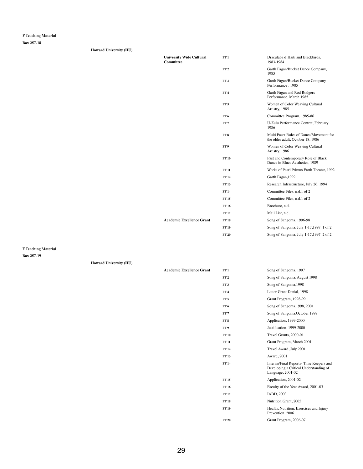**Box 257-18**

| <b>Howard University (HU)</b> |                                                     |                 |                                                                              |
|-------------------------------|-----------------------------------------------------|-----------------|------------------------------------------------------------------------------|
|                               | <b>University Wide Cultural</b><br><b>Committee</b> | FF1             | Draculaba d'Haiti and Blackbirds,<br>1983-1984                               |
|                               |                                                     | FF <sub>2</sub> | Garth Fagan/Bucket Dance Company,<br>1985                                    |
|                               |                                                     | FF <sub>3</sub> | Garth Fagan/Bucket Dance Company<br>Performance, 1985                        |
|                               |                                                     | FF <sub>4</sub> | Garth Fagan and Rod Rodgers<br>Performance, March 1985                       |
|                               |                                                     | FF <sub>5</sub> | Women of Color Weaving Cultural<br>Artistry, 1985                            |
|                               |                                                     | FF <sub>6</sub> | Committee Program, 1985-86                                                   |
|                               |                                                     | FF <sub>7</sub> | U-Zulu Performance Contrat, February<br>1986                                 |
|                               |                                                     | FF 8            | Multi Facet Roles of Dance/Movement for<br>the older adult, October 18, 1986 |
|                               |                                                     | FF9             | Women of Color Weaving Cultural<br>Artistry, 1986                            |
|                               |                                                     | <b>FF 10</b>    | Past and Contemporary Role of Black<br>Dance in Blues Aesthetics, 1989       |
|                               |                                                     | <b>FF 11</b>    | Works of Pearl Primus Earth Theater, 1992                                    |
|                               |                                                     | <b>FF12</b>     | Garth Fagan, 1992                                                            |
|                               |                                                     | <b>FF13</b>     | Research Infrastructure, July 26, 1994                                       |
|                               |                                                     | <b>FF14</b>     | Committee Files, n.d.1 of 2                                                  |
|                               |                                                     | <b>FF15</b>     | Committee Files, n.d.1 of 2                                                  |
|                               |                                                     | <b>FF 16</b>    | Brochure, n.d.                                                               |
|                               |                                                     | <b>FF17</b>     | Mail List, n.d.                                                              |
|                               | <b>Academic Excellence Grant</b>                    | <b>FF 18</b>    | Song of Sangoma, 1996-98                                                     |
|                               |                                                     | <b>FF 19</b>    | Song of Sangoma, July 1-17,1997 1 of 2                                       |
|                               |                                                     | <b>FF 20</b>    | Song of Sangoma, July 1-17,1997 2 of 2                                       |

**F Teaching Material**

|  | <b>Howard University (HU)</b> |  |
|--|-------------------------------|--|
|--|-------------------------------|--|

| <b>Academic Excellence Grant</b> | FF 1            | Song of Sangoma, 1997        |
|----------------------------------|-----------------|------------------------------|
|                                  | FF <sub>2</sub> | Song of Sangoma, August 1998 |
|                                  | FF3             | Song of Sangoma, 1998        |
|                                  | FF 4            | Letter-Grant Denial, 1998    |

| Grant Program, 1998-99                                                                                |
|-------------------------------------------------------------------------------------------------------|
| Song of Sangoma, 1998, 2001                                                                           |
| Song of Sangoma, October 1999                                                                         |
| Application, 1999-2000                                                                                |
| Justification, 1999-2000                                                                              |
| Travel Grants, 2000-01                                                                                |
| Grant Program, March 2001                                                                             |
| Travel Award, July 2001                                                                               |
| Award, 2001                                                                                           |
| Interim/Final Reports-Time Keepers and<br>Developing a Critical Understanding of<br>Language, 2001-02 |
| Application, 2001-02                                                                                  |
| Faculty of the Year Award, 2001-03                                                                    |
| IABD, 2003                                                                                            |
| <b>Nutrition Grant, 2005</b>                                                                          |
| Health, Nutrition, Exercises and Injury<br>Prevention. 2006                                           |
| Grant Program, 2006-07                                                                                |
|                                                                                                       |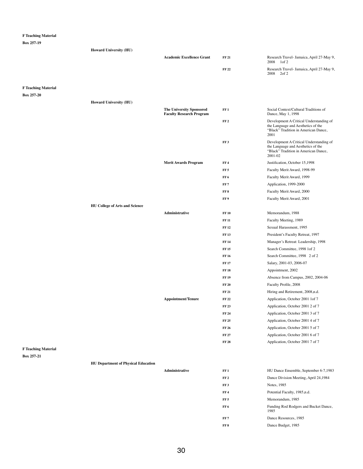**Box 257-19**

|                            | <b>Howard University (HU)</b>         |                                                                    |                 |                                                                                                                                  |
|----------------------------|---------------------------------------|--------------------------------------------------------------------|-----------------|----------------------------------------------------------------------------------------------------------------------------------|
|                            |                                       | <b>Academic Excellence Grant</b>                                   | <b>FF 21</b>    | Research Travel- Jamaica, April 27-May 9,<br>2008 1 of 2                                                                         |
|                            |                                       |                                                                    | <b>FF 22</b>    | Research Travel- Jamaica, April 27-May 9,<br>2008 2of 2                                                                          |
|                            |                                       |                                                                    |                 |                                                                                                                                  |
| <b>F Teaching Material</b> |                                       |                                                                    |                 |                                                                                                                                  |
| <b>Box 257-20</b>          |                                       |                                                                    |                 |                                                                                                                                  |
|                            | <b>Howard University (HU)</b>         |                                                                    |                 |                                                                                                                                  |
|                            |                                       | <b>The University Sponsored</b><br><b>Faculty Research Program</b> | FF1             | Social Context/Cultural Traditions of<br>Dance, May 1, 1998                                                                      |
|                            |                                       |                                                                    | FF <sub>2</sub> | Development A Critical Understanding of<br>the Language and Aesthetics of the<br>"Black" Tradition in American Dance,<br>2001    |
|                            |                                       |                                                                    | FF3             | Development A Critical Understanding of<br>the Language and Aesthetics of the<br>"Black" Tradition in American Dance,<br>2001-02 |
|                            |                                       | <b>Merit Awards Program</b>                                        | FF <sub>4</sub> | Justification, October 15,1998                                                                                                   |
|                            |                                       |                                                                    | FF <sub>5</sub> | Faculty Merit Award, 1998-99                                                                                                     |
|                            |                                       |                                                                    | FF <sub>6</sub> | Faculty Merit Award, 1999                                                                                                        |
|                            |                                       |                                                                    | FF <sub>7</sub> | Application, 1999-2000                                                                                                           |
|                            |                                       |                                                                    | FF 8            | Faculty Merit Award, 2000                                                                                                        |
|                            |                                       |                                                                    | FF 9            | Faculty Merit Award, 2001                                                                                                        |
|                            | <b>HU College of Arts and Science</b> |                                                                    |                 |                                                                                                                                  |
|                            |                                       | Administrative                                                     | <b>FF 10</b>    | Memorandum, 1988                                                                                                                 |
|                            |                                       |                                                                    | <b>FF 11</b>    | Faculty Meeting, 1989                                                                                                            |
|                            |                                       |                                                                    | <b>FF 12</b>    | Sexual Harassment, 1995                                                                                                          |
|                            |                                       |                                                                    | <b>FF13</b>     | President's Faculty Retreat, 1997                                                                                                |
|                            |                                       |                                                                    | <b>FF 14</b>    | Manager's Retreat: Leadership, 1998                                                                                              |
|                            |                                       |                                                                    | <b>FF 15</b>    | Search Committee, 1998 1of 2                                                                                                     |
|                            |                                       |                                                                    | <b>FF 16</b>    | Search Committee, 1998 2 of 2                                                                                                    |
|                            |                                       |                                                                    | <b>FF17</b>     | Salary, 2001-03, 2006-07                                                                                                         |
|                            |                                       |                                                                    | <b>FF 18</b>    | Appointment, 2002                                                                                                                |
|                            |                                       |                                                                    | <b>FF 19</b>    | Absence from Campus, 2002, 2004-06                                                                                               |
|                            |                                       |                                                                    | <b>FF 20</b>    | Faculty Profile, 2008                                                                                                            |

|                           | <b>FF 21</b> | Hiring and Retirement, 2008, n.d. |
|---------------------------|--------------|-----------------------------------|
| <b>Appointment/Tenure</b> | <b>FF 22</b> | Application, October 2001 1 of 7  |
|                           | <b>FF23</b>  | Application, October 2001 2 of 7  |
|                           | <b>FF 24</b> | Application, October 2001 3 of 7  |
|                           | <b>FF 25</b> | Application, October 2001 4 of 7  |
|                           | <b>FF 26</b> | Application, October 2001 5 of 7  |
|                           | <b>FF 27</b> | Application, October 2001 6 of 7  |
|                           | <b>FF 28</b> | Application, October 2001 7 of 7  |
|                           |              |                                   |

 $Administrative$ 

# **F Teaching Material**

### **Box 257-21**

**HU Department of Physical Education**

| FF 1            | HU Dance Ensemble, September 6-7,1983         |
|-----------------|-----------------------------------------------|
| FF <sub>2</sub> | Dance Division Meeting, April 24,1984         |
| <b>FF 3</b>     | Notes, 1985                                   |
| <b>FF4</b>      | Potential Faculty, 1985, n.d.                 |
| FF 5            | Memorandum, 1985                              |
| FF 6            | Funding Rod Rodgers and Bucket Dance,<br>1985 |
| <b>FF 7</b>     | Dance Resources, 1985                         |
| FF 8            | Dance Budget, 1985                            |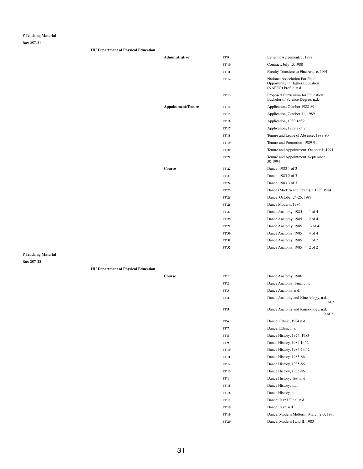**Box 257-21**

**HU Department of Physical Education**

| <b>Administrative</b>     | FF 9         | Letter of Agreement, c. 1987                                                                      |
|---------------------------|--------------|---------------------------------------------------------------------------------------------------|
|                           | <b>FF10</b>  | Contract, July 15,1988                                                                            |
|                           | <b>FF 11</b> | Faculty Transfere to Fine Arts, c. 1991                                                           |
|                           | <b>FF12</b>  | <b>National Association For Equal</b><br>Opportunity in Higher Education<br>(NAFEO) Profile, n.d. |
|                           | <b>FF13</b>  | Proposed Curriculum for Education<br>Bachelor of Science Degree, n.d.                             |
| <b>Appointment/Tenure</b> | <b>FF 14</b> | Application, October 1988-89                                                                      |
|                           | <b>FF15</b>  | Application, October 11, 1989                                                                     |
|                           | <b>FF16</b>  | Application, 1989 1 of 2                                                                          |
|                           | <b>FF17</b>  | Application, 1989 2 of 2                                                                          |
|                           | <b>FF18</b>  | Tenure and Leave of Absence, 1989-90                                                              |
|                           | <b>FF19</b>  | Tenure and Promotion, 1989-91                                                                     |
|                           | <b>FF 20</b> | Tenure and Appointment, October 1, 1991                                                           |
|                           | <b>FF 21</b> | Tenure and Appointment, September<br>30,1994                                                      |
| Course                    | <b>FF22</b>  | Dance, 1983 1 of 3                                                                                |
|                           | <b>FF 23</b> | Dance, 1983 2 of 3                                                                                |
|                           | <b>FF 24</b> | Dance, 1983 3 of 3                                                                                |
|                           | <b>FF 25</b> | Dance (Modern and Exam), c.1983 1984                                                              |
|                           | <b>FF 26</b> | Dance, October 24-25, 1988                                                                        |
|                           | <b>FF 26</b> | Dance Modern, 1986                                                                                |
|                           | <b>FF 27</b> | Dance Anatomy, 1985<br>$1$ of $4$                                                                 |
|                           | <b>FF 28</b> | $2$ of $4$<br>Dance Anatomy, 1985                                                                 |
|                           | <b>FF 29</b> | 3 of 4<br>Dance Anatomy, 1985                                                                     |
|                           | <b>FF 30</b> | 4 of 4<br>Dance Anatomy, 1985                                                                     |
|                           | <b>FF31</b>  | 1 of 2<br>Dance Anatomy, 1985                                                                     |
|                           | <b>FF32</b>  | $2$ of $2$<br>Dance Anatomy, 1985                                                                 |
|                           |              |                                                                                                   |

**F Teaching Material**

**Box 257-22**

**HU Department of Physical Education**

| Course | FF 1            | Dance Anatomy, 1986        |
|--------|-----------------|----------------------------|
|        | FF <sub>2</sub> | Dance Anatomy: Final, n.d. |
|        | <b>FF 3</b>     | Dance Anatomy, n.d.        |

| FF 4         | Dance Anatomy and Kinesiology, n.d.<br>$1$ of $2$ |
|--------------|---------------------------------------------------|
| FF 5         | Dance Anatomy and Kinesiology, n.d.<br>$2$ of $2$ |
| FF 6         | Dance: Ethnic, 1984, n, d,                        |
| FF 7         | Dance: Ethnic, n,d,                               |
| FF 8         | Dance History, 1974, 1983                         |
| FF 9         | Dance History, 1984 1 of 2                        |
| <b>FF 10</b> | Dance History, 1984 2 of 2                        |
| <b>FF 11</b> | Dance History, 1985-86                            |
| FF 12        | Dance History, 1985-86                            |
| <b>FF13</b>  | Dance History, 1985-86                            |
| FF 14        | Dance History: Test, n.d.                         |
| <b>FF15</b>  | Dance History, n.d.                               |
| FF 16        | Dance History, n.d.                               |
| FF 17        | Dance: Jazz I Final, n.d.                         |
| FF 18        | Dance: Jazz, n.d.                                 |
| FF 19        | Dance: Modern Midterm, March 2-3, 1983            |
| FF 20        | Dance: Modern I and II, 1983                      |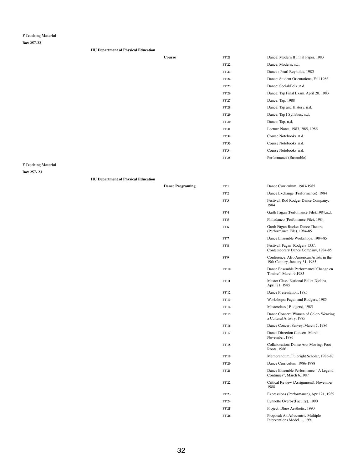**Box 257-22**

| <b>HU Department of Physical Education</b> |        |              |                                        |
|--------------------------------------------|--------|--------------|----------------------------------------|
|                                            | Course | <b>FF 21</b> | Dance: Modern II Final Paper, 1983     |
|                                            |        | <b>FF 22</b> | Dance: Modern, n,d.                    |
|                                            |        | <b>FF 23</b> | Dance: Pearl Reynolds, 1985            |
|                                            |        | <b>FF 24</b> | Dance: Student Orientations, Fall 1986 |
|                                            |        | <b>FF 25</b> | Dance: Social/Folk, n.d.               |
|                                            |        | <b>FF 26</b> | Dance: Tap Final Exam, April 20, 1983  |
|                                            |        | <b>FF 27</b> | Dance: Tap, 1988                       |
|                                            |        | <b>FF 28</b> | Dance: Tap and History, n.d.           |
|                                            |        | <b>FF 29</b> | Dance: Tap I Syllabus, n,d,            |
|                                            |        | <b>FF 30</b> | Dance: Tap, n,d,                       |
|                                            |        | <b>FF 31</b> | Lecture Notes, 1983, 1985, 1986        |
|                                            |        | <b>FF 32</b> | Course Notebooks, n.d.                 |
|                                            |        | <b>FF 33</b> | Course Notebooks, n.d.                 |
|                                            |        | <b>FF 34</b> | Course Notebooks, n.d.                 |
|                                            |        | <b>FF 35</b> | Performance (Ensemble)                 |
|                                            |        |              |                                        |

# **F Teaching Material**

**Box 257- 23**

**HU Department of Physical Education**

| <b>Dance Programing</b> | FF1             | Dance Curriculum, 1983-1985                                                |
|-------------------------|-----------------|----------------------------------------------------------------------------|
|                         | FF <sub>2</sub> | Dance Exchange (Performance), 1984                                         |
|                         | FF <sub>3</sub> | Festival: Rod Rodger Dance Company,<br>1984                                |
|                         | FF <sub>4</sub> | Garth Fagan (Perfomance File), 1984, n.d.                                  |
|                         | FF <sub>5</sub> | Philadanco (Perfomance File), 1984                                         |
|                         | FF <sub>6</sub> | Garth Fagan Bucket Dance Theatre<br>(Performance File), 1984-85            |
|                         | FF <sub>7</sub> | Dance Ensemble Workshops, 1984-85                                          |
|                         | FF <sub>8</sub> | Festival: Fagan, Rodgers, D.C.<br>Contemporary Dance Company, 1984-85      |
|                         | FF <sub>9</sub> | Conference: Afro American Artists in the<br>19th Century, January 31, 1985 |
|                         | <b>FF10</b>     | Dance Ensemble Performance" Change en<br>Timbre", March 9,1985             |
|                         | <b>FF 11</b>    | Master Class: National Ballet Djoliba,<br>April 21, 1985                   |
|                         | <b>FF12</b>     | Dance Presentation, 1985                                                   |
|                         | <b>FF13</b>     | Workshops: Fagan and Rodgers, 1985                                         |
|                         | <b>FF 14</b>    | Masterclass (Budgets), 1985                                                |
|                         | <b>FF15</b>     | Dance Concert: Women of Color-Weaving<br>a Cultural Artistry, 1985         |
|                         | <b>FF16</b>     | Dance Concert Survey, March 7, 1986                                        |
|                         | <b>FF17</b>     | Dance Direction Concert, March-<br>November, 1986                          |
|                         | <b>FF18</b>     | <b>Collaboration: Dance Arts Moving: Foot</b><br>Roots, 1986               |
|                         | <b>FF19</b>     | Memorandum, Fulbright Scholar, 1986-87                                     |
|                         | <b>FF 20</b>    | Dance Curriculum, 1986-1988                                                |
|                         | <b>FF21</b>     | Dance Ensemble Performance "A Legend<br>Continues", March 6,1987           |
|                         | <b>FF22</b>     | Critical Review (Assignment), November<br>1988                             |
|                         | <b>FF23</b>     | Expressions (Performance), April 21, 1989                                  |
|                         | <b>FF 24</b>    | Lynnette Overby(Faculty), 1990                                             |
|                         | <b>FF 25</b>    | Project: Blues Aesthetic, 1990                                             |
|                         | <b>FF 26</b>    | Proposal: An Afrocentric Multiple<br>Interventions Model, 1991             |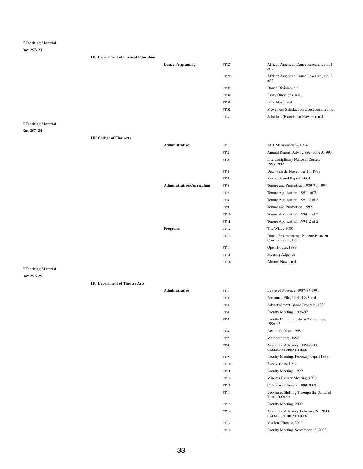**Box 257- 23**

| <b>HU Department of Physical Education</b> |                         |              |                                                 |
|--------------------------------------------|-------------------------|--------------|-------------------------------------------------|
|                                            | <b>Dance Programing</b> | <b>FF 27</b> | African American Dance Research, n.d. 1<br>of 2 |
|                                            |                         | <b>FF 28</b> | African American Dance Research, n.d. 2<br>of 2 |
|                                            |                         | <b>FF 29</b> | Dance Division, n.d.                            |
|                                            |                         | <b>FF 30</b> | Essay Questions, n.d.                           |
|                                            |                         | <b>FF 31</b> | Folk Music, n.d.                                |
|                                            |                         | <b>FF32</b>  | Movement Satisfaction Questionnaire, n.d.       |
|                                            |                         | <b>FF33</b>  | Schedule (Exercise at Howard), n.d.             |
| nm 1. 1. 1.                                |                         |              |                                                 |

**F Teaching Material**

**Box 257- 24**

### **HU College of Fine Arts**

| Administrative            | FF1             | APT Memorandum, 1994                                     |
|---------------------------|-----------------|----------------------------------------------------------|
|                           | FF <sub>2</sub> | Annual Report, July 1,1992- June 3,1993                  |
|                           | FF <sub>3</sub> | Interdisciplinary National Center,<br>1995,1997          |
|                           | FF4             | Dean Search, November 10, 1997                           |
|                           | FF <sub>5</sub> | Review Panel Report, 2003                                |
| Administrative/Curriculum | FF <sub>6</sub> | Tenure and Promotion, 1989-91, 1994                      |
|                           | FF <sub>7</sub> | Tenure Application, 1991 1 of 2                          |
|                           | FF <sub>8</sub> | Tenure Application, 1991 2 of 2                          |
|                           | FF9             | Tenure and Promotion, 1992                               |
|                           | <b>FF10</b>     | Tenure Application, 1994 1 of 2                          |
|                           | <b>FF 11</b>    | Tenure Application, 1994 2 of 2                          |
| Programs                  | <b>FF12</b>     | The Wiz, c.1980                                          |
|                           | <b>FF13</b>     | Dance Programming: Nanette Bearden<br>Contemporary, 1993 |
|                           | <b>FF14</b>     | Open House, 1999                                         |
|                           | <b>FF15</b>     | Meeting Adgenda                                          |
|                           | <b>FF16</b>     | Alumni News, n.d.                                        |

| Administrative                   | FF1             | <b>APT</b> Memorand               |
|----------------------------------|-----------------|-----------------------------------|
|                                  | FF <sub>2</sub> | Annual Report,.                   |
|                                  | FF <sub>3</sub> | Interdisciplinary<br>1995,1997    |
|                                  | FF <sub>4</sub> | Dean Search, No                   |
|                                  | FF <sub>5</sub> | Review Panel Ro                   |
| <b>Administrative/Curriculum</b> | FF <sub>6</sub> | Tenure and Pron                   |
|                                  | FF <sub>7</sub> | Tenure Applicati                  |
|                                  | FF <sub>8</sub> | Tenure Applicati                  |
|                                  | FF9             | Tenure and Pron                   |
|                                  | <b>FF10</b>     | Tenure Applicati                  |
|                                  | <b>FF11</b>     | Tenure Applicati                  |
| <b>Programs</b>                  | <b>FF12</b>     | The Wiz, c.1980                   |
|                                  | <b>FF13</b>     | Dance Programm<br>Contemporary, 1 |
|                                  | <b>FF14</b>     | Open House, 199                   |
|                                  | <b>FF15</b>     | Meeting Adgend                    |
|                                  | FF 16           | Alumni News n                     |

**F Teaching Material**

| FF 2            | Personnel File, 1991, 1993, n.d.                                    |
|-----------------|---------------------------------------------------------------------|
| FF <sub>3</sub> | Advertisement Dance Program, 1992                                   |
| FF 4            | Faculty Meeting, 1996-97                                            |
| FF 5            | Faculty Communications/Committee,<br>1996-97                        |
| FF 6            | Academic Year, 1998                                                 |
| FF 7            | Memorandum, 1998                                                    |
| FF 8            | Academic Advisory, 1998-2000<br><b>CLOSED STUDENT FILES</b>         |
| FF 9            | Faculty Meeting, February -April 1999                               |
| <b>FF 10</b>    | Renovations, 1999                                                   |
| FF 11           | Faculty Meeting, 1999                                               |
| FF 12           | Minutes Faculty Meeting, 1999                                       |
| FF 13           | Calendar of Events, 1999-2000                                       |
| FF 14           | Brochure: Shifting Through the Sands of<br>Time, 2000-01            |
| FF 15           | Faculty Meeting, 2002                                               |
| FF 16           | Academic Advisory, February 26, 2003<br><b>CLOSED STUDENT FILES</b> |
| FF 17           | Musical Theatre, 2004                                               |
| <b>FF 18</b>    | Faculty Meeting, September 18, 2006                                 |
|                 |                                                                     |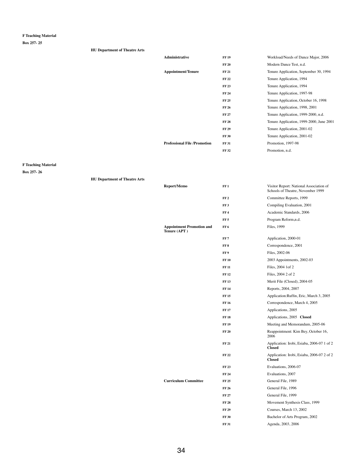**Box 257- 25**

### **HU Department of Theatre Arts**

| <b>Administrative</b>               | <b>FF 19</b> | Workload/Needs of Dance Major, 2006      |
|-------------------------------------|--------------|------------------------------------------|
|                                     | <b>FF 20</b> | Modern Dance Test, n.d.                  |
| <b>Appointment/Tenure</b>           | <b>FF 21</b> | Tenure Application, September 30, 1994   |
|                                     | <b>FF 22</b> | Tenure Application, 1994                 |
|                                     | <b>FF 23</b> | Tenure Application, 1994                 |
|                                     | <b>FF 24</b> | Tenure Application, 1997-98              |
|                                     | <b>FF 25</b> | Tenure Application, October 16, 1998     |
|                                     | <b>FF 26</b> | Tenure Application, 1998, 2001           |
|                                     | <b>FF 27</b> | Tenure Application, 1999-2000, n.d.      |
|                                     | <b>FF 28</b> | Tenure Application, 1999-2000, June 2001 |
|                                     | <b>FF 29</b> | Tenure Application, 2001-02              |
|                                     | <b>FF 30</b> | Tenure Application, 2001-02              |
| <b>Professional File /Promotion</b> | <b>FF 31</b> | Promotion, 1997-98                       |
|                                     | <b>FF 32</b> | Promotion, n.d.                          |
|                                     |              |                                          |

# **F Teaching Material**

| <b>HU Department of Theatre Arts</b> |  |
|--------------------------------------|--|
|--------------------------------------|--|

| <b>Report/Memo</b>                               | FF1             | Visitor Report: National Association of<br>Schools of Theatre, November 1999 |
|--------------------------------------------------|-----------------|------------------------------------------------------------------------------|
|                                                  | FF <sub>2</sub> | Committee Reports, 1999                                                      |
|                                                  | FF <sub>3</sub> | Compiling Evaluation, 2001                                                   |
|                                                  | FF <sub>4</sub> | Academic Standards, 2006                                                     |
|                                                  | FF <sub>5</sub> | Program Reform, n.d.                                                         |
| <b>Appointment Promotion and</b><br>Tenure (APT) | FF <sub>6</sub> | Files, 1999                                                                  |
|                                                  | FF <sub>7</sub> | Application, 2000-01                                                         |
|                                                  | FF <sub>8</sub> | Correspondence, 2001                                                         |
|                                                  | FF 9            | Files, 2002-06                                                               |
|                                                  | <b>FF10</b>     | 2003 Appointments, 2002-03                                                   |
|                                                  | <b>FF 11</b>    | Files, 2004 1 of 2                                                           |
|                                                  | <b>FF12</b>     | Files, 2004 2 of 2                                                           |
|                                                  | <b>FF13</b>     | Merit File (Closed), 2004-05                                                 |
|                                                  | <b>FF14</b>     | Reports, 2004, 2007                                                          |
|                                                  | <b>FF15</b>     | Application: Ruffin, Eric, March 3, 2005                                     |
|                                                  | <b>FF16</b>     | Correspondence, March 4, 2005                                                |
|                                                  | <b>FF17</b>     | Applications, 2005                                                           |
|                                                  | <b>FF18</b>     | Applications, 2005 Closed                                                    |
|                                                  | <b>FF19</b>     | Meeting and Memorandum, 2005-06                                              |
|                                                  | <b>FF 20</b>    | Reappointment: Kim Bey, October 16,<br>2006                                  |
|                                                  | <b>FF 21</b>    | Application: Irobi, Esiaba, 2006-07 1 of 2<br><b>Closed</b>                  |
|                                                  | <b>FF22</b>     | Application: Irobi, Esiaba, 2006-07 2 of 2<br><b>Closed</b>                  |
|                                                  | <b>FF23</b>     | Evaluations, 2006-07                                                         |
|                                                  | <b>FF 24</b>    | Evaluations, 2007                                                            |
| <b>Curriculum Committee</b>                      | <b>FF25</b>     | General File, 1989                                                           |
|                                                  | <b>FF 26</b>    | General File, 1996                                                           |
|                                                  | <b>FF27</b>     | General File, 1999                                                           |
|                                                  | <b>FF 28</b>    | Movement Synthesis Class, 1999                                               |
|                                                  | <b>FF 29</b>    | Courses, March 13, 2002                                                      |
|                                                  | <b>FF 30</b>    | Bachelor of Arts Program, 2002                                               |
|                                                  | <b>FF31</b>     | Agenda, 2003, 2006                                                           |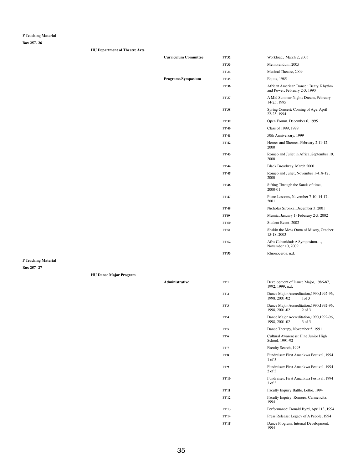**Box 257- 26**

| <b>Curriculum Committee</b> | <b>FF32</b>  | Workload, March 2, 2005                                                |
|-----------------------------|--------------|------------------------------------------------------------------------|
|                             | <b>FF33</b>  | Memorandum, 2005                                                       |
|                             | <b>FF34</b>  | Musical Theatre, 2009                                                  |
| Programs/Symposium          | <b>FF35</b>  | Equus, 1985                                                            |
|                             | <b>FF36</b>  | African American Dance: Beaty, Rhythm<br>and Power, February 2-3, 1990 |
|                             | <b>FF 37</b> | A Mid Summer Nights Dream, February<br>14-25, 1995                     |
|                             | <b>FF38</b>  | Spring Concert: Coming of Age, April<br>22-23, 1994                    |
|                             | <b>FF39</b>  | Open Forum, December 6, 1995                                           |
|                             | <b>FF40</b>  | Class of 1999, 1999                                                    |
|                             | <b>FF41</b>  | 50th Anniversary, 1999                                                 |
|                             | <b>FF42</b>  | Heroes and Sheroes, February 2,11-12,<br>2000                          |
|                             | <b>FF43</b>  | Romeo and Juliet in Africa, September 19,<br>2000                      |
|                             | <b>FF44</b>  | Black Broadway, March 2000                                             |
|                             | <b>FF45</b>  | Romeo and Juliet, November 1-4, 8-12,<br>2000                          |
|                             | <b>FF46</b>  | Sifting Through the Sands of time,<br>2000-01                          |
|                             | <b>FF47</b>  | Piano Lessons, November 7-10, 14-17,<br>2001                           |
|                             | <b>FF48</b>  | Nicholas Sironka, December 3, 2001                                     |
|                             | <b>FF49</b>  | Mumia, January 1 - Feburary 2-5, 2002                                  |
|                             | <b>FF 50</b> | Student Event, 2002                                                    |
|                             | <b>FF 51</b> | Shakin the Mess Outta of Misery, October<br>15-18, 2003                |
|                             | <b>FF 52</b> | Afro-Cubanidad: A Symposium,<br>November 10, 2009                      |
|                             | <b>FF 53</b> | Rhionoceros, n.d.                                                      |
|                             |              |                                                                        |

Administrative **FF1 Development of Dance Major, 1986-87,** 1992, 1999, n,d,

| FF <sub>2</sub> | Dance Major Accreditation, 1990, 1992-96,<br>1998, 2001-02<br>1 <sub>of</sub> 3 |
|-----------------|---------------------------------------------------------------------------------|
| FF3             | Dance Major Accreditation, 1990, 1992-96,<br>1998, 2001-02<br>$2$ of $3$        |
| FF <sub>4</sub> | Dance Major Accreditation, 1990, 1992-96,<br>1998, 2001-02<br>3 of 3            |
| FF <sub>5</sub> | Dance Therapy, November 5, 1991                                                 |
| FF 6            | Cultural Awareness: Hine Junior High<br>School, 1991-92                         |
| FF7             | Faculty Search, 1993                                                            |
| FF <sub>8</sub> | Fundraiser: First Amankwa Festival, 1994<br>$1$ of $3$                          |
| FF <sub>9</sub> | Fundraiser: First Amankwa Festival, 1994<br>$2$ of $3$                          |
| <b>FF10</b>     | Fundraiser: First Amankwa Festival, 1994<br>3 of 3                              |
| <b>FF 11</b>    | Faculty Inquiry: Battle, Lettie, 1994                                           |
| <b>FF12</b>     | Faculty Inquiry: Romero, Carmencita,<br>1994                                    |
| <b>FF</b> 13    | Performance: Donald Byrd, April 13, 1994                                        |
| <b>FF</b> 14    | Press Release: Legacy of A People, 1994                                         |
| <b>FF</b> 15    | Dance Program: Internal Development,<br>1994                                    |

**F Teaching Material**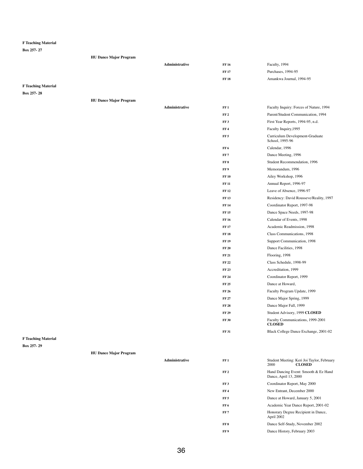**Box 257- 27**

|                            | <b>HU Dance Major Program</b> |                       |                 |                                                    |
|----------------------------|-------------------------------|-----------------------|-----------------|----------------------------------------------------|
|                            |                               | <b>Administrative</b> | <b>FF 16</b>    | Faculty, 1994                                      |
|                            |                               |                       | <b>FF 17</b>    | Purchases, 1994-95                                 |
|                            |                               |                       | <b>FF 18</b>    | Amankwa Journal, 1994-95                           |
| <b>F Teaching Material</b> |                               |                       |                 |                                                    |
| Box 257-28                 |                               |                       |                 |                                                    |
|                            | <b>HU Dance Major Program</b> |                       |                 |                                                    |
|                            |                               | <b>Administrative</b> | FF1             | Faculty Inquiry: Forces of Nature, 1994            |
|                            |                               |                       | FF <sub>2</sub> | Parent/Student Communication, 1994                 |
|                            |                               |                       | FF3             | First Year Reports, 1994-95, n.d.                  |
|                            |                               |                       | FF <sub>4</sub> | Faculty Inquiry, 1995                              |
|                            |                               |                       | FF <sub>5</sub> | Curriculum Development-Graduate<br>School, 1995-96 |
|                            |                               |                       | FF <sub>6</sub> | Calendar, 1996                                     |
|                            |                               |                       | FF7             | Dance Meeting, 1996                                |
|                            |                               |                       | FF8             | Student Recommendation, 1996                       |
|                            |                               |                       | FF 9            | Memorandum, 1996                                   |
|                            |                               |                       | <b>FF 10</b>    | Ailey Workshop, 1996                               |
|                            |                               |                       | <b>FF 11</b>    | Annual Report, 1996-97                             |
|                            |                               |                       | <b>FF 12</b>    | Leave of Absence, 1996-97                          |
|                            |                               |                       | <b>FF 13</b>    | Residency: David Rousseve/Reality, 1997            |
|                            |                               |                       | <b>FF 14</b>    | Coordinator Report, 1997-98                        |
|                            |                               |                       | <b>FF 15</b>    | Dance Space Needs, 1997-98                         |
|                            |                               |                       | <b>FF 16</b>    | Calendar of Events, 1998                           |
|                            |                               |                       | <b>FF 17</b>    | Academic Readmission, 1998                         |
|                            |                               |                       | <b>FF 18</b>    | Class Communications, 1998                         |
|                            |                               |                       | <b>FF 19</b>    | Support Communication, 1998                        |
|                            |                               |                       | FF20            | Dance Facilities, 1998                             |
|                            |                               |                       | FF21            | Flooring, 1998                                     |
|                            |                               |                       | <b>FF 22</b>    | Class Schedule, 1998-99                            |
|                            |                               |                       | <b>FF 23</b>    | Accreditation, 1999                                |
|                            |                               |                       | <b>FF 24</b>    | Coordinator Report, 1999                           |
|                            |                               |                       | <b>FF 25</b>    | Dance at Howard,                                   |

FF 26 Faculty Program Update, 1999

|                            |                               |                       | <b>FF 27</b>    | Dance Major Spring, 1999                                            |
|----------------------------|-------------------------------|-----------------------|-----------------|---------------------------------------------------------------------|
|                            |                               |                       | <b>FF 28</b>    | Dance Major Fall, 1999                                              |
|                            |                               |                       | <b>FF 29</b>    | Student Advisory, 1999 CLOSED                                       |
|                            |                               |                       | <b>FF 30</b>    | Faculty Communications, 1999-2001<br><b>CLOSED</b>                  |
|                            |                               |                       | <b>FF 31</b>    | Black College Dance Exchange, 2001-02                               |
| <b>F Teaching Material</b> |                               |                       |                 |                                                                     |
| Box 257-29                 |                               |                       |                 |                                                                     |
|                            | <b>HU Dance Major Program</b> |                       |                 |                                                                     |
|                            |                               | <b>Administrative</b> | FF1             | Student Meeting: Keri Joi Taylor, February<br><b>CLOSED</b><br>2000 |
|                            |                               |                       | FF <sub>2</sub> | Hand Dancing Event: Smooth & Ez Hand<br>Dance, April 13, 2000       |
|                            |                               |                       | FF3             | Coordinator Report, May 2000                                        |
|                            |                               |                       | FF <sub>4</sub> | New Entrant, December 2000                                          |
|                            |                               |                       | FF <sub>5</sub> | Dance at Howard, January 5, 2001                                    |
|                            |                               |                       | FF <sub>6</sub> | Academic Year Dance Report, 2001-02                                 |
|                            |                               |                       | FF7             | Honorary Degree Recipient in Dance,<br>April 2002                   |
|                            |                               |                       | FF8             | Dance Self-Study, November 2002                                     |
|                            |                               |                       | FF9             | Dance History, February 2003                                        |
|                            |                               |                       |                 |                                                                     |
|                            |                               |                       |                 |                                                                     |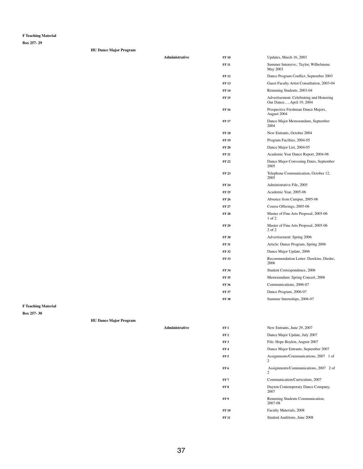**Box 257- 29**

| <b>HU Dance Major Program</b> |  |  |
|-------------------------------|--|--|
|-------------------------------|--|--|

| Administrative | <b>FF10</b>  | Updates, March 16, 2003                                              |
|----------------|--------------|----------------------------------------------------------------------|
|                | <b>FF11</b>  | Summer Intensive,: Taylor, Wilhelmena<br>May 2003                    |
|                | <b>FF12</b>  | Dance Program Conflict, September 2003                               |
|                | <b>FF13</b>  | Guest Faculty Artist Consultation, 2003-04                           |
|                | <b>FF14</b>  | Returning Students, 2003-04                                          |
|                | <b>FF15</b>  | Advertisement: Celebrating and Honoring<br>Our Dance, April 19, 2004 |
|                | <b>FF16</b>  | Prospective Freshman Dance Majors,<br>August 2004                    |
|                | <b>FF17</b>  | Dance Major Memorandum, September<br>2004                            |
|                | <b>FF18</b>  | New Entrants, October 2004                                           |
|                | <b>FF19</b>  | Program Facilties, 2004-05                                           |
|                | <b>FF 20</b> | Dance Major List, 2004-05                                            |
|                | <b>FF21</b>  | Academic Year Dance Report, 2004-06                                  |
|                | <b>FF22</b>  | Dance Major Convening Dates, September<br>2005                       |
|                | <b>FF 23</b> | Telephone Communication, October 12,<br>2005                         |
|                | <b>FF 24</b> | Administrative File, 2005                                            |
|                | <b>FF25</b>  | Academic Year, 2005-06                                               |
|                | <b>FF 26</b> | Absence from Campus, 2005-06                                         |
|                | <b>FF 27</b> | Course Offerings, 2005-06                                            |
|                | <b>FF 28</b> | Master of Fine Arts Proposal, 2005-06<br>$1$ of $2$                  |
|                | <b>FF 29</b> | Master of Fine Arts Proposal, 2005-06<br>$2$ of $2$                  |
|                | <b>FF 30</b> | Advertisement: Spring 2006                                           |
|                | <b>FF 31</b> | Article: Dance Program, Spring 2006                                  |
|                | <b>FF32</b>  | Dance Major Update, 2006                                             |
|                | <b>FF33</b>  | Recommendation Letter: Dawkins, Diedre,<br>2006                      |
|                | <b>FF 34</b> | Student Correspondence, 2006                                         |
|                | <b>FF35</b>  | Memorandum: Spring Concert, 2006                                     |
|                | <b>FF36</b>  | Communications, 2006-07                                              |
|                | <b>FF 37</b> | Dance Program, 2006-07                                               |

**FF 38** Summer Internships, 2006-07

## **F Teaching Material**

**Box 257- 30**

## **HU Dance Major Program**

| <b>Administrative</b> | FF1             | New Entrants, June 29, 2007                             |
|-----------------------|-----------------|---------------------------------------------------------|
|                       | FF <sub>2</sub> | Dance Major Update, July 2007                           |
|                       | FF3             | File: Hope Boykin, August 2007                          |
|                       | FF <sub>4</sub> | Dance Major Entrants, September 2007                    |
|                       | FF <sub>5</sub> | Assignments/Communications, 2007 1 of<br>2              |
|                       | FF6             | Assignments/Communications, 2007 2 of<br>$\overline{2}$ |
|                       | FF <sub>7</sub> | Communication/Curriculum, 2007                          |
|                       | FF 8            | Dayton Contemporary Dance Company,<br>2007              |
|                       | FF 9            | Returning Students Communication,<br>2007-08            |
|                       | <b>FF 10</b>    | Faculty Materials, 2008                                 |
|                       | <b>FF 11</b>    | <b>Student Auditions, June 2008</b>                     |
|                       |                 |                                                         |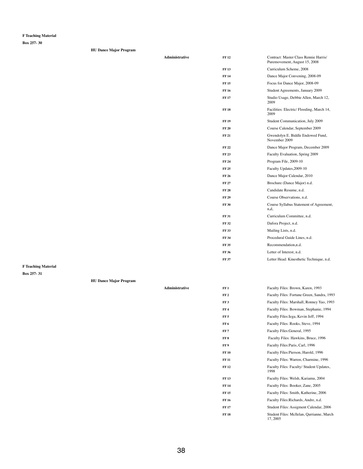**Box 257- 30**

|  |  |  | <b>HU Dance Major Program</b> |  |
|--|--|--|-------------------------------|--|
|--|--|--|-------------------------------|--|

| Administrative | <b>FF12</b>  | Contract: Master Class Rennie Harris/<br>Puremovement, August 15, 2008 |
|----------------|--------------|------------------------------------------------------------------------|
|                | <b>FF13</b>  | Curriculum Scheme, 2008                                                |
|                | <b>FF14</b>  | Dance Major Convening, 2008-09                                         |
|                | <b>FF15</b>  | Focus for Dance Major, 2008-09                                         |
|                | <b>FF16</b>  | Student Agreements, January 2009                                       |
|                | <b>FF17</b>  | Studio Usage, Debbie Allen, March 12,<br>2009                          |
|                | <b>FF18</b>  | Facilities: Electric/Flooding, March 14,<br>2009                       |
|                | <b>FF19</b>  | Student Communication, July 2009                                       |
|                | <b>FF 20</b> | Course Calendar, September 2009                                        |
|                | <b>FF 21</b> | Gwendolyn E. Biddle Endowed Fund,<br>November 2009                     |
|                | <b>FF22</b>  | Dance Major Program, December 2009                                     |
|                | <b>FF23</b>  | Faculty Evaluation, Spring 2009                                        |
|                | <b>FF 24</b> | Program File, 2009-10                                                  |
|                | <b>FF25</b>  | Faculty Updates, 2009-10                                               |
|                | <b>FF 26</b> | Dance Major Calendar, 2010                                             |
|                | <b>FF 27</b> | Brochure (Dance Major) n.d.                                            |
|                | <b>FF 28</b> | Candidate Resume, n.d.                                                 |
|                | <b>FF 29</b> | Course Observations, n.d.                                              |
|                | <b>FF 30</b> | Course Syllabus Statement of Agreement,<br>n,d,                        |
|                | <b>FF 31</b> | Curriculum Committee, n.d.                                             |
|                | FF 32        | Dafora Project, n.d.                                                   |
|                | <b>FF33</b>  | Mailing Lists, n.d.                                                    |
|                | <b>FF 34</b> | Procedural Guide Lines, n.d.                                           |
|                | <b>FF35</b>  | Recommendation,n.d.                                                    |

**FF 37** Letter Head: Kinesthetic Technique, n.d.

FF 36 Letter of Interest, n.d.

**F Teaching Material**

| FF <sub>2</sub> | Faculty Files: Fortune Green, Sandra, 1993           |
|-----------------|------------------------------------------------------|
| FF <sub>3</sub> | Faculty Files: Marshall, Ronney Yao, 1993            |
| FF4             | Faculty Files: Bowman, Stephanie, 1994               |
| FF 5            | Faculty Files: Iega, Kevin Jeff, 1994                |
| FF 6            | Faculty Files: Rooks, Steve, 1994                    |
| FF 7            | Faculty Files: General, 1995                         |
| FF 8            | Faculty Files: Hawkins, Bruce, 1996                  |
| FF 9            | Faculty Files: Paris, Carl, 1996                     |
| <b>FF 10</b>    | Faculty Files: Pierson, Harold, 1996                 |
| FF 11           | Faculty Files: Warren, Charmine, 1996                |
| FF 12           | Faculty Files: Faculty/ Student Updates,<br>1998     |
| <b>FF 13</b>    | Faculty Files: Welsh, Kariamu, 2004                  |
| FF 14           | Faculty Files: Booker, Zane, 2005                    |
| FF 15           | Faculty Files: Smith, Katherine, 2006                |
| FF 16           | Faculty Files: Richards, Andre, n.d.                 |
| <b>FF 17</b>    | Student Files: Assigment Calendar, 2006              |
| <b>FF 18</b>    | Student Files: Mcllelan, Qarrianne, March<br>17,2005 |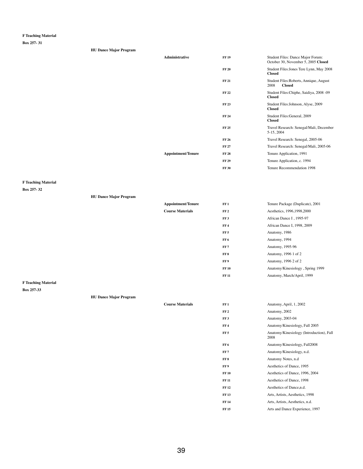**Box 257- 31**

| <b>HU Dance Major Program</b> |                           |              |                                                                          |
|-------------------------------|---------------------------|--------------|--------------------------------------------------------------------------|
|                               | <b>Administrative</b>     | <b>FF 19</b> | Student Files: Dance Major Forum:<br>October 30, November 5, 2005 Closed |
|                               |                           | <b>FF 20</b> | Student Files: Jones Tere Lynn, May 2008<br><b>Closed</b>                |
|                               |                           | <b>FF 21</b> | Student Files: Roberts, Annique, August<br>2008<br><b>Closed</b>         |
|                               |                           | <b>FF 22</b> | Student Files: Chiphe, Saidiya, 2008 -09<br><b>Closed</b>                |
|                               |                           | <b>FF 23</b> | Student Files: Johnson, Alyse, 2009<br><b>Closed</b>                     |
|                               |                           | <b>FF 24</b> | Student Files: General, 2009<br><b>Closed</b>                            |
|                               |                           | <b>FF 25</b> | Travel Research: Senegal/Mali, December<br>5-15, 2004                    |
|                               |                           | <b>FF 26</b> | Travel Research: Senegal, 2005-06                                        |
|                               |                           | <b>FF 27</b> | Travel Research: Senegal/Mali, 2005-06                                   |
|                               | <b>Appointment/Tenure</b> | <b>FF 28</b> | Tenure Application, 1991                                                 |
|                               |                           | <b>FF 29</b> | Tenure Application, c. 1994                                              |
|                               |                           | <b>FF 30</b> | Tenure Recommendation 1998                                               |

**F Teaching Material**

**Box 257- 32**

## **HU Dance Major Program**

| <b>Appointment/Tenure</b> | FF1             | Tenure Package (Duplicate), 2001 |
|---------------------------|-----------------|----------------------------------|
| <b>Course Materials</b>   | FF <sub>2</sub> | Aesthetics, 1996, 1998, 2000     |
|                           | FF3             | African Dance I, 1995-97         |
|                           | FF <sub>4</sub> | African Dance I, 1998, 2009      |
|                           | FF <sub>5</sub> | Anatomy, 1986                    |
|                           | FF 6            | Anatomy, 1994                    |
|                           | FF7             | Anatomy, 1995-96                 |
|                           | FF <sub>8</sub> | Anatomy, 1996 1 of 2             |
|                           | FF <sub>9</sub> | Anatomy, 1996 2 of 2             |
|                           | <b>FF 10</b>    | Anatomy/Kinesiology, Spring 1999 |
|                           | <b>FF 11</b>    | Anatomy, March/April, 1999       |

## **HU Dance Major Program**

| <b>Course Materials</b> | FF1             | Anatomy, April, 1, 2002                          |
|-------------------------|-----------------|--------------------------------------------------|
|                         | FF <sub>2</sub> | Anatomy, 2002                                    |
|                         | FF3             | Anatomy, 2003-04                                 |
|                         | FF <sub>4</sub> | Anatomy/Kinesiology, Fall 2005                   |
|                         | FF <sub>5</sub> | Anatomy/Kinesiology (Introduction), Fall<br>2008 |
|                         | FF <sub>6</sub> | Anatomy/Kinesiology, Fall2008                    |
|                         | FF <sub>7</sub> | Anatomy/Kinesiology, n.d.                        |
|                         | FF 8            | Anatomy Notes, n.d.                              |
|                         | FF9             | Aesthetics of Dance, 1995                        |
|                         | <b>FF 10</b>    | Aesthetics of Dance, 1996, 2004                  |
|                         | <b>FF 11</b>    | Aesthetics of Dance, 1998                        |
|                         | <b>FF12</b>     | Aesthetics of Dance, n.d.                        |
|                         | <b>FF13</b>     | Arts, Artists, Aesthetics, 1998                  |
|                         | <b>FF 14</b>    | Arts, Artists, Aesthetics, n.d.                  |
|                         | <b>FF15</b>     | Arts and Dance Experience, 1997                  |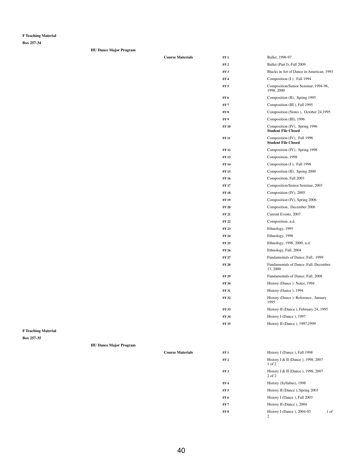**Box 257-34**

| <b>HU Dance Major Program</b> |  |
|-------------------------------|--|
|                               |  |
|                               |  |
|                               |  |

| <b>Course Materials</b> | FF1             | Ballet, 1996-97                                             |
|-------------------------|-----------------|-------------------------------------------------------------|
|                         | FF <sub>2</sub> | Ballet (Part I), Fall 2009                                  |
|                         | FF3             | Blacks in Art of Dance in American, 1993                    |
|                         | FF <sub>4</sub> | Composition (I), Fall 1994                                  |
|                         | FF <sub>5</sub> | Composition/Senior Seminar, 1994-96,<br>1998, 2000          |
|                         | FF <sub>6</sub> | Composition (II), Spring 1995                               |
|                         | FF <sub>7</sub> | Composition (III), Fall 1995                                |
|                         | FF <sub>8</sub> | Composition (Notes), October 24,1995                        |
|                         | FF 9            | Composition (III), 1996                                     |
|                         | <b>FF10</b>     | Composition (IV), Spring 1996<br><b>Student File Closed</b> |
|                         | <b>FF 11</b>    | Composition (IV), Fall 1996<br><b>Student File Closed</b>   |
|                         | <b>FF12</b>     | Composition (IV), Spring 1998                               |
|                         | <b>FF13</b>     | Composition, 1998                                           |
|                         | <b>FF 14</b>    | Composition (I), Fall 1998                                  |
|                         | <b>FF15</b>     | Composition (II), Spring 2000                               |
|                         | <b>FF16</b>     | Composition, Fall 2003                                      |
|                         | <b>FF17</b>     | Composition/Senior Seminar, 2003                            |
|                         | <b>FF18</b>     | Composition (IV), 2005                                      |
|                         | <b>FF 19</b>    | Composition (IV), Spring 2006                               |
|                         | <b>FF 20</b>    | Composition, December 2006                                  |
|                         | <b>FF 21</b>    | Current Events, 2007                                        |
|                         | <b>FF22</b>     | Composition, n.d.                                           |
|                         | <b>FF23</b>     | Ethnology, 1995                                             |
|                         | <b>FF 24</b>    | Ethnology, 1998                                             |
|                         | <b>FF25</b>     | Ethnology, 1998, 2000, n.d.                                 |
|                         | <b>FF 26</b>    | Ethnology, Fall, 2004                                       |
|                         | <b>FF 27</b>    | Fundamentals of Dance, Fall, 1999                           |
|                         | <b>FF28</b>     | Fundamentals of Dance, Fall, December<br>13,2000            |
|                         | <b>FF 29</b>    | Fundamentals of Dance, Fall, 2008                           |
|                         | <b>FF 30</b>    | History (Dance): Notes, 1994                                |
|                         | <b>FF31</b>     | History (Dance), 1994                                       |

|                            |                               |                         | <b>FF 32</b>    | History (Dance ): Reference, January<br>1995         |  |
|----------------------------|-------------------------------|-------------------------|-----------------|------------------------------------------------------|--|
|                            |                               |                         | <b>FF 33</b>    | History II (Dance), February 24, 1995                |  |
|                            |                               |                         | <b>FF 34</b>    | History I (Dance), 1997                              |  |
|                            |                               |                         | <b>FF 35</b>    | History II (Dance), 1997, 1999                       |  |
| <b>F Teaching Material</b> |                               |                         |                 |                                                      |  |
| Box 257-35                 |                               |                         |                 |                                                      |  |
|                            | <b>HU Dance Major Program</b> |                         |                 |                                                      |  |
|                            |                               | <b>Course Materials</b> | FF1             | History I (Dance), Fall 1998                         |  |
|                            |                               |                         | FF <sub>2</sub> | History I & II (Dance), 1998, 2007<br>$1$ of $2$     |  |
|                            |                               |                         | FF3             | History I & II (Dance), 1998, 2007<br>$2$ of $2$     |  |
|                            |                               |                         | FF <sub>4</sub> | History (Syllabus), 1998                             |  |
|                            |                               |                         | FF <sub>5</sub> | History II (Dance), Spring 2003                      |  |
|                            |                               |                         | FF6             | History I (Dance), Fall 2003                         |  |
|                            |                               |                         | FF7             | History II (Dance), 2004                             |  |
|                            |                               |                         | FF8             | History I (Dance), 2004-05<br>1 of<br>$\overline{2}$ |  |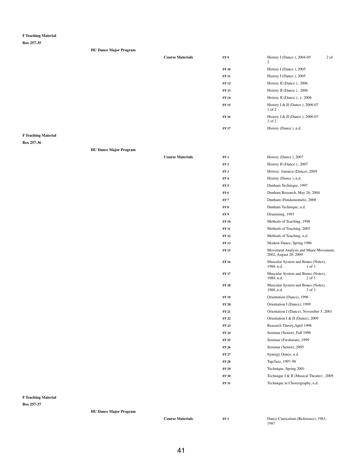**Box 257-35**

| <b>HU Dance Major Program</b> |                         |              |                                                 |        |
|-------------------------------|-------------------------|--------------|-------------------------------------------------|--------|
|                               | <b>Course Materials</b> | FF 9         | History I (Dance), 2004-05<br>$\overline{2}$    | $2$ of |
|                               |                         | <b>FF 10</b> | History I (Dance), 2005                         |        |
|                               |                         | <b>FF 11</b> | History I (Dance), 2005                         |        |
|                               |                         | <b>FF 12</b> | History II (Dance), 2006                        |        |
|                               |                         | <b>FF13</b>  | History II (Dance), 2006                        |        |
|                               |                         | <b>FF 14</b> | History II (Dance), c. 2006                     |        |
|                               |                         | <b>FF15</b>  | History I & II (Dance), $2006-07$<br>$1$ of $2$ |        |
|                               |                         | <b>FF 16</b> | History I & II (Dance), 2006-07<br>2 of 2       |        |
|                               |                         | <b>FF 17</b> | History (Dance), n.d.                           |        |
| 70 1. 1 <i>. .</i>            |                         |              |                                                 |        |

**F Teaching Material**

**Box 257-36**

| <b>HU Dance Major Program</b> |  |  |
|-------------------------------|--|--|
|-------------------------------|--|--|

**Course Materials FF1** Dance Curriculum (Reference), 1983, 1987

| <b>Course Materials</b> | FF1             | History (Dance), 2007                                          |
|-------------------------|-----------------|----------------------------------------------------------------|
|                         | FF <sub>2</sub> | History II (Dance), 2007                                       |
|                         | FF <sub>3</sub> | History: Jamaica (Dance), 2009                                 |
|                         | FF <sub>4</sub> | History (Dance), n.d.                                          |
|                         | FF <sub>5</sub> | Dunham Technique, 1997                                         |
|                         | FF <sub>6</sub> | Dunham Research, May 26, 2004                                  |
|                         | FF <sub>7</sub> | Dunham (Fundamentals), 2008                                    |
|                         | FF <sub>8</sub> | Dunham Technique, n.d.                                         |
|                         | FF9             | Drumming, 1993                                                 |
|                         | <b>FF10</b>     | Methods of Teaching, 1998                                      |
|                         | <b>FF 11</b>    | Methods of Teaching, 2005                                      |
|                         | <b>FF12</b>     | Methods of Teaching, n.d.                                      |
|                         | <b>FF13</b>     | Modern Dance, Spring 1986                                      |
|                         | <b>FF15</b>     | Movement Analysis and Major Movement,<br>2002, August 26, 2009 |
|                         | <b>FF16</b>     | Muscular System and Bones (Notes),<br>1988, n.d.<br>$1$ of $3$ |
|                         | <b>FF17</b>     | Muscular System and Bones (Notes),<br>1988, n.d.<br>$2$ of $3$ |
|                         | <b>FF18</b>     | Muscular System and Bones (Notes),<br>1988, n.d.<br>3 of 3     |
|                         | <b>FF19</b>     | Orientation (Dance), 1996                                      |
|                         | <b>FF 20</b>    | Orientation I (Dance), 1999                                    |
|                         | <b>FF 21</b>    | Orientation I (Dance), November 5, 2001                        |
|                         | <b>FF22</b>     | Orientation I & II (Dance), 2009                               |
|                         | <b>FF23</b>     | Research Theory, April 1996                                    |
|                         | <b>FF 24</b>    | Seminar (Senior), Fall 1996                                    |
|                         | <b>FF 25</b>    | Seminar (Freshman), 1999                                       |
|                         | <b>FF 26</b>    | Seminar (Senior), 2005                                         |
|                         | <b>FF 27</b>    | Synergy Dance, n.d.                                            |
|                         | <b>FF 28</b>    | Tap/Jazz, 1997-98                                              |
|                         | <b>FF 29</b>    | Technique, Spring 2001                                         |
|                         | <b>FF 30</b>    | Technique I & II (Musical Theatre), 2009                       |
|                         | <b>FF31</b>     | Technique in Choreography, n.d.                                |

**F Teaching Material**

**Box 257-37**

**HU Dance Major Program**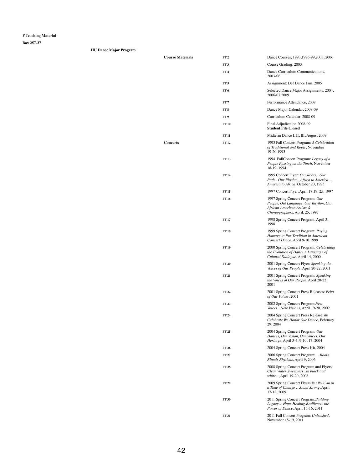| <b>Course Materials</b> | FF <sub>2</sub> | Dance Courses, 1993, 1996-99, 2003, 2006                                                                                                   |
|-------------------------|-----------------|--------------------------------------------------------------------------------------------------------------------------------------------|
|                         | FF <sub>3</sub> | Course Grading, 2003                                                                                                                       |
|                         | FF <sub>4</sub> | Dance Curriculum Communications,<br>2003-06                                                                                                |
|                         | FF <sub>5</sub> | Assignment: Def Dance Jam, 2005                                                                                                            |
|                         | FF <sub>6</sub> | Selected Dance Major Assignments, 2004,<br>2006-07,2009                                                                                    |
|                         | FF7             | Performance Attendance, 2008                                                                                                               |
|                         | FF <sub>8</sub> | Dance Major Calendar, 2008-09                                                                                                              |
|                         | FF <sub>9</sub> | Curriculum Calendar, 2008-09                                                                                                               |
|                         | <b>FF10</b>     | Final Adjudication 2008-09<br><b>Student File Closed</b>                                                                                   |
|                         | <b>FF 11</b>    | Midterm Dance I, II, III, August 2009                                                                                                      |
| <b>Concerts</b>         | <b>FF12</b>     | 1993 Fall Concert Program: A Celebration<br>of Traditional and Roots, November<br>19-20,1993                                               |
|                         | <b>FF13</b>     | 1994 FallConcert Program: Legacy of a<br>People Passing on the Torch, November<br>18-19, 1994                                              |
|                         | <b>FF14</b>     | 1995 Concert Flyer: Our RootsOur<br>PathOur Rhythm,,,Africa to America<br>America to Africa, October 20, 1995                              |
|                         | <b>FF15</b>     | 1997 Concert Flyer, April 17,19, 25, 1997                                                                                                  |
|                         | <b>FF16</b>     | 1997 Spring Concert Program: Our<br>People, Out Language, Our Rhythm, Our<br>African-American Artists &<br>Choreographers, April, 25, 1997 |
|                         | <b>FF17</b>     | 1998 Spring Concert Program, April 3,<br>1998                                                                                              |
|                         | <b>FF18</b>     | 1999 Spring Concert Program: Paying<br>Homage to Pur Tradition in American<br>Concert Dance, April 9-10,1999                               |
|                         | <b>FF19</b>     | 2000 Spring Concert Program: Celebrating<br>the Evolution of Dance A Language of<br>Cultural Dialogue, April 14, 2000                      |
|                         | <b>FF 20</b>    | 2001 Spring Concert Flyer: Speaking the<br>Voices of Our People, April 20-22, 2001                                                         |
|                         | <b>FF 21</b>    | 2001 Spring Concert Program: Speaking<br>the Voices of Our People, April 20-22,<br>2001                                                    |

| <b>FF 22</b> | 2001 Spring Concert Press Releases: Echo |
|--------------|------------------------------------------|
|              | of Our Voices, 2001                      |

| FF 23        | 2002 Spring Concert Program: New<br>VoicesNew Visions, April 19-20, 2002                                               |
|--------------|------------------------------------------------------------------------------------------------------------------------|
| FF 24        | 2004 Spring Concert Press Release: We<br>Celebrate We Honor Our Dance, February<br>29, 2004                            |
| <b>FF 25</b> | 2004 Spring Concert Program: Our<br>Dances, Our Vision, Our Voices, Our<br><i>Heritage</i> , April 3-4, 9-10, 17, 2004 |
| FF 26        | 2004 Spring Concert Press Kit, 2004                                                                                    |
| FF 27        | 2006 Spring Concert Program: <i>Roots</i><br>Rituals Rhythms, April 9, 2006                                            |
| <b>FF 28</b> | 2008 Spring Concert Program and Flyers:<br>Clear Water Sweetness in black and<br><i>white</i> , April 19-20, 2008      |
| FF 29        | 2009 Spring Concert Flyers: Yes We Can in<br>a Time of Change  Stand Strong, April<br>17-18, 2009                      |
| <b>FF30</b>  | 2011 Spring Concert Program: Building<br>LegacyHope.Healing.Resilience.the<br>Power of Dance, April 15-16, 2011        |
| FF 31        | 2011 Fall Concert Program: Unleashed,<br>November 18-19, 2011                                                          |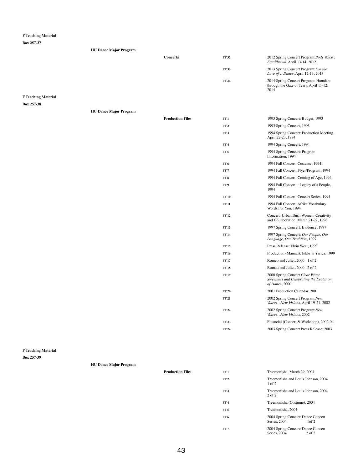#### **Box 257-37**

| <b>HU Dance Major Program</b> |          |              |                                                                                         |
|-------------------------------|----------|--------------|-----------------------------------------------------------------------------------------|
|                               | Concerts | <b>FF 32</b> | 2012 Spring Concert Program: Body Voice:<br>Equilibrium, April 13-14, 2012              |
|                               |          | <b>FF 33</b> | 2013 Spring Concert Program: For the<br>Love of Dance, April 12-13, 2013                |
|                               |          | <b>FF 34</b> | 2014 Spring Concert Program: Hamdan:<br>through the Gate of Tears, April 11-12,<br>2014 |

## **F Teaching Material**

#### **Box 257-38**

**HU Dance Major Program**

|                               | <b>Production Files</b> | FF1             | 1993 Spring Concert: Budget, 1993                                                            |
|-------------------------------|-------------------------|-----------------|----------------------------------------------------------------------------------------------|
|                               |                         | FF <sub>2</sub> | 1993 Spring Concert, 1993                                                                    |
|                               |                         | FF3             | 1994 Spring Concert: Production Meeting,<br>April 22-23, 1994                                |
|                               |                         | FF <sub>4</sub> | 1994 Spring Concert, 1994                                                                    |
|                               |                         | FF <sub>5</sub> | 1994 Spring Concert: Program<br>Information, 1994                                            |
|                               |                         | FF6             | 1994 Fall Concert: Costume, 1994                                                             |
|                               |                         | FF <sub>7</sub> | 1994 Fall Concert: Flyer/Program, 1994                                                       |
|                               |                         | FF 8            | 1994 Fall Concert: Coming of Age, 1994                                                       |
|                               |                         | FF 9            | 1994 Fall Concert: : Legacy of a People,<br>1994                                             |
|                               |                         | <b>FF 10</b>    | 1994 Fall Concert: Concert Series, 1994                                                      |
|                               |                         | <b>FF 11</b>    | 1994 Fall Concert: Afrika Vocabulary<br>Words For You, 1994                                  |
|                               |                         | <b>FF12</b>     | Concert: Urban Bush Women: Creativity<br>and Collaboration, March 21-22, 1996                |
|                               |                         | <b>FF13</b>     | 1997 Spring Concert: Evidence, 1997                                                          |
|                               |                         | <b>FF14</b>     | 1997 Spring Concert: Our People, Our<br>Language, Our Tradition, 1997                        |
|                               |                         | <b>FF15</b>     | Press Release: Flyin West, 1999                                                              |
|                               |                         | <b>FF 16</b>    | Production (Manual): Inkle 'n Yarica, 1999                                                   |
|                               |                         | <b>FF17</b>     | Romeo and Juliet, 2000 1 of 2                                                                |
|                               |                         | <b>FF18</b>     | Romeo and Juliet, 2000 2 of 2                                                                |
|                               |                         | <b>FF19</b>     | 2000 Spring Concert Clear Water<br>Sweetness and Celebrating the Evolution<br>of Dance, 2000 |
|                               |                         | <b>FF 20</b>    | 2001 Production Calendar, 2001                                                               |
|                               |                         | <b>FF 21</b>    | 2002 Spring Concert Program: New<br>VoicesNew Visions, April 19-21, 2002                     |
|                               |                         | <b>FF22</b>     | 2002 Spring Concert Program: New<br>VoicesNew Visions, 2002                                  |
|                               |                         | <b>FF23</b>     | Financial (Concert & Workshop), 2002-04                                                      |
|                               |                         | <b>FF 24</b>    | 2003 Spring Concert Press Release, 2003                                                      |
|                               |                         |                 |                                                                                              |
| <b>HU Dance Major Program</b> |                         |                 |                                                                                              |
|                               | <b>Production Files</b> | FF1             | Treemonisha, March 29, 2004                                                                  |
|                               |                         | FF <sub>2</sub> | Treemonisha and Louis Johnson, 2004<br>$1$ of $2$                                            |
|                               |                         | FF3             | Treemonisha and Louis Johnson, 2004<br>$2$ of $2$                                            |
|                               |                         | FF <sub>4</sub> | Treemonisha (Costume), 2004                                                                  |
|                               |                         | FF <sub>5</sub> | Treemonisha, 2004                                                                            |
|                               |                         | FF6             | 2004 Spring Concert: Dance Concert<br>Series, 2004<br>1 of 2                                 |
|                               |                         | FF <sub>7</sub> | 2004 Spring Concert: Dance Concert<br>Series, 2004<br>2 of 2                                 |

## **F Teaching Material**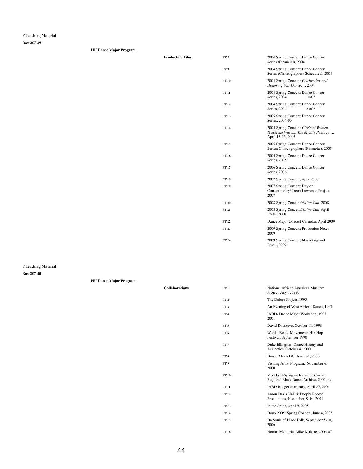**Box 257-39**

| <b>HU Dance Major Program</b> |
|-------------------------------|
|-------------------------------|

| <b>Production Files</b> | FF <sub>8</sub> | 2004 Spring Concert: Dance Concert<br>Series (Financial), 2004                                   |
|-------------------------|-----------------|--------------------------------------------------------------------------------------------------|
|                         | FF <sub>9</sub> | 2004 Spring Concert: Dance Concert<br>Series (Choreographers Schedules), 2004                    |
|                         | <b>FF10</b>     | 2004 Spring Concert: Celebrating and<br>Honoring Our Dance, 2004                                 |
|                         | <b>FF11</b>     | 2004 Spring Concert: Dance Concert<br>Series, 2004<br>1 <sub>of</sub> 2                          |
|                         | <b>FF12</b>     | 2004 Spring Concert: Dance Concert<br>Series, 2004<br>$2$ of $2$                                 |
|                         | <b>FF13</b>     | 2005 Spring Concert: Dance Concert<br>Series, 2004-05                                            |
|                         | <b>FF14</b>     | 2005 Spring Concert: Circle of Women<br>Travel the WavesThe Middle Passage,<br>April 15-16, 2005 |
|                         | <b>FF15</b>     | 2005 Spring Concert: Dance Concert<br>Series: Choreographers (Financial), 2005                   |
|                         | <b>FF16</b>     | 2005 Spring Concert: Dance Concert<br>Series, 2005                                               |
|                         | <b>FF17</b>     | 2006 Spring Concert: Dance Concert<br>Series, 2006                                               |
|                         | <b>FF18</b>     | 2007 Spring Concert, April 2007                                                                  |
|                         | <b>FF19</b>     | 2007 Spring Concert: Dayton<br>Contemporary/ Jacob Lawrence Project,<br>2007                     |
|                         | <b>FF 20</b>    | 2008 Spring Concert: Yes We Can, 2008                                                            |
|                         | <b>FF21</b>     | 2008 Spring Concert: Yes We Can, April<br>17-18, 2008                                            |
|                         | <b>FF22</b>     | Dance Major Concert Calendar, April 2009                                                         |
|                         | <b>FF23</b>     | 2009 Spring Concert; Production Notes,<br>2009                                                   |
|                         | <b>FF 24</b>    | 2009 Spring Concert; Marketing and<br><b>Email</b> , 2009                                        |
|                         |                 |                                                                                                  |

**F Teaching Material**

| FF 2            | The Dafora Project, 1995                                                       |
|-----------------|--------------------------------------------------------------------------------|
| FF <sub>3</sub> | An Evening of West African Dance, 1997                                         |
| FF 4            | IABD- Dance Major Workshop, 1997,<br>2001                                      |
| FF 5            | David Rousseve, October 11, 1998                                               |
| FF <sub>6</sub> | Words, Beats, Movements Hip Hop<br>Festival, September 1990                    |
| FF 7            | Duke Ellington -Dance History and<br>Aesthetics, October 4, 2000               |
| FF 8            | Dance Africa DC, June 5-8, 2000                                                |
| FF 9            | Visiting Artist Program, November 6,<br>2000                                   |
| <b>FF 10</b>    | Moorland-Spingarn Research Center:<br>Regional Black Dance Archive, 2001, n.d. |
| <b>FF 11</b>    | IABD Budget Summary, April 27, 2001                                            |
| FF 12           | Aaron Davis Hall & Deeply Rooted<br>Productions, November, 9-10, 2001          |
| <b>FF 13</b>    | In the Spirit, April 9, 2005                                                   |
| <b>FF 14</b>    | Dono 2005: Spring Concert, June 4, 2005                                        |
| FF 15           | Da Souls of Black Folk, September 5-10,<br>2006                                |
| FF 16           | Honor: Memorial Mike Malone, 2006-07                                           |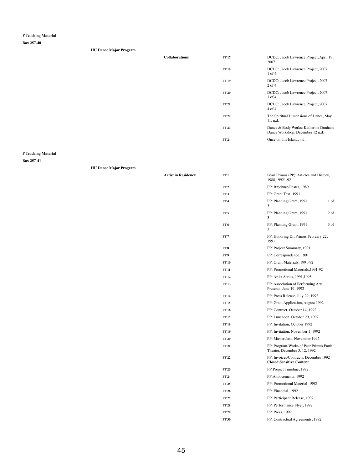**Box 257-40**

| <b>HU Dance Major Program</b> |                       |              |                                                                          |
|-------------------------------|-----------------------|--------------|--------------------------------------------------------------------------|
|                               | <b>Collaborations</b> | <b>FF 17</b> | DCDC: Jacob Lawrence Project, April 19,<br>2007                          |
|                               |                       | <b>FF18</b>  | DCDC: Jacob Lawrence Project, 2007<br>$1$ of $4$                         |
|                               |                       | <b>FF 19</b> | DCDC: Jacob Lawrence Project, 2007<br>$2$ of 4                           |
|                               |                       | <b>FF 20</b> | DCDC: Jacob Lawrence Project, 2007<br>$3$ of $4$                         |
|                               |                       | <b>FF 21</b> | DCDC: Jacob Lawrence Project, 2007<br>$4$ of $4$                         |
|                               |                       | <b>FF 22</b> | The Spiritual Dimensions of Dance, May<br>11, n.d.                       |
|                               |                       | <b>FF 23</b> | Dance & Body Works: Katherine Dunham<br>Dance Workshop, December 12 n.d. |
|                               |                       | <b>FF 24</b> | Once on this Island, n.d.                                                |
|                               |                       |              |                                                                          |

# **F Teaching Material**

#### **Box 257-41**

**HU Dance Major Program**

| <b>Artist in Residency</b> | FF1             | Pearl Primus (PP): Articles and History,<br>1988, 19921-92               |
|----------------------------|-----------------|--------------------------------------------------------------------------|
|                            | FF <sub>2</sub> | PP: Brochure/Poster, 1989                                                |
|                            | FF <sub>3</sub> | PP: Grant Text, 1991                                                     |
|                            | FF <sub>4</sub> | PP: Planning Grant, 1991<br>$1$ of<br>3                                  |
|                            | FF <sub>5</sub> | PP: Planning Grant, 1991<br>$2$ of<br>3                                  |
|                            | FF <sub>6</sub> | PP: Planning Grant, 1991<br>3 of<br>3                                    |
|                            | FF <sub>7</sub> | PP: Honoring Dr. Primus February 22,<br>1991                             |
|                            | FF <sub>8</sub> | PP: Project Summary, 1991                                                |
|                            | FF <sub>9</sub> | PP: Correspondence, 1991                                                 |
|                            | <b>FF10</b>     | PP: Grant Materials, 1991-92                                             |
|                            | <b>FF11</b>     | PP: Promotional Materials, 1991-92                                       |
|                            | <b>FF12</b>     | PP: Artist Series, 1991, 1993                                            |
|                            | <b>FF13</b>     | PP: Association of Performing Arts<br>Presents, June 19, 1992            |
|                            | <b>FF14</b>     | PP: Press Release, July 29, 1992                                         |
|                            | <b>FF15</b>     | PP: Grant Application, August 1992                                       |
|                            | <b>FF16</b>     | PP: Contract, October 14, 1992                                           |
|                            | <b>FF17</b>     | PP: Luncheon, October 29, 1992                                           |
|                            | <b>FF18</b>     | PP: Invitation, October 1992                                             |
|                            | <b>FF19</b>     | PP: Invitation, November 1, 1992                                         |
|                            | <b>FF 20</b>    | PP: Masterclass, November 1992                                           |
|                            | <b>FF 21</b>    | PP: Program-Works of Pear Primus Earth<br>Theater, December 3, 12, 1992  |
|                            | <b>FF22</b>     | PP: Invoices/Contracts, December 1992<br><b>Closed Sensitive Content</b> |
|                            | <b>FF23</b>     | PP:Project Timeline, 1992                                                |
|                            | <b>FF 24</b>    | PP: Annocements, 1992                                                    |
|                            | <b>FF 25</b>    | PP: Promotional Material, 1992                                           |
|                            | <b>FF 26</b>    | PP: Financial, 1992                                                      |
|                            | <b>FF 27</b>    | PP: Participant Release, 1992                                            |
|                            | <b>FF 28</b>    | PP: Performance Flyer, 1992                                              |
|                            | <b>FF 29</b>    | PP: Press, 1992                                                          |
|                            | <b>FF 30</b>    | PP: Contractual Agreements, 1992                                         |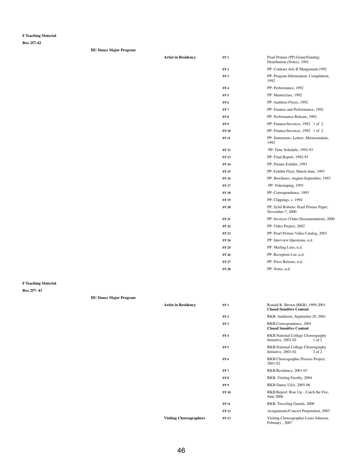**Box 257-42**

| <b>HU Dance Major Program</b> |  |
|-------------------------------|--|
|-------------------------------|--|

**Artist in Residency** 

| FF1             | Pearl Primus (PP): Grant/Funding<br>Distribution (Notes), 1992 |
|-----------------|----------------------------------------------------------------|
| FF <sub>2</sub> | PP: Contract Arts II Mangement, 1992                           |
| FF3             | PP: Program Information: Compilation,<br>1992                  |
| FF4             | PP: Performance, 1992                                          |
| FF <sub>5</sub> | PP: Masterclass, 1992                                          |
| FF 6            | PP: Audition Flyers, 1992                                      |
| FF7             | PP: Finance and Performance, 1992                              |
| FF 8            | PP: Performance Release, 1992                                  |
| FF 9            | PP: Finance/Invoices, 1992 1 of 2                              |
| <b>FF 10</b>    | PP: Finance/Invoices, 1992 1 of 2                              |
| <b>FF 11</b>    | PP: Statements, Letters, Memorandum,<br>1992                   |
| <b>FF12</b>     | PP: Time Schedule, 1992-93                                     |
| <b>FF</b> 13    | PP: Final Report, 1992-93                                      |
| <b>FF</b> 14    | PP: Primus Exhibit, 1993                                       |
| <b>FF</b> 15    | PP: Exhibit Flyer, March-June, 1993                            |
| <b>FF</b> 16    | PP: Brochures, August-September, 1993                          |
| <b>FF 17</b>    | PP: Videotaping, 1993                                          |
| <b>FF18</b>     | PP: Correspondence, 1993                                       |
| <b>FF19</b>     | PP: Clippings, c. 1994                                         |
| <b>FF 20</b>    | PP: Sybil Roberts: Pearl Primus Paper,<br>November 7, 2000     |
| <b>FF 21</b>    | PP: Invoices (Video Documentation), 2000                       |
| <b>FF22</b>     | PP: Video Project, 2002                                        |
| FF 23           | PP: Pearl Primus Video Catalog, 2003                           |
| FF 24           | PP: Interview Questions, n.d.                                  |
| FF 25           | PP: Mailing Lists, n.d.                                        |
| <b>FF 26</b>    | PP: Reception List, n.d.                                       |
| FF 27           | PP: Press Release, n.d.                                        |

## **HU Dance Major Program**

| <b>Artist in Residency</b>     | FF1             | Ronald K. Brown (RKB), 1999-2001<br><b>Closed Sensitive Content</b>           |
|--------------------------------|-----------------|-------------------------------------------------------------------------------|
|                                | FF <sub>2</sub> | RKB: Auditions, Septmeber 29, 2001                                            |
|                                | FF3             | RKB:Correspondence, 2001<br><b>Closed Sensitive Content</b>                   |
|                                | FF <sub>4</sub> | RKB:National College Choreography<br>Initiative, 2001-02<br>$1$ of $2$        |
|                                | FF <sub>5</sub> | <b>RKB:National College Choreography</b><br>Initiative, 2001-02<br>$2$ of $2$ |
|                                | FF <sub>6</sub> | RKB: Choreographic Process Project,<br>2001-02                                |
|                                | FF7             | RKB:Residency, 2001-03                                                        |
|                                | FF <sub>8</sub> | RKB: Visiting Faculty, 2004                                                   |
|                                | FF 9            | RKB:Dance USA, 2005-06                                                        |
|                                | <b>FF10</b>     | RKB: Report: Rise UpCatch the Fire,<br><b>June 2006</b>                       |
|                                | <b>FF 11</b>    | RKB: Traveling Guards, 2006                                                   |
|                                | <b>FF12</b>     | Assignments/Concert Preparation, 2003                                         |
| <b>Visiting Choreographers</b> | <b>FF13</b>     | Visiting Choreographer: Louis Johnson,<br>February, 2007                      |

**FF 28** PP: Notes, n.d.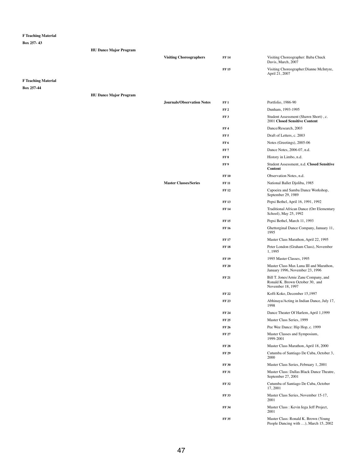|                            | <b>HU Dance Major Program</b> |                                   |                                    |                                                                                               |
|----------------------------|-------------------------------|-----------------------------------|------------------------------------|-----------------------------------------------------------------------------------------------|
|                            |                               | <b>Visiting Choreographers</b>    | <b>FF 14</b>                       | Visiting Choreographer: Baba Chuck<br>Davis, March, 2007                                      |
|                            |                               |                                   | <b>FF15</b>                        | Visiting Choreographer: Dianne McIntyre,<br>April 21, 2007                                    |
| <b>F Teaching Material</b> |                               |                                   |                                    |                                                                                               |
| Box 257-44                 |                               |                                   |                                    |                                                                                               |
|                            | <b>HU Dance Major Program</b> |                                   |                                    |                                                                                               |
|                            |                               | <b>Journals/Observation Notes</b> | FF1                                | Portfolio, 1986-90                                                                            |
|                            |                               |                                   | FF <sub>2</sub><br>FF <sub>3</sub> | Dunham, 1993-1995<br>Student Assessment (Shawn Short), c.                                     |
|                            |                               |                                   |                                    | <b>2001 Closed Sensitive Content</b>                                                          |
|                            |                               |                                   | FF <sub>4</sub>                    | Dance/Research, 2003                                                                          |
|                            |                               |                                   | FF <sub>5</sub>                    | Draft of Letters, c. 2003                                                                     |
|                            |                               |                                   | FF <sub>6</sub>                    | Notes (Greetings), 2005-06                                                                    |
|                            |                               |                                   | FF <sub>7</sub>                    | Dance Notes, 2006-07, n.d.                                                                    |
|                            |                               |                                   | FF <sub>8</sub>                    | History in Limbo, n.d.                                                                        |
|                            |                               |                                   | FF9                                | Student Assessment, n.d. Closed Sensitive<br><b>Content</b>                                   |
|                            |                               |                                   | <b>FF 10</b>                       | Observation Notes, n.d.                                                                       |
|                            |                               | <b>Master Classes/Series</b>      | <b>FF 11</b>                       | National Ballet Djoliba, 1985                                                                 |
|                            |                               |                                   | <b>FF12</b>                        | Capoeira and Samba Dance Workshop,<br>September 29, 1989                                      |
|                            |                               |                                   | <b>FF13</b>                        | Pepsi Bethel, April 16, 1991, 1992                                                            |
|                            |                               |                                   | <b>FF 14</b>                       | Traditional African Dance (Orr Elementary<br>School), May 25, 1992                            |
|                            |                               |                                   | <b>FF15</b>                        | Pepsi Bethel, March 11, 1993                                                                  |
|                            |                               |                                   | <b>FF 16</b>                       | Ghettorginal Dance Company, January 11,<br>1995                                               |
|                            |                               |                                   | <b>FF17</b>                        | Master Class Marathon, April 22, 1995                                                         |
|                            |                               |                                   | <b>FF 18</b>                       | Peter London (Graham Class), November<br>1,1995                                               |
|                            |                               |                                   | <b>FF 19</b>                       | 1995 Master Classes, 1995                                                                     |
|                            |                               |                                   | <b>FF 20</b>                       | Master Class Max Luna III and Marathon,<br>January 1996, November 23, 1996                    |
|                            |                               |                                   | <b>FF 21</b>                       | Bill T. Jones/Arnie Zane Company, and<br>Ronald K. Brown October 30, and<br>November 18, 1997 |
|                            |                               |                                   | <b>FF 22</b>                       | Koffi Koko, December 15,1997                                                                  |
|                            |                               |                                   | <b>FF 23</b>                       | Abhinaya/Acting in Indian Dance, July 17,<br>1998                                             |
|                            |                               |                                   | <b>FF 24</b>                       | Dance Theater Of Harlem, April 1,1999                                                         |
|                            |                               |                                   | <b>FF 25</b>                       | Master Class Series, 1999                                                                     |
|                            |                               |                                   | <b>FF 26</b>                       | Pee Wee Dance: Hip Hop, c. 1999                                                               |
|                            |                               |                                   | <b>FF 27</b>                       | Master Classes and Symposium,<br>1999-2001                                                    |
|                            |                               |                                   | <b>FF 28</b>                       | Master Class Marathon, April 18, 2000                                                         |
|                            |                               |                                   | <b>FF 29</b>                       | Cutumba of Santiago De Cuba, October 3,<br>2000                                               |
|                            |                               |                                   | <b>FF 30</b>                       | Master Class Series, February 1, 2001                                                         |
|                            |                               |                                   | <b>FF 31</b>                       | Master Class: Dallas Black Dance Theatre,<br>September 27, 2001                               |
|                            |                               |                                   | <b>FF 32</b>                       | Cutumba of Santiago De Cuba, October<br>17,2001                                               |
|                            |                               |                                   | <b>FF33</b>                        | Master Class Series, November 15-17,<br>2001                                                  |
|                            |                               |                                   | <b>FF 34</b>                       | Master Class : Kevin Iega Jeff Project,<br>2001                                               |
|                            |                               |                                   | <b>FF35</b>                        | Master Class: Ronald K. Brown (Young<br>People Dancing with ), March 15, 2002                 |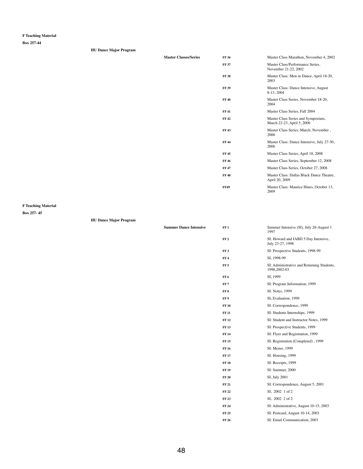**Box 257-44**

| <b>HU Dance Major Program</b> |                              |              |                                                                  |
|-------------------------------|------------------------------|--------------|------------------------------------------------------------------|
|                               | <b>Master Classes/Series</b> | <b>FF 36</b> | Master Class Marathon, November 4, 2002                          |
|                               |                              | <b>FF 37</b> | Master Class/Performance Series,<br>November 21-22, 2002         |
|                               |                              | <b>FF38</b>  | Master Class: Men in Dance, April 18-20,<br>2003                 |
|                               |                              | <b>FF 39</b> | Master Class: Dance Intensive, August<br>8-13, 2004              |
|                               |                              | <b>FF40</b>  | Master Class Series, November 18-20,<br>2004                     |
|                               |                              | <b>FF41</b>  | Master Class Series, Fall 2004                                   |
|                               |                              | <b>FF42</b>  | Master Class Series and Symposium,<br>March 22-23, April 5, 2006 |
|                               |                              | <b>FF43</b>  | Master Class Series, March, November,<br>2006                    |
|                               |                              | <b>FF 44</b> | Master Class: Dance Intensive, July 27-30,<br>2006               |
|                               |                              | <b>FF45</b>  | Master Class Series, April 18, 2008                              |
|                               |                              | <b>FF46</b>  | Master Class Series, September 12, 2008                          |
|                               |                              | <b>FF47</b>  | Master Class Series, October 27, 2008                            |
|                               |                              | <b>FF48</b>  | Master Class: Dallas Black Dance Theatre,<br>April 20, 2009      |
|                               |                              | <b>FF49</b>  | Master Class: Maurice Hines, October 13,                         |

**Summer Dance Intensive** 

2009

#### **F Teaching Material**

| <b>HU Dance Major Program</b> |  |  |
|-------------------------------|--|--|
|-------------------------------|--|--|

| FF1             | Summer Intensive (SI), July 28-August 1<br>1997             |
|-----------------|-------------------------------------------------------------|
| FF <sub>2</sub> | SI: Howard and IABD 5 Day Intensive,<br>July 23-27, 1998    |
| FF3             | SI: Prospective Students, 1998-99                           |
| FF 4            | SI, 1998-99                                                 |
| FF 5            | SI: Administrative and Returning Students,<br>1998, 2002-03 |
| FF 6            | SI, 1999                                                    |
| FF 7            | SI: Program Information, 1999                               |
| FF 8            | SI: Notes, 1999                                             |

| FF 9         | SI, Evaluation, 1999                   |
|--------------|----------------------------------------|
| <b>FF10</b>  | SI: Correspondence, 1999               |
| <b>FF 11</b> | SI: Students Internships, 1999         |
| FF 12        | SI: Student and Instructor Notes, 1999 |
| <b>FF13</b>  | SI: Prospective Students, 1999         |
| FF 14        | SI: Flyer and Registration, 1999       |
| FF 15        | SI: Registration (Completed), 1999     |
| <b>FF 16</b> | SI: Memo, 1999                         |
| <b>FF 17</b> | SI: Housing, 1999                      |
| <b>FF 18</b> | SI: Receipts, 1999                     |
| <b>FF 19</b> | SI: Summer, 2000                       |
| <b>FF 20</b> | SI, July 2001                          |
| FF 21        | SI: Correspondence, August 5, 2001     |
| FF 22        | SI, 2002 1 of 2                        |
| FF 23        | SI, 2002 2 of 2                        |
| FF 24        | SI: Administrative, August 10-15, 2003 |
| FF 25        | SI: Postcard, August 10-14, 2003       |
| FF 26        | SI: Email Communication, 2003          |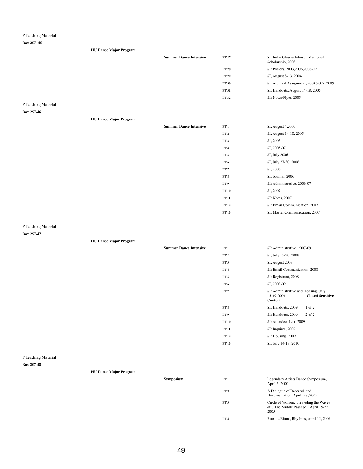**Box 257- 45**

| <b>HU Dance Major Program</b> |                               |              |                                                         |
|-------------------------------|-------------------------------|--------------|---------------------------------------------------------|
|                               | <b>Summer Dance Intensive</b> | <b>FF 27</b> | SI: Iniko Glessie Johnson Memorial<br>Scholarship, 2003 |
|                               |                               | <b>FF 28</b> | SI: Posters, 2003, 2006, 2008-09                        |
|                               |                               | <b>FF 29</b> | SI, August 8-13, 2004                                   |
|                               |                               | <b>FF 30</b> | SI: Archival Assignment, 2004, 2007, 2009               |
|                               |                               | <b>FF 31</b> | SI: Handouts, August 14-18, 2005                        |
|                               |                               | <b>FF 32</b> | SI: Notes/Flyer, 2005                                   |
|                               |                               |              |                                                         |

## **F Teaching Material**

**Box 257-46**

**HU Dance Major Program**

| <b>Summer Dance Intensive</b> | FF1             | SI, August 4,2005              |
|-------------------------------|-----------------|--------------------------------|
|                               | FF <sub>2</sub> | SI, August 14-18, 2005         |
|                               | FF3             | SI, 2005                       |
|                               | $\bf FF$ 4      | SI, 2005-07                    |
|                               | FF <sub>5</sub> | SI, July 2006                  |
|                               | FF 6            | SI, July 27-30, 2006           |
|                               | FF 7            | SI, 2006                       |
|                               | FF8             | SI: Journal, 2006              |
|                               | FF 9            | SI: Administrative, 2006-07    |
|                               | <b>FF 10</b>    | SI, 2007                       |
|                               | <b>FF 11</b>    | SI: Notes, 2007                |
|                               | <b>FF 12</b>    | SI: Email Communication, 2007  |
|                               | <b>FF 13</b>    | SI: Master Communication, 2007 |
|                               |                 |                                |

## **F Teaching Material**

|                            |                               | <b>Summer Dance Intensive</b> | FF1             | SI: Administrative, 2007-09                                                                     |
|----------------------------|-------------------------------|-------------------------------|-----------------|-------------------------------------------------------------------------------------------------|
|                            |                               |                               | FF <sub>2</sub> | SI, July 15-20, 2008                                                                            |
|                            |                               |                               | FF3             | SI, August 2008                                                                                 |
|                            |                               |                               | FF4             | SI: Email Communication, 2008                                                                   |
|                            |                               |                               | FF <sub>5</sub> | SI: Registrant, 2008                                                                            |
|                            |                               |                               | FF6             | SI, 2008-09                                                                                     |
|                            |                               |                               | FF <sub>7</sub> | SI: Administrative and Housing, July<br>15-19 2009<br><b>Closed Sensitive</b><br><b>Content</b> |
|                            |                               |                               | FF8             | SI: Handouts, 2009<br>$1$ of $2$                                                                |
|                            |                               |                               | FF 9            | SI: Handouts, 2009<br>2 of 2                                                                    |
|                            |                               |                               | <b>FF 10</b>    | SI: Attendees List, 2009                                                                        |
|                            |                               |                               | <b>FF 11</b>    | SI: Inquires, 2009                                                                              |
|                            |                               |                               | <b>FF 12</b>    | SI: Housing, 2009                                                                               |
|                            |                               |                               | <b>FF13</b>     | SI: July 14-18, 2010                                                                            |
| <b>F Teaching Material</b> |                               |                               |                 |                                                                                                 |
| <b>Box 257-48</b>          |                               |                               |                 |                                                                                                 |
|                            | <b>HU Dance Major Program</b> |                               |                 |                                                                                                 |
|                            |                               | Symposium                     | FF1             | Legendary Artists Dance Symposium,<br>April 5, 2000                                             |
|                            |                               |                               | FF <sub>2</sub> | A Dialogue of Research and<br>Documentation, April 5-8, 2005                                    |
|                            |                               |                               | FF3             | Circle of WomenTraveling the Waves<br>ofThe Middle Passage, April 15-22,<br>2005                |
|                            |                               |                               | FF4             | RootsRitual, Rhythms, April 15, 2006                                                            |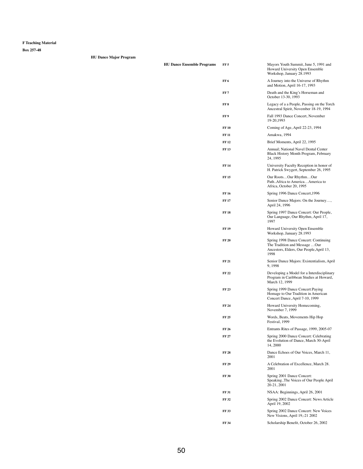| <b>HU Dance Ensemble Programs</b> | FF <sub>5</sub> | Mayors Youth Summit, June 5, 1991 and<br>Howard University Open Ensemble<br>Workshop, January 28.1993                       |
|-----------------------------------|-----------------|-----------------------------------------------------------------------------------------------------------------------------|
|                                   | FF <sub>6</sub> | A Journey into the Universe of Rhythm<br>and Motion, April 16-17, 1993                                                      |
|                                   | FF <sub>7</sub> | Death and the King's Horseman and<br>October 13-30, 1993                                                                    |
|                                   | FF <sub>8</sub> | Legacy of a a People, Passing on the Torch<br>Ancestral Spirit, November 18-19, 1994                                        |
|                                   | FF <sub>9</sub> | Fall 1993 Dance Concert, November<br>19-20, 1993                                                                            |
|                                   | <b>FF10</b>     | Coming of Age, April 22-23, 1994                                                                                            |
|                                   | <b>FF11</b>     | Amakwa, 1994                                                                                                                |
|                                   | <b>FF12</b>     | Brief Moments, April 22, 1995                                                                                               |
|                                   | <b>FF13</b>     | Annual; National Navel Dental Center<br>Black History Month Program, February<br>24, 1995                                   |
|                                   | <b>FF14</b>     | University Faculty Reception in honor of<br>H. Patrick Swygert, September 26, 1995                                          |
|                                   | <b>FF15</b>     | Our RootsOur RhythmOur<br>PathAfrica to AmericaAmerica to<br>Africa, October 20, 1995                                       |
|                                   | <b>FF16</b>     | Spring 1996 Dance Concert, 1996                                                                                             |
|                                   | <b>FF17</b>     | Senior Dance Majors: On the Journey,<br>April 24, 1996                                                                      |
|                                   | <b>FF18</b>     | Spring 1997 Dance Concert: Our People,<br>Our Language, Our Rhythm, April 17,<br>1997                                       |
|                                   | <b>FF19</b>     | Howard University Open Ensemble<br>Workshop, January 28.1993                                                                |
|                                   | <b>FF 20</b>    | Spring 1998 Dance Concert: Continuing<br>The Tradition and Message  Our<br>Ancestors, Elders, Our People, April 13,<br>1998 |
|                                   | <b>FF21</b>     | Senior Dance Majors: Existentialism, April<br>9,1998                                                                        |
|                                   | <b>FF22</b>     | Developing a Model for a Interdisciplinary<br>Program in Caribbean Studies at Howard,<br>March 12, 1999                     |
|                                   | <b>FF 23</b>    | Spring 1999 Dance Concert: Paying                                                                                           |

|              | Homage to Our Tradition in American<br>Concert Dance, April 7-10, 1999                       |
|--------------|----------------------------------------------------------------------------------------------|
| FF 24        | Howard University Homecoming,<br>November 7, 1999                                            |
| FF 25        | Words, Beats, Movements Hip Hop<br>Festival, 1999                                            |
| FF 26        | Entrants Rites of Passage, 1999, 2005-07                                                     |
| FF 27        | Spring 2000 Dance Concert: Celebrating<br>the Evolution of Dance, March 30-April<br>14, 2000 |
| FF 28        | Dance Echoes of Our Voices, March 11,<br>2001                                                |
| <b>FF 29</b> | A Celebration of Excellence, March 28.<br>2001                                               |
| <b>FF 30</b> | Spring 2001 Dance Concert:<br>SpeakingThe Voices of Our People April<br>20-21, 2001          |
| <b>FF 31</b> | NSAA: Beginnings, April 26, 2001                                                             |
| <b>FF32</b>  | Spring 2002 Dance Concert: News Article<br>April 19, 2002                                    |
| <b>FF33</b>  | Spring 2002 Dance Concert: New Voices<br>New Visions, April 19,-21 2002                      |
| FF 34        | Scholarship Benefit, October 26, 2002                                                        |
|              |                                                                                              |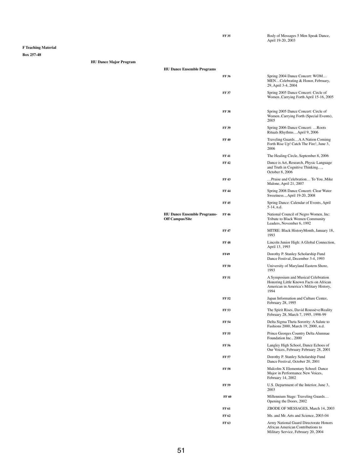April 19-20, 2003

FF 35 Body of Messages 5 Men Speak Dance,

**F Teaching Material**

**Box 257-48**

| <b>HU Dance Major Program</b> |  |
|-------------------------------|--|

| <b>HU Dance Ensemble Programs</b>                            |              |                                                                                                                          |
|--------------------------------------------------------------|--------------|--------------------------------------------------------------------------------------------------------------------------|
|                                                              | <b>FF36</b>  | Spring 2004 Dance Concert: WOM<br>MENCelebrating & Honor, February,<br>29, April 3-4, 2004                               |
|                                                              | <b>FF 37</b> | Spring 2005 Dance Concert: Circle of<br>WomenCarrying Forth April 15-16, 2005                                            |
|                                                              | <b>FF38</b>  | Spring 2005 Dance Concert: Circle of<br>WomenCarrying Forth (Special Events),<br>2005                                    |
|                                                              | <b>FF 39</b> | Spring 2006 Dance Concert: Roots<br>Rituals RhythmsApril 9, 2006                                                         |
|                                                              | <b>FF40</b>  | Traveling GuardsA A Nation Comimg<br>Forth Rise Up! Catch The Fire!, June 3,<br>2006                                     |
|                                                              | <b>FF41</b>  | The Healing Circle, September 8, 2006                                                                                    |
|                                                              | <b>FF42</b>  | Dance is Art, Research, Physic Language<br>and Truth in Cognitive Thinking,<br>October 8, 2006                           |
|                                                              | <b>FF43</b>  | Praise and Celebration To YouMike<br>Malone, April 21, 2007                                                              |
|                                                              | <b>FF44</b>  | Spring 2008 Dance Concert: Clear Water<br>Sweetness, April 19-20, 2008                                                   |
|                                                              | <b>FF45</b>  | Spring Dance: Calendar of Events, April<br>5-14, n.d.                                                                    |
| <b>HU Dance Ensemble Programs-</b><br><b>Off Campus/Site</b> | <b>FF46</b>  | National Council of Negro Women, Inc:<br>Tribute to Black Women Community<br>Leaders, November 6, 1992                   |
|                                                              | <b>FF47</b>  | MITRE: Black HistoryMonth, January 18,<br>1993                                                                           |
|                                                              | <b>FF48</b>  | Lincoln Junior High: A Global Connection,<br>April 13, 1993                                                              |
|                                                              | <b>FF49</b>  | Dorothy P. Stanley Scholarship Fund<br>Dance Festival, December 3-4, 1993                                                |
|                                                              | <b>FF 50</b> | University of Maryland Eastern Shore,<br>1993                                                                            |
|                                                              | <b>FF 51</b> | A Symposium and Musical Celebration<br>Honoring Little Known Facts on African<br>American in America's Military History, |

| FF 52        | Japan Information and Culture Center,<br>February 28, 1995                                                                |
|--------------|---------------------------------------------------------------------------------------------------------------------------|
| FF 53        | The Spirit Rises, David Roussève/Reality<br>February 28, March 7, 1995, 1998-99                                           |
| FF 54        | Delta Sigma Theta Sorority: A Salute to<br>Fashions 2000, March 19, 2000, n.d.                                            |
| FF 55        | Prince Georges Country Delta Alumnae<br>Foundation Inc., 2000                                                             |
| FF 56        | Langley High School, Dance Echoes of<br>Our Voices, February February 28, 2001                                            |
| FF 57        | Dorothy P. Stanley Scholarship Fund<br>Dance Festival, October 20, 2001                                                   |
| FF 58        | Malcolm X Elementary School: Dance<br>Major in Performance New Voices,<br>February 14, 2002                               |
| FF 59        | U.S. Department of the Interior, June 3,<br>2003                                                                          |
| <b>FF 60</b> | Millennium Stage: Traveling Guards<br>Opening the Doors, 2002                                                             |
| FF 61        | ZBODE OF MESSAGES, March 14, 2003                                                                                         |
| FF 62        | Ms. and Mr. Arts and Science, 2003-04                                                                                     |
| FF 63        | Army National Guard Directorate Honors<br><b>African American Contributions to</b><br>Military Service, February 20, 2004 |
|              |                                                                                                                           |

1994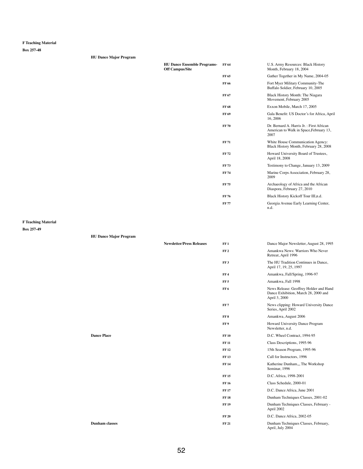**Box 257-48**

| <b>HU Dance Major Program</b> |
|-------------------------------|
|-------------------------------|

| <b>HU Dance Ensemble Programs-</b><br><b>Off Campus/Site</b> | FF 64            | U.S. Army Resources: Black History<br>Month, February 18, 2004                               |
|--------------------------------------------------------------|------------------|----------------------------------------------------------------------------------------------|
|                                                              | FF 65            | Gather Together in My Name, 2004-05                                                          |
|                                                              | FF 66            | Fort Myer Military Community-The<br>Buffalo Soldier, February 10, 2005                       |
|                                                              | FF 67            | Black History Month: The Niagara<br>Movement, February 2005                                  |
|                                                              | FF 68            | Exxon Mobile, March 17, 2005                                                                 |
|                                                              | FF <sub>69</sub> | Gala Benefit: US Doctor's for Africa, April<br>16,2006                                       |
|                                                              | <b>FF70</b>      | Dr. Bernard A. Harris Jr. : First African<br>American to Walk in Space, February 13,<br>2007 |
|                                                              | <b>FF71</b>      | White House Communication Agency:<br>Black History Month, February 28, 2008                  |
|                                                              | <b>FF72</b>      | Howard University Board of Trustees,<br>April 18, 2008                                       |
|                                                              | <b>FF73</b>      | Testimony to Change, January 13, 2009                                                        |
|                                                              | <b>FF74</b>      | Marine Corps Association, February 28,<br>2009                                               |
|                                                              | <b>FF75</b>      | Archaeology of Africa and the African<br>Diaspora, February 27, 2010                         |
|                                                              | <b>FF76</b>      | Black History Kickoff Tour III,n.d.                                                          |
|                                                              | <b>FF77</b>      | Georgia Avenue Early Learning Center,<br>n.d.                                                |

## **F Teaching Material**

**Box 257-49**

## **HU Dance Major Program**

| <b>Newsletter/Press Releases</b> | FF 1            | Dance Major Newsletter, August 28, 1995                 |
|----------------------------------|-----------------|---------------------------------------------------------|
|                                  | FF <sub>2</sub> | Amankwa News: Warriors Who Never<br>Retreat, April 1996 |
|                                  | вв о            | The III Treation Continuos in Dense                     |

| FF 2 | Amankwa News: Warriors Who Never<br>Retreat, April 1996        |
|------|----------------------------------------------------------------|
| FF 3 | The HU Tradition Continues in Dance,<br>April 17, 19, 25, 1997 |
| FF 4 | Amankwa, Fall/Spring, 1996-97                                  |
| FF 5 | Amankwa, Fall 1998                                             |
|      |                                                                |

**FF 6** News Release: Geoffrey Holder and Hand

|                    |              | Dance Exhibition, March 28, 2000 and<br>April 3, 2000        |
|--------------------|--------------|--------------------------------------------------------------|
|                    | FF7          | News clipping: Howard University Dance<br>Series, April 2002 |
|                    | FF 8         | Amankwa, August 2006                                         |
|                    | FF9          | Howard University Dance Program<br>Newsletter, n.d.          |
| <b>Dance Place</b> | <b>FF 10</b> | D.C. Wheel Contract, 1994-95                                 |
|                    | <b>FF11</b>  | Class Descriptions, 1995-96                                  |
|                    | <b>FF 12</b> | 15th Season Program, 1995-96                                 |
|                    | <b>FF13</b>  | Call for Instructors, 1996                                   |
|                    | <b>FF14</b>  | Katherine Dunham,, The Workshop<br>Seminar, 1996             |
|                    | <b>FF15</b>  | D.C. Africa, 1998-2001                                       |
|                    | <b>FF16</b>  | Class Schedule, 2000-01                                      |
|                    | <b>FF17</b>  | D.C. Dance Africa, June 2001                                 |
|                    | <b>FF18</b>  | Dunham Techniques Classes, 2001-02                           |
|                    | <b>FF19</b>  | Dunham Techniques Classes, February -<br>April 2002          |
|                    | <b>FF 20</b> | D.C. Dance Africa, 2002-05                                   |
| Dunham classes     | <b>FF 21</b> | Dunham Techniques Classes, February,<br>April, July 2004     |

**Dunham classes**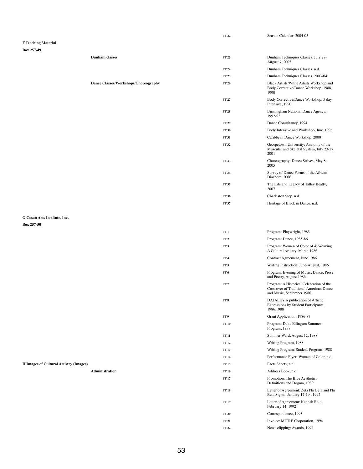|                              |                                             | <b>FF 22</b>    | Season Calendar, 2004-05                                                                   |
|------------------------------|---------------------------------------------|-----------------|--------------------------------------------------------------------------------------------|
| <b>F Teaching Material</b>   |                                             |                 |                                                                                            |
| <b>Box 257-49</b>            |                                             |                 |                                                                                            |
|                              | <b>Dunham</b> classes                       | <b>FF 23</b>    | Dunham Techniques Classes, July 27-<br>August 7, 2005                                      |
|                              |                                             | <b>FF 24</b>    | Dunham Techniques Classes, n.d.                                                            |
|                              |                                             | <b>FF 25</b>    | Dunham Techniques Classes, 2003-04                                                         |
|                              | <b>Dance Classes/Workshops/Choreography</b> | <b>FF 26</b>    | Black Artists/White Artists Workshop and<br>Body Corrective/Dance Workshop, 1988,<br>1990  |
|                              |                                             | <b>FF 27</b>    | Body Corrective/Dance Workshop: 5 day<br>Intensive, 1990                                   |
|                              |                                             | <b>FF 28</b>    | Birmingham National Dance Agency,<br>1992-93                                               |
|                              |                                             | <b>FF 29</b>    | Dance Consultancy, 1994                                                                    |
|                              |                                             | <b>FF 30</b>    | Body Intensive and Workshop, June 1996                                                     |
|                              |                                             | <b>FF 31</b>    | Caribbean Dance Workshop, 2000                                                             |
|                              |                                             | <b>FF 32</b>    | Georgetown University: Anatomy of the<br>Muscular and Skeletal System, July 23-27,<br>2001 |
|                              |                                             | <b>FF 33</b>    | Choreography: Dance Strives, May 8,<br>2005                                                |
|                              |                                             | <b>FF 34</b>    | Survey of Dance Forms of the African<br>Diaspora, 2006                                     |
|                              |                                             | <b>FF 35</b>    | The Life and Legacy of Talley Beatty,<br>2007                                              |
|                              |                                             | <b>FF 36</b>    | Charleston Step, n.d.                                                                      |
|                              |                                             | <b>FF 37</b>    | Heritage of Black in Dance, n.d.                                                           |
| G Cosan Arts Institute, Inc. |                                             |                 |                                                                                            |
| <b>Box 257-50</b>            |                                             |                 |                                                                                            |
|                              |                                             | FF1             | Program: Playwright, 1983                                                                  |
|                              |                                             | FF <sub>2</sub> | Program: Dance, 1985-86                                                                    |
|                              |                                             | FF3             | Program: Women of Color of & Weaving<br>A Cultural Artistry, March 1986                    |

- **FF4** Contract Agreement, June 1986
- **FF 5** Writing Instruction, June-August, 1986
- **FF 6** Program: Evening of Music, Dance, Prose and Poetry, August 1986
- **FF 7** Program: A Historical Celebration of the Crossover of Traditional American Dance

|                                               |              | and Music, September 1986                                                               |
|-----------------------------------------------|--------------|-----------------------------------------------------------------------------------------|
|                                               | FF 8         | DAJALEY: A publication of Artistic<br>Expressions by Student Participants,<br>1986,1988 |
|                                               | FF 9         | Grant Application, 1986-87                                                              |
|                                               | <b>FF 10</b> | Program: Duke Ellington Summer<br>Program, 1987                                         |
|                                               | <b>FF 11</b> | Summer Ward, August 12, 1988                                                            |
|                                               | <b>FF 12</b> | Writing Program, 1988                                                                   |
|                                               | <b>FF13</b>  | Writing Program: Student Program, 1988                                                  |
|                                               | <b>FF14</b>  | Performance Flyer: Women of Color, n.d.                                                 |
| <b>H Images of Cultural Artistry (Images)</b> | <b>FF 15</b> | Facts Sheets, n.d.                                                                      |
| <b>Administration</b>                         | <b>FF 16</b> | Address Book, n.d.                                                                      |
|                                               | <b>FF17</b>  | Promotion: The Blue Aesthetic:<br>Definitions and Dogma, 1989                           |
|                                               | <b>FF 18</b> | Letter of Agreement: Zeta Phi Beta and Phi<br>Beta Sigma, January 17-19, 1992           |
|                                               | <b>FF 19</b> | Letter of Agreement: Kennah Reid,<br>February 14, 1992                                  |
|                                               | <b>FF 20</b> | Correspondence, 1993                                                                    |
|                                               | <b>FF 21</b> | Invoice: MITRE Corporation, 1994                                                        |
|                                               | <b>FF 22</b> | News clipping: Awards, 1994                                                             |
|                                               |              |                                                                                         |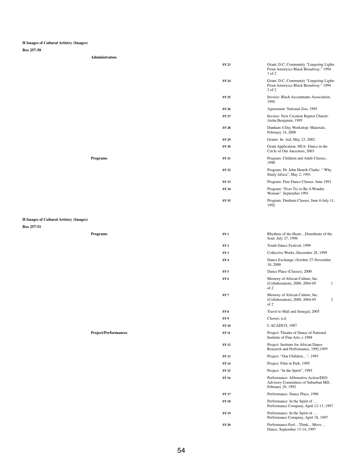## **H Images of Cultural Artistry (Images)**

**Box 257-50**

**Administration**

|                                               | <b>FF 23</b>    | Grant: D.C. Community "Lingering Lights<br>From America;s Black Broadway." 1994<br>$1$ of $2$ |
|-----------------------------------------------|-----------------|-----------------------------------------------------------------------------------------------|
|                                               | <b>FF 24</b>    | Grant: D.C. Community "Lingering Lights<br>From America;s Black Broadway." 1994<br>2 of 2     |
|                                               | <b>FF 25</b>    | Invoice: Black Accountants Association,<br>1995                                               |
|                                               | <b>FF 26</b>    | Agreement: National Zoo, 1995                                                                 |
|                                               | <b>FF 27</b>    | Invoice: New Creation Baptist Church-<br>Aisha Benjamin, 1995                                 |
|                                               | <b>FF 28</b>    | Dunham 4 Day Workshop: Materials,<br>February 14, 2000                                        |
|                                               | <b>FF 29</b>    | Grants- In-Aid, May 23, 2002                                                                  |
|                                               | <b>FF 30</b>    | Grant Application: NEA- Dance in the<br>Circle of Our Ancestors, 2003                         |
| <b>Programs</b>                               | <b>FF 31</b>    | Program: Children and Adult Classes,<br>1990                                                  |
|                                               | <b>FF 32</b>    | Program: Dr. John Henrik Clarke: "Why<br>Study Africa", May 2, 1991                           |
|                                               | <b>FF33</b>     | Program: Free Dance Classes. June 1991                                                        |
|                                               | <b>FF 34</b>    | Program: "Ever Try to Be A Wonder<br>Woman", September 1991                                   |
|                                               | <b>FF 35</b>    | Program: Dunham Classes, June 6-July 11,<br>1992                                              |
| <b>H Images of Cultural Artistry (Images)</b> |                 |                                                                                               |
| Box 257-51                                    |                 |                                                                                               |
| <b>Programs</b>                               | FF1             | Rhythms of the HeartDrumbeats of the<br>Soul, July 27, 1996                                   |
|                                               | FF <sub>2</sub> | Youth Dance Festival, 1999                                                                    |
|                                               | FF3             | Collective Works, December 28, 1999                                                           |

| FF7             | Memory of African Culture, Inc.<br>(Collaboration), 2000, 2004-05<br>2<br>of 2                  |
|-----------------|-------------------------------------------------------------------------------------------------|
| FF <sub>8</sub> | Travel to Mali and Senegal, 2005                                                                |
| FF 9            | Classes, n.d.                                                                                   |
| <b>FF10</b>     | L'ACADCO, 1987                                                                                  |
| <b>FF</b> 11    | Project: Theatre of Dance of National<br>Institute of Fine Arts, c.1988                         |
| <b>FF12</b>     | Project: Institute for African Dance<br>Research and Performance, 1992, 1995                    |
| <b>FF13</b>     | Project: "Our Children", 1993                                                                   |
| <b>FF14</b>     | Project: Film in Park, 1995                                                                     |
| <b>FF15</b>     | Project: "In the Spirit", 1995                                                                  |
| <b>FF16</b>     | Performance: Affirmative Action/EEO<br>Advisory Committees of Suburban MD,<br>February 29, 1992 |
| <b>FF</b> 17    | Performance: Dance Place, 1996                                                                  |
| <b>FF18</b>     | Performance: In the Spirit of<br>Performance Company, April 12-13, 1997                         |
| <b>FF19</b>     | Performance: In the Spirit of<br>Performance Company, April 18, 1997                            |
| <b>FF 20</b>    | Performance:FeelThinkMove<br>Dance, September 13-14, 1997                                       |
|                 |                                                                                                 |

## **Project/Performances**

| FF 4 | Dance Exchange, October 27-November |
|------|-------------------------------------|
|      | 18,2000                             |
|      |                                     |

**FF 5** Dance Place (Classes), 2000

of 2

**FF 6** Memory of African Culture, Inc.

(Collaboration), 2000, 2004-05 1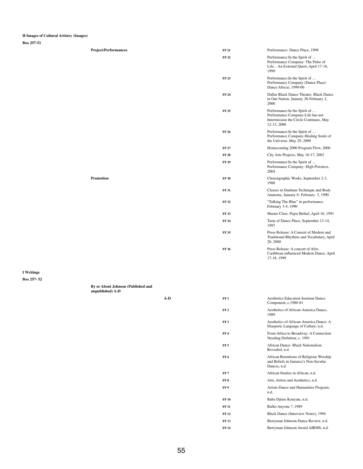#### **H Images of Cultural Artistry (Images)**

**Box 257-51**

| <b>Project/Performances</b> | <b>FF 21</b> | Performance: Dance Place, 1998                                                                                             |
|-----------------------------|--------------|----------------------------------------------------------------------------------------------------------------------------|
|                             | <b>FF22</b>  | Performance: In the Spirit of<br>Performance Company- The Pulse of<br>LifeAn External Quest, April 17-18,<br>1999          |
|                             | <b>FF23</b>  | Performance: In the Spirit of<br>Performance Company (Dance Place/<br>Dance Africa), 1999-00                               |
|                             | <b>FF 24</b> | Dallas Black Dance Theatre: Black Dance<br>in Our Nation, January 28-February 2,<br>2000                                   |
|                             | <b>FF 25</b> | Performance: In the Spirit of<br>Performance Company-Life has not<br>Intermission the Circle Continues, May<br>12-13, 2000 |
|                             | <b>FF 26</b> | Performance: In the Spirit of<br>Performance Company-Healing Souls of<br>the Universe, May 29, 2000                        |
|                             | <b>FF 27</b> | Homecoming 2000 Program Flow, 2000                                                                                         |
|                             | <b>FF 28</b> | City Arts Projects, May 16-17, 2002                                                                                        |
|                             | <b>FF 29</b> | Performance: In the Spirit of<br>Performance Company-High Priestess,<br>2004                                               |
| <b>Promotion</b>            | <b>FF 30</b> | Choeorgraphic Works, September 2-3,<br>1988                                                                                |
|                             | <b>FF31</b>  | Classes in Dunham Technique and Body<br>Anatomy, January 6- February 3, 1990                                               |
|                             | <b>FF32</b>  | "Talking The Blue" in performance,<br>February 3-4, 1990                                                                   |
|                             | <b>FF33</b>  | Master Class: Pepsi Bethel, April 16, 1991                                                                                 |
|                             | <b>FF 34</b> | Taste of Dance Place, September 13-14,<br>1997                                                                             |
|                             | <b>FF 35</b> | Press Release: A Concert of Modern and<br>Traditional Rhythms and Vocabulary, April<br>20, 2000                            |
|                             | <b>FF 36</b> | Press Release: A concert of Afro-<br>Caribbean influenced Modern Dance, April<br>17-18, 1999                               |
|                             |              |                                                                                                                            |

**I Writings Box 257- 52**

| FF1             | <b>Aesthetics Education Seminar Dance</b><br>Component, c.1980-81                               |
|-----------------|-------------------------------------------------------------------------------------------------|
| FF <sub>2</sub> | Aesthetics of African-America Dance,<br>1989                                                    |
| FF3             | Aesthetics of African-America Dance: A<br>Diasporic Language of Culture, n.d.                   |
| FF4             | From Africa to Broadway: A Connection<br>Needing Defintion, c. 1991                             |
| FF <sub>5</sub> | African Dance- Black Nationalism<br>Revealed, n.d.                                              |
| FF <sub>6</sub> | African Retentions of Religious Worship<br>and Beliefs in Jamaica's Non-Secular<br>Dances, n.d. |
| FF <sub>7</sub> | African Studies in African, n.d.                                                                |
| FF <sub>8</sub> | Arts, Artists and Aesthetics, n.d.                                                              |
| FF <sub>9</sub> | Artists Dance and Humanities Program,<br>n.d.                                                   |
| <b>FF10</b>     | Baba Djimo Kouyate, n.d.                                                                        |
| <b>FF 11</b>    | Ballet Anyone ?, 1989                                                                           |
| <b>FF12</b>     | Black Dance (Interview Notes), 1994                                                             |
| <b>FF13</b>     | Berryman Johnson Dance Review, n.d.                                                             |
| <b>FF14</b>     | Berryman Johnson Award AIRMS, n.d.                                                              |
|                 |                                                                                                 |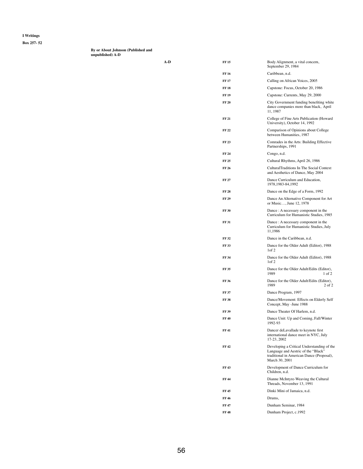**Box 257- 52**

**By or About Johnson (Published and unpublished) A-D**

| A-D | <b>FF15</b>  | Body Alignment, a vital concern,<br>September 29, 1984                                                                                           |
|-----|--------------|--------------------------------------------------------------------------------------------------------------------------------------------------|
|     | <b>FF16</b>  | Caribbean, n.d.                                                                                                                                  |
|     | <b>FF 17</b> | Calling on African Voices, 2005                                                                                                                  |
|     | <b>FF18</b>  | Capstone: Focus, October 20, 1986                                                                                                                |
|     | <b>FF 19</b> | Capstone: Currents, May 29, 2000                                                                                                                 |
|     | <b>FF 20</b> | City Government funding benefiting white<br>dance companies more than black, April<br>11, 1987                                                   |
|     | <b>FF 21</b> | College of Fine Arts Publication (Howard<br>University), October 14, 1992                                                                        |
|     | <b>FF22</b>  | Comparison of Opinions about College<br>between Humanities, 1987                                                                                 |
|     | <b>FF23</b>  | Comrades in the Arts: Building Effective<br>Partnerships, 1991                                                                                   |
|     | <b>FF 24</b> | Congo, n.d.                                                                                                                                      |
|     | <b>FF 25</b> | Cultural Rhythms, April 26, 1986                                                                                                                 |
|     | <b>FF 26</b> | <b>CulturalTraditions In The Social Context</b><br>and Aesthetics of Dance, May 2004                                                             |
|     | <b>FF 27</b> | Dance Curriculum and Education,<br>1978, 1983-84, 1992                                                                                           |
|     | <b>FF 28</b> | Dance on the Edge of a Form, 1992                                                                                                                |
|     | <b>FF 29</b> | Dance An Alternative Component for Art<br>or Music, June 12, 1978                                                                                |
|     | <b>FF 30</b> | Dance : A necessary component in the<br>Curriculum for Humanistic Studies, 1985                                                                  |
|     | <b>FF 31</b> | Dance : A necessary component in the<br>Curriculum for Humanistic Studies, July<br>11,1986                                                       |
|     | <b>FF32</b>  | Dance in the Caribbean, n.d.                                                                                                                     |
|     | <b>FF33</b>  | Dance for the Older Adult (Editor), 1988<br>1 of 2                                                                                               |
|     | <b>FF34</b>  | Dance for the Older Adult (Editor), 1988<br>1 of 2                                                                                               |
|     | <b>FF35</b>  | Dance for the Older Adult/Edits (Editor),<br>1989<br>$1$ of $2$                                                                                  |
|     | <b>FF36</b>  | Dance for the Older Adult/Edits (Editor),<br>1989<br>$2$ of $2$                                                                                  |
|     | <b>FF 37</b> | Dance Program, 1997                                                                                                                              |
|     | <b>FF38</b>  | Dance/Movement: Effects on Elderly Self<br>Concept, May - June 1988                                                                              |
|     | <b>FF 39</b> | Dance Theater Of Harlem, n.d.                                                                                                                    |
|     | <b>FF40</b>  | Dance Unit: Up and Coming, Fall/Winter<br>1992-93                                                                                                |
|     | <b>FF41</b>  | Dancer deLavallade to keynote first<br>international dance meet in NYC, July<br>17-23, 2002                                                      |
|     | <b>FF42</b>  | Developing a Critical Understanding of the<br>Language and Aestric of the "Black"<br>traditional in American Dance (Proposal),<br>March 30, 2001 |
|     | <b>FF43</b>  | Development of Dance Curriculum for<br>Children, n.d.                                                                                            |
|     | <b>FF44</b>  | Dianne McIntyre-Weaving the Cultural<br>Threads, November 13, 1991                                                                               |
|     | <b>FF45</b>  | Dinki Mini of Jamaica, n.d.                                                                                                                      |
|     | FF 46        | Drums,                                                                                                                                           |
|     | <b>FF47</b>  | Dunham Seminar, 1984                                                                                                                             |
|     | <b>FF48</b>  | Dunham Project, c.1992                                                                                                                           |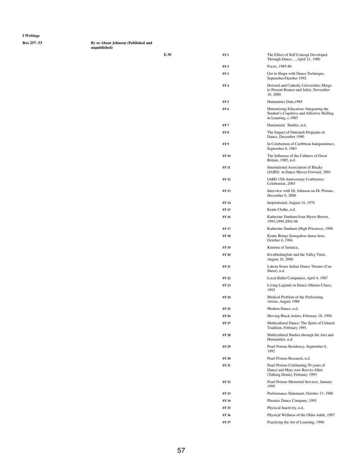**Box 257- 53 By or About Johnson (Published and unpublished)** 

| E-W | FF1             | The Effect of Self Concept Developed<br>Through Dance, April 21, 1980                                      |
|-----|-----------------|------------------------------------------------------------------------------------------------------------|
|     | FF <sub>2</sub> | Focus, 1985-86                                                                                             |
|     | FF <sub>3</sub> | Get in Shape with Dance Technique,<br>September/October 1992                                               |
|     | FF <sub>4</sub> | Howard and Catholic Universities Merge<br>to Present Romeo and Juliet, November<br>10,2000                 |
|     | FF <sub>5</sub> | Humanities Data, 1985                                                                                      |
|     | FF <sub>6</sub> | Humanizing Education: Integrating the<br>Student's Cognitive and Affective Skilling<br>in Learning, c.1985 |
|     | FF <sub>7</sub> | Humanistic Studies, n.d.                                                                                   |
|     | FF <sub>8</sub> | The Impact of Outreach Programs in<br>Dance, December 1990                                                 |
|     | FF <sub>9</sub> | In Celebration of Caribbean Independence,<br>September 8, 1983                                             |
|     | <b>FF10</b>     | The Influence of the Cultures of Great<br>Britain, 1985, n.d.                                              |
|     | <b>FF11</b>     | <b>International Association of Blacks</b><br>(IABD) in Dance Moves Forward, 2001                          |
|     | <b>FF12</b>     | <b>IABD 15th Anniversary Conference</b><br>Celebration, 2003                                               |
|     | <b>FF13</b>     | Interview with Dr. Johnson on Dr. Primus,<br>December 6, 2000                                              |
|     | <b>FF14</b>     | Inspirational, August 14, 1976                                                                             |
|     | <b>FF 15</b>    | Kente Clothe, n.d.                                                                                         |
|     | <b>FF16</b>     | Katherine Dunham/Joan Myers Brown,<br>1995, 1999, 2002-06                                                  |
|     | <b>FF 17</b>    | Katherine Dunham (High Priestess), 1996                                                                    |
|     | <b>FF18</b>     | Konte Brings Senegalese dance here,<br>October 4, 1984                                                     |
|     | <b>FF19</b>     | Kumina of Jamaica,                                                                                         |
|     | <b>FF 20</b>    | KwaDedanglale and the Valley Trust,<br><b>August 10, 2000</b>                                              |
|     | <b>FF 21</b>    | Lakota Sioux Indian Dance Theatre (Cue<br>Sheet), n.d.                                                     |
|     | <b>FF22</b>     | Local Ballet Companies, April 4, 1987                                                                      |
|     | <b>FF23</b>     | Living Legends in Dance (Master Class),<br>1993                                                            |

| FF 24        | Medical Problem of the Performing<br>Artists, August 1988                                                 |
|--------------|-----------------------------------------------------------------------------------------------------------|
| FF 25        | Modern Dance, n.d.                                                                                        |
| FF 26        | Moving Black Artists, February 18, 1994                                                                   |
| FF 27        | Multicultural Dance: The Spirit of Cultural<br>Tradition, February 1991                                   |
| <b>FF 28</b> | Multicultural Studies through the Arts and<br>Humanities, n.d.                                            |
| FF 29        | Pearl Primus Residency, September 8,<br>1992                                                              |
| <b>FF 30</b> | Pearl Primus Research, n.d.                                                                               |
| <b>FF 31</b> | Pearl Primus Celebrating 50 years of<br>Dance and Mary rose Reeves Allen<br>(Talking Drum), February 1993 |
| FF 32        | Pearl Primus Memorial Services, January<br>1995                                                           |
| FF 33        | Performance Statement, October 13, 1988                                                                   |
| FF 34        | Phoenix Dance Company, 1991                                                                               |
| FF 35        | Physical Inactivity, n.d.                                                                                 |
| FF 36        | Physical Wellness of the Older Adult, 1987                                                                |
| FF 37        | Practicing the Art of Learning, 1996                                                                      |
|              |                                                                                                           |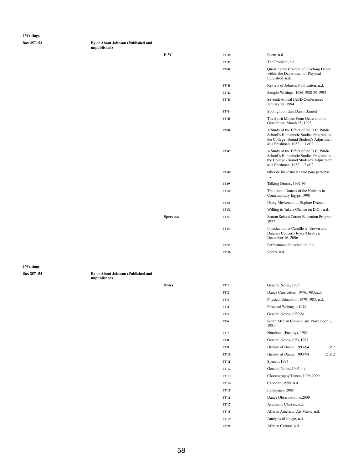**Box 257- 53 By or About Johnson (Published and unpublished)** 

| $E-W$    | <b>FF38</b>  | Poem, n.d.                                                                                                                                                        |
|----------|--------------|-------------------------------------------------------------------------------------------------------------------------------------------------------------------|
|          | <b>FF 39</b> | The Problem, n.d.                                                                                                                                                 |
|          | <b>FF40</b>  | Questing the Content of Teaching Dance<br>within the Department of Physical<br>Education, n,d,                                                                    |
|          | <b>FF41</b>  | Review of Johnson Publication, n.d.                                                                                                                               |
|          | FF 42        | Sample Writings, 1986, 1988-89, 1993                                                                                                                              |
|          | <b>FF43</b>  | Seventh Annual IABD Conference,<br><b>January 28, 1994</b>                                                                                                        |
|          | FF 44        | Spotlight on Erin Dawn Barnett                                                                                                                                    |
|          | <b>FF45</b>  | The Spirit Moves From Generation to<br>Generation, March 25, 1993                                                                                                 |
|          | <b>FF46</b>  | A Study of the Effect of the D.C. Public<br>School's Humanistic Studies Program on<br>the College - Bound Student's Adjustment<br>as a Freshman, 1982<br>$1$ of 2 |
|          | <b>FF47</b>  | A Study of the Effect of the D.C. Public<br>School's Humanistic Studies Program on<br>the College -Bound Student's Adjustment<br>as a Freshman, 1982<br>2 of 2    |
|          | <b>FF48</b>  | taller de bienestar y salud para personas<br>. ,                                                                                                                  |
|          | <b>FF49</b>  | Talking Drums, 1992-93                                                                                                                                            |
|          | <b>FF 50</b> | Traditional Dances of the Nubians in<br>Contemporary Egypt, 1998                                                                                                  |
|          | <b>FF 51</b> | Using Movement to Explore Drama,                                                                                                                                  |
|          | FF 52        | Willing to Take a Chance on D.C., n.d.                                                                                                                            |
| Speeches | <b>FF 53</b> | Seaton School Career Education Program,<br>1977                                                                                                                   |
|          | <b>FF 54</b> | Introduction at Camille A. Brown and<br>Dancers Concert (Joyce Theatre),<br>December 16, 2006                                                                     |
|          | <b>FF 55</b> | Performance Introduction, n.d.                                                                                                                                    |
|          | FF 56        | Sports, n.d.                                                                                                                                                      |
|          |              |                                                                                                                                                                   |

| Box 257-54 |  |  |
|------------|--|--|
|------------|--|--|

**By or About Johnson (Published and** 

**unpublished)** 

| <b>Notes</b> | FF 1 | General Notes, 1975                |
|--------------|------|------------------------------------|
|              | FF 2 | Dance Curriculum, 1976, 1983, n.d. |

| FF <sub>3</sub> | Physical Education, 1979, 1983, n.d.           |            |
|-----------------|------------------------------------------------|------------|
| FF <sub>4</sub> | Proposal Writing, c.1979                       |            |
| FF <sub>5</sub> | General Notes, 1980-81                         |            |
| FF <sub>6</sub> | South African Colonialism, November 7,<br>1981 |            |
| FF7             | Notebook (Faculty), 1983                       |            |
| FF <sub>8</sub> | General Notes, 1984, 1987                      |            |
| FF 9            | History of Dance, 1993-94                      | $1$ of $2$ |
| <b>FF10</b>     | History of Dance, 1993-94                      | $2$ of $2$ |
| <b>FF 11</b>    | Speech, 1994                                   |            |
| <b>FF12</b>     | General Notes, 1995, n.d.                      |            |
| <b>FF13</b>     | Choreography/Dance, 1998-2000                  |            |
| <b>FF14</b>     | Capoeira, 1999, n.d.                           |            |
| <b>FF15</b>     | Languages, 2005                                |            |
| <b>FF16</b>     | Dance Observation, c.2009                      |            |
| <b>FF17</b>     | Academic Classes, n.d.                         |            |
| <b>FF18</b>     | African American Art Music, n.d.               |            |
| <b>FF19</b>     | Analysis of Image, n.d.                        |            |
| <b>FF 20</b>    | African Culture, n.d.                          |            |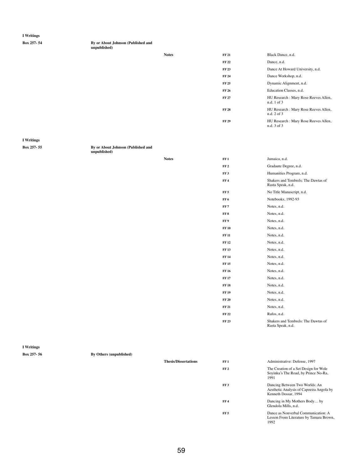| Box 257-54 |
|------------|
|------------|

**By or About Johnson (Published and** 

**unpublished)** 

| <b>Notes</b> | <b>FF 21</b> | Black Dance, n.d.                                    |
|--------------|--------------|------------------------------------------------------|
|              | <b>FF 22</b> | Dance, n.d.                                          |
|              | <b>FF 23</b> | Dance At Howard University, n.d.                     |
|              | <b>FF 24</b> | Dance Workshop, n.d.                                 |
|              | <b>FF 25</b> | Dynamic Alignment, n.d.                              |
|              | <b>FF 26</b> | Education Classes, n.d.                              |
|              | <b>FF 27</b> | HU Research : Mary Rose Reeves Allen,<br>n.d. 1 of 3 |
|              | <b>FF 28</b> | HU Research : Mary Rose Reeves Allen,<br>n.d. 2 of 3 |
|              | <b>FF 29</b> | HU Research : Mary Rose Reeves Allen,<br>n.d. 3 of 3 |

By or About Johnson (Published and **unpublished)** 

**I Writings**

| <b>Box 25</b> |  |  |
|---------------|--|--|
|---------------|--|--|

|                   |                                | <b>Notes</b>                | FF1             | Jamaica, n.d.                                                                                      |
|-------------------|--------------------------------|-----------------------------|-----------------|----------------------------------------------------------------------------------------------------|
|                   |                                |                             | FF <sub>2</sub> | Gradaute Degree, n.d.                                                                              |
|                   |                                |                             | FF3             | Humanities Program, n.d.                                                                           |
|                   |                                |                             | FF <sub>4</sub> | Shakers and Tembrels: The Dawtas of<br>Rasta Speak, n.d.                                           |
|                   |                                |                             | FF <sub>5</sub> | No Title Manuscript, n.d.                                                                          |
|                   |                                |                             | FF6             | Notebooks, 1992-93                                                                                 |
|                   |                                |                             | FF7             | Notes, n.d.                                                                                        |
|                   |                                |                             | ${\rm FF\,8}$   | Notes, n.d.                                                                                        |
|                   |                                |                             | FF 9            | Notes, n.d.                                                                                        |
|                   |                                |                             | <b>FF 10</b>    | Notes, n.d.                                                                                        |
|                   |                                |                             | <b>FF 11</b>    | Notes, n.d.                                                                                        |
|                   |                                |                             | <b>FF 12</b>    | Notes, n.d.                                                                                        |
|                   |                                |                             | <b>FF 13</b>    | Notes, n.d.                                                                                        |
|                   |                                |                             | <b>FF 14</b>    | Notes, n.d.                                                                                        |
|                   |                                |                             | <b>FF 15</b>    | Notes, n.d.                                                                                        |
|                   |                                |                             | <b>FF 16</b>    | Notes, n.d.                                                                                        |
|                   |                                |                             | <b>FF 17</b>    | Notes, n.d.                                                                                        |
|                   |                                |                             | <b>FF 18</b>    | Notes, n.d.                                                                                        |
|                   |                                |                             | <b>FF 19</b>    | Notes, n.d.                                                                                        |
|                   |                                |                             | <b>FF 20</b>    | Notes, n.d.                                                                                        |
|                   |                                |                             | <b>FF 21</b>    | Notes, n.d.                                                                                        |
|                   |                                |                             | <b>FF 22</b>    | Rafos, n.d.                                                                                        |
|                   |                                |                             | <b>FF 23</b>    | Shakers and Tembrels: The Dawtas of<br>Rasta Speak, n.d.                                           |
| <b>I</b> Writings |                                |                             |                 |                                                                                                    |
| Box 257-56        | <b>By Others (unpublished)</b> |                             |                 |                                                                                                    |
|                   |                                | <b>Thesis/Dissertations</b> | FF1             | Administrative: Defense, 1997                                                                      |
|                   |                                |                             | FF <sub>2</sub> | The Creation of a Set Design for Wole<br>Soyinka's The Road, by Prince No-Ra,<br>1991              |
|                   |                                |                             | FF3             | Dancing Between Two Worlds: An<br>Aesthetic Analysis of Capoeira Angola by<br>Kenneth Dossar, 1994 |
|                   |                                |                             | FF <sub>4</sub> | Dancing in My Mothers Body by<br>Glendola Mills, n.d.                                              |
|                   |                                |                             | FF <sub>5</sub> | Dance as Nonverbal Communication: A<br>Lesson From Literature by Tamara Brown,<br>1992             |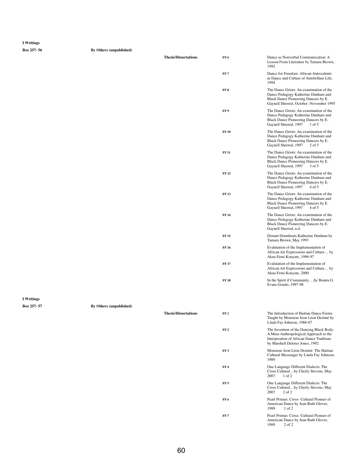**Box 257- 56 By Others (unpublished)**

| <b>Thesis/Dissertations</b> | FF <sub>6</sub> | Dance as Nonverbal Communication: A<br>Lesson From Literature by Tamara Brown,<br>1992                                                                            |
|-----------------------------|-----------------|-------------------------------------------------------------------------------------------------------------------------------------------------------------------|
|                             | FF <sub>7</sub> | Dance for Freedom: African Antecedents<br>in Dance and Culture of Antebellum Life,<br>1994                                                                        |
|                             | FF <sub>8</sub> | The Dance Griots: An examination of the<br>Dance Pedagogy Katherine Dunham and<br>Black Dance Pioneering Dancers by E.<br>Gaynell Sherrod, October -November 1995 |
|                             | FF <sub>9</sub> | The Dance Griots: An examination of the<br>Dance Pedagogy Katherine Dunham and<br>Black Dance Pioneering Dancers by E.<br>Gaynell Sherrod, 1997<br>1 of 5         |
|                             | <b>FF10</b>     | The Dance Griots: An examination of the<br>Dance Pedagogy Katherine Dunham and<br>Black Dance Pioneering Dancers by E.<br>Gaynell Sherrod, 1997<br>$2$ of 5       |
|                             | <b>FF 11</b>    | The Dance Griots: An examination of the<br>Dance Pedagogy Katherine Dunham and<br>Black Dance Pioneering Dancers by E.<br>Gaynell Sherrod, 1997<br>3 of 5         |
|                             | <b>FF12</b>     | The Dance Griots: An examination of the<br>Dance Pedagogy Katherine Dunham and<br>Black Dance Pioneering Dancers by E.<br>Gaynell Sherrod, 1997<br>4 of 5         |
|                             | <b>FF13</b>     | The Dance Griots: An examination of the<br>Dance Pedagogy Katherine Dunham and<br>Black Dance Pioneering Dancers by E.<br>Gaynell Sherrod, 1997<br>4 of 5         |
|                             | <b>FF14</b>     | The Dance Griots: An examination of the<br>Dance Pedagogy Katherine Dunham and<br>Black Dance Pioneering Dancers by E.<br>Gaynell Sherrod, n.d.                   |
|                             | <b>FF15</b>     | Distant Drumbeats Katherine Dunham by<br>Tamara Brown, May 1993                                                                                                   |
|                             | <b>FF16</b>     | Evalutation of the Implementation of<br>African Art Expressions and Culture by<br>Akua Femi Kouyate, 1996-97                                                      |
|                             | <b>FF17</b>     | Evalutation of the Implementation of<br>African Art Expressions and Culture by<br>Akua Femi Kouyate, 2000                                                         |
|                             | <b>FF18</b>     | In the Spirit if Community, by Bonita G.<br>Evans Gondo, 1997-98                                                                                                  |

| <b>I</b> Writings |
|-------------------|
|                   |

| Box 257-57 | <b>By Others (unpublished)</b> |                             |                 |                                                                                                                                                                   |
|------------|--------------------------------|-----------------------------|-----------------|-------------------------------------------------------------------------------------------------------------------------------------------------------------------|
|            |                                | <b>Thesis/Dissertations</b> | FF1             | The Introduction of Haitian Dance Forms<br>Taught by Monsieur Jeon Léon Destiné by<br>Linda Fay Johnson, 1986-87                                                  |
|            |                                |                             | FF <sub>2</sub> | The Invention of the Dancing Black Body:<br>A Meta-Anthropological Approach to the<br>Interpreation of African Dance Tradtions<br>by Marshell Delores Jones, 1992 |
|            |                                |                             | FF3             | Monsieur Jeon Léon Destiné: The Haitian<br>Cultural Messenger by Linda Fay Johnson,<br>1989                                                                       |
|            |                                |                             | FF <sub>4</sub> | One Language Different Dialects: The<br>Cross Culturalby Cherly Stevens, May<br>2007<br>$1$ of $2$                                                                |
|            |                                |                             | FF <sub>5</sub> | One Language Different Dialects: The<br>Cross Culturalby Cherly Stevens, May<br>2007<br>$2$ of $2$                                                                |
|            |                                |                             | FF6             | Pearl Primus: Cross- Cultural Pioneer of<br>American Dance by Jean Ruth Glover,<br>1989<br>$1$ of $2$                                                             |
|            |                                |                             | FF7             | Pearl Primus: Cross- Cultural Pioneer of<br>American Dance by Jean Ruth Glover,<br>1989<br>2 of 2                                                                 |
|            |                                |                             |                 |                                                                                                                                                                   |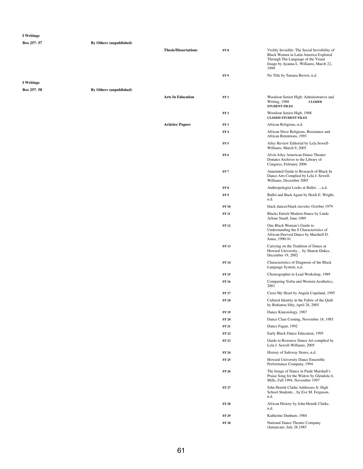| <b>I</b> Writings |                                |                             |                              |                                                                                                                                                                                |
|-------------------|--------------------------------|-----------------------------|------------------------------|--------------------------------------------------------------------------------------------------------------------------------------------------------------------------------|
| Box 257-57        | <b>By Others (unpublished)</b> |                             |                              |                                                                                                                                                                                |
|                   |                                | <b>Thesis/Dissertations</b> | FF <sub>8</sub>              | Visibly Invisible: The Social Invisibility of<br>Black Women in Latin America Explored<br>Through The Language of the Visual<br>Image by Ayanna L. Williams, March 22,<br>1999 |
|                   |                                |                             | FF 9                         | No Title by Tamara Brown, n.d.                                                                                                                                                 |
| <b>I</b> Writings |                                |                             |                              |                                                                                                                                                                                |
| Box 257-58        | <b>By Others (unpublished)</b> |                             |                              |                                                                                                                                                                                |
|                   |                                | <b>Arts In Education</b>    | FF1                          | Woodson Senior High: Administrative and<br>Writing, 1988<br><b>CLOSED</b><br><b>STUDENT FILES</b>                                                                              |
|                   |                                |                             | FF <sub>2</sub>              | Woodson Senior High, 1988<br><b>CLOSED STUDENT FILES</b>                                                                                                                       |
|                   |                                | <b>Articles/Papers</b>      | FF3                          | African Religious, n.d.                                                                                                                                                        |
|                   |                                |                             | FF <sub>4</sub>              | African Slave Religious, Resistance and<br>African Retentions, 1993                                                                                                            |
|                   |                                |                             | FF <sub>5</sub>              | Ailey Review Editorial by Lela Sewell-<br>Williams, March 9, 2005                                                                                                              |
|                   |                                |                             | FF <sub>6</sub>              | Alvin Ailey American Dance Theater<br>Donates Archives to the Library of<br>Congress, February 2006                                                                            |
|                   |                                |                             | FF <sub>7</sub>              | Annotated Guide to Research of Black In<br>Dance Arts Complied by Lela J. Sewell-<br>Williams, December 2005                                                                   |
|                   |                                |                             | FF <sub>8</sub>              | Anthropologist Looks at Ballet, n.d.                                                                                                                                           |
|                   |                                |                             | FF 9                         | Ballet and Back Again by Heidi E. Wright,<br>n.d.                                                                                                                              |
|                   |                                |                             | <b>FF 10</b>                 | black dancer/black traveler, October 1979                                                                                                                                      |
|                   |                                |                             | <b>FF 11</b>                 | Blacks Enrich Modern Dance by Linda<br>Arlene Small, June 1989                                                                                                                 |
|                   |                                |                             | <b>FF 12</b>                 | One Black Woman's Guide to<br>Understanding the 8 Characteristics of<br>African-Derived Dance by Marshell D.<br>Jones, 1990-91                                                 |
|                   |                                |                             | <b>FF13</b>                  | Carrying on the Tradition of Dance at<br>Howard University by Sharon Dukes,<br>December 19, 2002                                                                               |
|                   |                                |                             | <b>FF14</b>                  | Characteristics of Diagnosis of the Black<br>Language System, n,d,                                                                                                             |
|                   |                                |                             | <b>FF15</b>                  | Choreographer to Lead Workshop, 1989                                                                                                                                           |
|                   |                                |                             | <b>FF 16</b>                 | Comparing Yorba and Western Aesthetics,<br>2001                                                                                                                                |
|                   |                                |                             | <b>FF 17</b>                 | Cross My Heart by Angela Copeland, 1995                                                                                                                                        |
|                   |                                |                             | <b>FF18</b>                  | Cultural Identity in the Fabric of the Quilt<br>by Rohiatou Siby, April 28, 2005                                                                                               |
|                   |                                |                             | <b>FF 19</b>                 | Dance Kinesiology, 1987                                                                                                                                                        |
|                   |                                |                             | <b>FF 20</b>                 | Dance Class Coming, November 18, 1985                                                                                                                                          |
|                   |                                |                             | <b>FF 21</b>                 | Dance Fagan, 1992                                                                                                                                                              |
|                   |                                |                             | <b>FF 22</b><br><b>FF 23</b> | Early Black Dance Education, 1995<br>Guide to Resource Dance Art complied by                                                                                                   |
|                   |                                |                             |                              | Lela J. Sewell-Williams, 2005                                                                                                                                                  |
|                   |                                |                             | <b>FF 24</b>                 | History of Safeway Stores, n.d.                                                                                                                                                |
|                   |                                |                             | <b>FF 25</b>                 | Howard University Dance Ensemble<br>Performance Company, 1994                                                                                                                  |
|                   |                                |                             | <b>FF 26</b>                 | The Image of Dance in Paule Marshall's<br>Praise Song for the Widow by Glendola A.<br>Mills, Fall 1994, November 1997                                                          |
|                   |                                |                             | <b>FF 27</b>                 | John Henrik Clarke Addresses Jr. High<br>School Studentsby Eve M. Ferguson,<br>n.d.                                                                                            |
|                   |                                |                             | <b>FF 28</b>                 | African History by John Henrik Clarke,<br>n.d.                                                                                                                                 |
|                   |                                |                             | <b>FF 29</b>                 | Katherine Dunham, 1984                                                                                                                                                         |
|                   |                                |                             | <b>FF 30</b>                 | National Dance Theatre Company<br>(Jamaican), July 28,1985                                                                                                                     |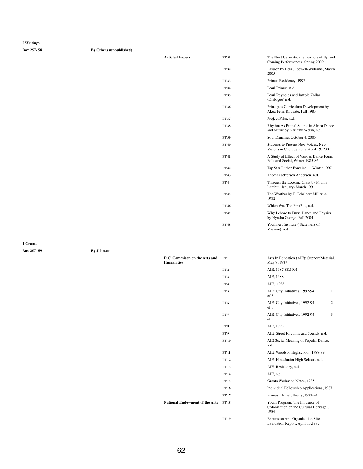**Box 257- 58 By Others (unpublished)**

**Articles/ Papers** 

| <b>FF 31</b> | The Next Generation: Snapshots of Up and<br>Coming Performances, Spring 2009          |
|--------------|---------------------------------------------------------------------------------------|
| <b>FF32</b>  | Passion by Lela J. Sewell-Williams, March<br>2005                                     |
| <b>FF33</b>  | Primus Residency, 1992                                                                |
| <b>FF 34</b> | Pearl Primus, n.d.                                                                    |
| <b>FF 35</b> | Pearl Reynolds and Jawole Zollar<br>(Dialogue) n.d.                                   |
| <b>FF36</b>  | Principles Curriculum Development by<br>Akua Femi Kouyate, Fall 1983                  |
| <b>FF 37</b> | Project/Film, n.d.                                                                    |
| <b>FF38</b>  | Rhythm As Primal Source in Africa Dance<br>and Music by Kariamu Welsh, n.d.           |
| <b>FF 39</b> | Soul Dancing, October 4, 2005                                                         |
| <b>FF40</b>  | <b>Students to Present New Voices, New</b><br>Visions in Choreography, April 19, 2002 |
| FF 41        | A Study of Effect of Various Dance Form:<br>Folk and Social, Winter 1985-86           |
| FF 42        | Tap Star Luther Fontaine, Winter 1997                                                 |
| <b>FF43</b>  | Thomas Jefferson Anderson, n.d.                                                       |
| FF 44        | Through the Looking Glass by Phyllis<br>Lamhut, January- March 1991                   |
| <b>FF45</b>  | The Weather by E. Ethelbert Miller, c.<br>1982                                        |
| <b>FF46</b>  | Which Was The First?, n.d.                                                            |
| FF 47        | Why I chose to Purse Dance and Physics<br>by Nyasha George, Fall 2004                 |
| <b>FF 48</b> | Youth Art Institute (Statement of<br>Mission), n.d.                                   |

**J Grants**

**Box 257- 59 By Johnson**

| D.C. Commison on the Arts and<br><b>Humanities</b> | FF 1            | Arts In Education (AIE): Support Material,<br>May 7, 1987 |
|----------------------------------------------------|-----------------|-----------------------------------------------------------|
|                                                    | FF <sub>2</sub> | AIE, 1987-88, 1991                                        |
|                                                    | FF3             | AIE, 1988                                                 |
|                                                    | FF4             | AIE, 1988                                                 |
|                                                    | FF 5            | AIE: City Initiatives, 1992-94                            |

|                                       |                 | of 3                                                                              |
|---------------------------------------|-----------------|-----------------------------------------------------------------------------------|
|                                       | FF <sub>6</sub> | $\overline{2}$<br>AIE: City Initiatives, 1992-94<br>of 3                          |
|                                       | FF <sub>7</sub> | AIE: City Initiatives, 1992-94<br>3<br>of 3                                       |
|                                       | FF <sub>8</sub> | AIE, 1993                                                                         |
|                                       | FF 9            | AIE: Street Rhythms and Sounds, n.d.                                              |
|                                       | <b>FF10</b>     | AIE: Social Meaning of Popular Dance,<br>n.d.                                     |
|                                       | <b>FF11</b>     | AIE: Woodson Highschool, 1988-89                                                  |
|                                       | <b>FF12</b>     | AIE: Hine Junior High School, n.d.                                                |
|                                       | <b>FF13</b>     | AIE: Residency, n.d.                                                              |
|                                       | <b>FF14</b>     | AIE, n.d.                                                                         |
|                                       | <b>FF15</b>     | Grants Workshop Notes, 1985                                                       |
|                                       | <b>FF16</b>     | Individual Fellowship Applications, 1987                                          |
|                                       | <b>FF17</b>     | Primus, Bethel, Beatty, 1993-94                                                   |
| <b>National Endowment of the Arts</b> | <b>FF18</b>     | Youth Program: The Influence of<br>Colonization on the Cultural Heritage,<br>1984 |
|                                       | <b>FF19</b>     | <b>Expansion Arts Organization Site</b><br>Evaluation Report, April 13,1987       |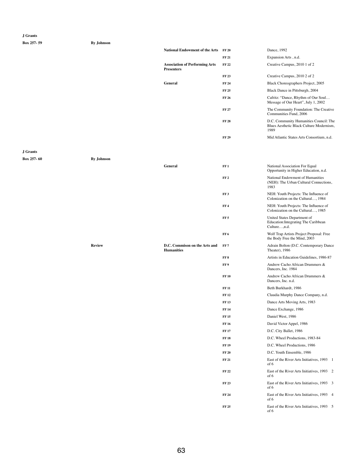**Box 257- 59 By Johnson**

| <b>National Endowment of the Arts</b>                      | <b>FF 20</b> | Dance, 1992                                                                                |
|------------------------------------------------------------|--------------|--------------------------------------------------------------------------------------------|
|                                                            | <b>FF 21</b> | Expansion Arts, n.d.                                                                       |
| <b>Association of Performing Arts</b><br><b>Presenters</b> | <b>FF 22</b> | Creative Campus, 2010 1 of 2                                                               |
|                                                            | <b>FF 23</b> | Creative Campus, 2010 2 of 2                                                               |
| <b>General</b>                                             | <b>FF 24</b> | Black Choreographers Project, 2005                                                         |
|                                                            | <b>FF 25</b> | Black Dance in Pittsburgh, 2004                                                            |
|                                                            | <b>FF 26</b> | Cafritz: "Dance, Rhythm of Our Soul<br>Message of Our Heart", July 1, 2002                 |
|                                                            | <b>FF 27</b> | The Community Foundation: The Creative<br>Communities Fund, 2006                           |
|                                                            | <b>FF 28</b> | D.C. Community Humanities Council: The<br>Blues Aesthetic Black Culture Modernism,<br>1989 |
|                                                            | <b>FF 29</b> | Mid Atlantic States Arts Consortium, n.d.                                                  |

#### **J Grants**

**Box 257- 60 By Johnson**

|               | <b>General</b>                                     | FF1             | <b>National Association For Equal</b><br>Opportunity in Higher Education, n.d.       |
|---------------|----------------------------------------------------|-----------------|--------------------------------------------------------------------------------------|
|               |                                                    | FF <sub>2</sub> | National Endowment of Humanities<br>(NEH): The Urban Cultural Connections,<br>1983   |
|               |                                                    | FF3             | NEH: Youth Projects: The Influence of<br>Colonization on the Cultural, 1984          |
|               |                                                    | FF <sub>4</sub> | NEH: Youth Projects: The Influence of<br>Colonization on the Cultural, 1985          |
|               |                                                    | FF <sub>5</sub> | United States Department of<br>Education: Integrating The Caribbean<br>Culture, n.d. |
|               |                                                    | FF6             | Wolf Trap Artists Project Proposal: Free<br>the Body Free the Mind, 2003             |
| <b>Review</b> | D.C. Commison on the Arts and<br><b>Humanities</b> | FF7             | Adrain Bolton (D.C. Contemporary Dance<br>Theater), 1986                             |
|               |                                                    | FF 8            | Artists in Education Guidelines, 1986-87                                             |
|               |                                                    | FF9             | Andrew Cacho African Drummers &<br>Dancers, Inc. 1984                                |
|               |                                                    | <b>FF10</b>     | Andrew Cacho African Drummers &<br>Dancers, Inc. n.d.                                |
|               |                                                    | <b>FF 11</b>    | Beth Burkhardt, 1986                                                                 |
|               |                                                    | <b>FF12</b>     | Claudia Murphy Dance Company, n.d.                                                   |
|               |                                                    | <b>FF13</b>     | Dance Arts Moving Arts, 1983                                                         |
|               |                                                    | <b>FF 14</b>    | Dance Exchange, 1986                                                                 |
|               |                                                    | <b>FF15</b>     | Daniel West, 1986                                                                    |
|               |                                                    | <b>FF 16</b>    | David Victor Appel, 1986                                                             |
|               |                                                    | <b>FF17</b>     | D.C. City Ballet, 1986                                                               |
|               |                                                    | <b>FF18</b>     | D.C. Wheel Productions, 1983-84                                                      |
|               |                                                    | <b>FF19</b>     | D.C. Wheel Productions, 1986                                                         |
|               |                                                    | <b>FF 20</b>    | D.C. Youth Ensemble, 1986                                                            |
|               |                                                    | <b>FF 21</b>    | East of the River Arts Initiatives, 1993 1<br>of 6                                   |
|               |                                                    | <b>FF22</b>     | East of the River Arts Initiatives, 1993 2<br>of 6                                   |
|               |                                                    | <b>FF 23</b>    | East of the River Arts Initiatives, 1993 3<br>of 6                                   |
|               |                                                    | <b>FF 24</b>    | East of the River Arts Initiatives, 1993 4<br>of 6                                   |
|               |                                                    | <b>FF 25</b>    | East of the River Arts Initiatives, 1993 5<br>of 6                                   |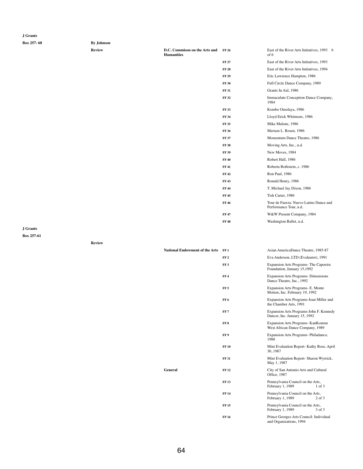#### **J Grants**

## **Box 257- 60 By Johnson**

| vie<br>. . |
|------------|
|            |

| ~, v --------- |                                                    |              |
|----------------|----------------------------------------------------|--------------|
| <b>Review</b>  | D.C. Commison on the Arts and<br><b>Humanities</b> | <b>FF 26</b> |
|                |                                                    | <b>FF 27</b> |
|                |                                                    |              |

**FF 31** 

**FF 35** 

**FF 38** 

**FF 39** 

**FF 40** 

**FF 42** 

**FF 43** 

**FF 45** 

**FF 48** 

| FF 26        | East of the River Arts Initiatives, 1993<br>6<br>of 6            |
|--------------|------------------------------------------------------------------|
| FF 27        | East of the River Arts Initiatives, 1993                         |
| FF 28        | East of the River Arts Initiatives, 1994                         |
| FF 29        | Eric Lawrence Hampton, 1986                                      |
| <b>FF 30</b> | Full Circle Dance Company, 1989                                  |
| FF 31        | Grants In Aid, 1986                                              |
| FF 32        | <b>Immaculate Conception Dance Company,</b><br>1984              |
| FF 33        | Kombo Omolaya, 1986                                              |
| <b>FF 34</b> | Lloyd Erick Whitmore, 1986                                       |
| FF 35        | Mike Malone, 1986                                                |
| FF 36        | Meriam L. Rosen, 1986                                            |
| <b>FF 37</b> | Momentum Dance Theatre, 1986                                     |
| FF 38        | Moving Arts, Inc., n.d.                                          |
| FF 39        | New Moves, 1984                                                  |
| <b>FF 40</b> | Robert Hall, 1986                                                |
| FF 41        | Roberta Rothstein, c. 1986                                       |
| FF 42        | Ron Paul, 1986                                                   |
| FF 43        | Ronald Henry, 1986                                               |
| FF 44        | T. Michael Jay Dixon, 1986                                       |
| FF 45        | Tish Carter, 1986                                                |
| FF 46        | Tour de Fuerza: Nuevo Latino Dance and<br>Performance Tour, n.d. |
| FF 47        | W&W Present Company, 1984                                        |
| FF 48        | Washington Ballet, n.d.                                          |

**J Grants**

**Box 257-61**

**Review**

| <b>National Endowment of the Arts</b> FF1 | Asian AmericaDance Theatre, 1985-87 |  |
|-------------------------------------------|-------------------------------------|--|
|                                           |                                     |  |

**FF 2** Eva Anderson, LTD (Evaluator), 1991

**FF 3** Expansion Arts Programs- The Capoeira Foundation, January 15,1992

**FF 4** Expansion Arts Programs- Dimensions Dance Theatre, Inc., 1992

**FF 5** Expansion Arts Programs- E. Monte Motion, Inc. February 19, 1992

| 11001011.1110.1001001111.12.1222 |  |  |
|----------------------------------|--|--|
|                                  |  |  |

|                | FF <sub>6</sub> | Expansion Arts Programs-Joan Miller and<br>the Chamber Arts, 1991             |
|----------------|-----------------|-------------------------------------------------------------------------------|
|                | FF7             | Expansion Arts Programs-John F. Kennedy<br>Dancer, Inc. January 15, 1992      |
|                | FF <sub>8</sub> | <b>Expansion Arts Programs- KanKouran</b><br>West African Dance Company, 1989 |
|                | FF9             | Expansion Arts Programs-Philadanco,<br>1988                                   |
|                | <b>FF10</b>     | Mini Evaluation Report- Kathy Rose, April<br>30, 1987                         |
|                | <b>FF 11</b>    | Mini Evaluation Report- Sharon Wyrrick,<br>May 1, 1987                        |
| <b>General</b> | <b>FF12</b>     | City of San Antonio Arts and Cultural<br>Office, 1987                         |
|                | <b>FF13</b>     | Pennsylvania Council on the Arts,<br>February 1, 1989<br>$1$ of $3$           |
|                | <b>FF14</b>     | Pennsylvania Council on the Arts,<br>February 1, 1989<br>$2$ of $3$           |
|                | <b>FF15</b>     | Pennsylvania Council on the Arts,<br>February 1, 1989<br>3 of 3               |
|                | <b>FF16</b>     | Prince Georges Arts Council: Individual<br>and Organizations, 1994            |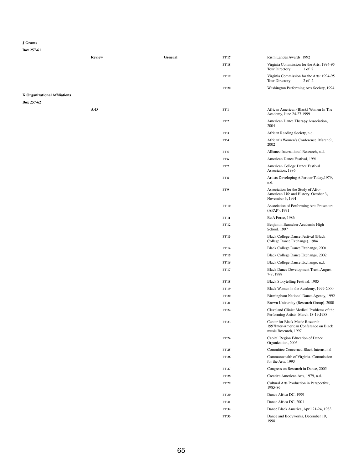## **J Grants**

|                                      | <b>Review</b> | <b>General</b> | <b>FF17</b>     | Rism Landes Awards, 1992                                                                        |
|--------------------------------------|---------------|----------------|-----------------|-------------------------------------------------------------------------------------------------|
|                                      |               |                | <b>FF18</b>     | Virginia Commission for the Arts: 1994-95<br>$1$ of $2$<br>Tour Directory                       |
|                                      |               |                | <b>FF 19</b>    | Virginia Commission for the Arts: 1994-95<br>$2$ of $2$<br>Tour Directory                       |
|                                      |               |                | <b>FF 20</b>    | Washington Performing Arts Society, 1994                                                        |
| <b>K Organizational Affiliations</b> |               |                |                 |                                                                                                 |
| Box 257-62                           |               |                |                 |                                                                                                 |
|                                      | $A-D$         |                | FF1             | African American (Black) Women In The<br>Academy, June 24-27,1999                               |
|                                      |               |                | FF <sub>2</sub> | American Dance Therapy Association,<br>2004                                                     |
|                                      |               |                | FF <sub>3</sub> | African Reading Society, n.d.                                                                   |
|                                      |               |                | FF <sub>4</sub> | African's Women's Conference, March 9,<br>2002                                                  |
|                                      |               |                | FF <sub>5</sub> | Alliance International Research, n.d.                                                           |
|                                      |               |                | FF <sub>6</sub> | American Dance Festival, 1991                                                                   |
|                                      |               |                | FF7             | American College Dance Festival<br>Association, 1986                                            |
|                                      |               |                | FF8             | Artists Developing A Partner Today, 1979,<br>n.d,                                               |
|                                      |               |                | FF 9            | Association for the Study of Afro-<br>American Life and History, October 3,<br>November 3, 1991 |
|                                      |               |                | <b>FF 10</b>    | Association of Performing Arts Presenters<br>(APAP), 1991                                       |
|                                      |               |                | <b>FF 11</b>    | Be A Force, 1986                                                                                |
|                                      |               |                | <b>FF 12</b>    | Benjamin Banneker Academic High<br>School, 1997                                                 |
|                                      |               |                | <b>FF 13</b>    | <b>Black College Dance Festival (Black</b><br>College Dance Exchange), 1984                     |
|                                      |               |                | <b>FF 14</b>    | Black College Dance Exchange, 2001                                                              |
|                                      |               |                | <b>FF 15</b>    | Black College Dance Exchange, 2002                                                              |
|                                      |               |                | <b>FF 16</b>    | Black College Dance Exchange, n.d.                                                              |
|                                      |               |                | <b>FF17</b>     | <b>Black Dance Development Trust, August</b><br>7-9, 1988                                       |
|                                      |               |                | <b>FF 18</b>    | Black Storytelling Festival, 1985                                                               |
|                                      |               |                | <b>FF 19</b>    | Black Women in the Academy, 1999-2000                                                           |

| <b>FF 20</b> | Birmingham National Dance Agency, 1992                                                                    |
|--------------|-----------------------------------------------------------------------------------------------------------|
| FF 21        | Brown University (Research Group), 2000                                                                   |
| FF 22        | Cleveland Clinic: Medical Problems of the<br>Performing Artists, March 18-19,1988                         |
| FF 23        | <b>Center for Black Music Research:</b><br>1997Inter-American Conference on Black<br>music Research, 1997 |
| FF 24        | Capital Region Education of Dance<br>Organization, 2006                                                   |
| FF 25        | Committee Concerned Black Interns, n.d.                                                                   |
| FF 26        | Commonwealth of Virginia- Commission<br>for the Arts, 1993                                                |
| FF 27        | Congress on Research in Dance, 2005                                                                       |
| FF 28        | Creative American Arts, 1979, n.d.                                                                        |
| FF 29        | Cultural Arts Production in Perspective,<br>1985-86                                                       |
| <b>FF 30</b> | Dance Africa DC, 1999                                                                                     |
| <b>FF 31</b> | Dance Africa DC, 2001                                                                                     |
| FF 32        | Dance Black America, April 21-24, 1983                                                                    |
| FF 33        | Dance and Bodyworks, December 19,<br>1998                                                                 |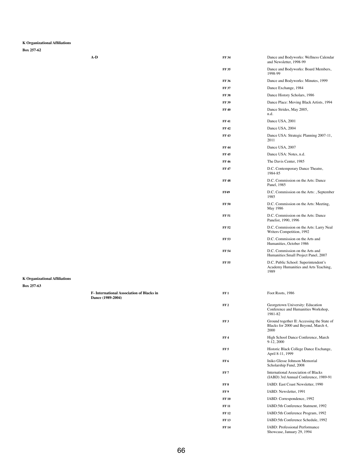**Box 257-62**

| $A-D$ | <b>FF 34</b> | Dance and Bodyworks: Wellness Calendar<br>and Newsletter, 1998-99                     |
|-------|--------------|---------------------------------------------------------------------------------------|
|       | <b>FF 35</b> | Dance and Bodyworks: Board Members,<br>1998-99                                        |
|       | <b>FF 36</b> | Dance and Bodyworks: Minutes, 1999                                                    |
|       | <b>FF 37</b> | Dance Exchange, 1984                                                                  |
|       | <b>FF38</b>  | Dance History Scholars, 1986                                                          |
|       | <b>FF 39</b> | Dance Place: Moving Black Artists, 1994                                               |
|       | <b>FF40</b>  | Dance Strides, May 2005,<br>n.d.                                                      |
|       | <b>FF41</b>  | Dance USA, 2001                                                                       |
|       | <b>FF42</b>  | Dance USA, 2004                                                                       |
|       | <b>FF43</b>  | Dance USA: Strategic Planning 2007-11,<br>2011                                        |
|       | <b>FF44</b>  | Dance USA, 2007                                                                       |
|       | <b>FF45</b>  | Dance USA: Notes, n.d.                                                                |
|       | <b>FF 46</b> | The Davis Center, 1985                                                                |
|       | <b>FF47</b>  | D.C. Contemporary Dance Theatre,<br>1984-85                                           |
|       | <b>FF48</b>  | D.C. Commission on the Arts: Dance<br>Panel, 1985                                     |
|       | <b>FF49</b>  | D.C. Commission on the Arts: , September<br>1985                                      |
|       | <b>FF 50</b> | D.C. Commission on the Arts: Meeting,<br>May 1986                                     |
|       | <b>FF 51</b> | D.C. Commission on the Arts: Dance<br>Panelist, 1990, 1996                            |
|       | <b>FF 52</b> | D.C. Commission on the Arts: Larry Neal<br>Writers Competition, 1992                  |
|       | <b>FF 53</b> | D.C. Commission on the Arts and<br>Humanities, October 1986                           |
|       | <b>FF 54</b> | D.C. Commission on the Arts and<br>Humanities: Small Project Panel, 2007              |
|       | <b>FF 55</b> | D.C. Public School: Superintendent's<br>Academy Humanities and Arts Teaching,<br>1989 |
|       |              |                                                                                       |

**K Organizational Affiliations**

**Dance (1989-2004)**

| cks in | FF1             | Foot Roots, 1986                                                                           |
|--------|-----------------|--------------------------------------------------------------------------------------------|
|        | FF <sub>2</sub> | Georgetown University: Education<br>Conference and Humanities Workshop,<br>1981-82         |
|        | FF <sub>3</sub> | Ground together II: Accessing the State of<br>Blacks for 2000 and Beyond, March 4,<br>2000 |
|        | FF <sub>4</sub> | High School Dance Conference, March<br>9-12, 2000                                          |
|        | FF <sub>5</sub> | Historic Black College Dance Exchange,<br>April 8-11, 1999                                 |
|        | FF <sub>6</sub> | Iniko Glesse Johnson Memorial<br>Scholarship Fund, 2008                                    |
|        | FF <sub>7</sub> | <b>International Association of Blacks</b><br>(IABD) 3rd Annual Conference, 1989-91        |
|        | FF <sub>8</sub> | IABD: East Coast Newsletter, 1990                                                          |
|        | FF9             | IABD: Newsletter, 1991                                                                     |
|        | <b>FF10</b>     | IABD: Correspondence, 1992                                                                 |
|        | <b>FF 11</b>    | IABD:5th Conference Statment, 1992                                                         |
|        | <b>FF12</b>     | IABD:5th Conference Program, 1992                                                          |
|        | <b>FF13</b>     | IABD:5th Conference Schedule, 1992                                                         |
|        | <b>FF14</b>     | <b>IABD: Professional Performance</b><br>Showcase, January 29, 1994                        |
|        |                 |                                                                                            |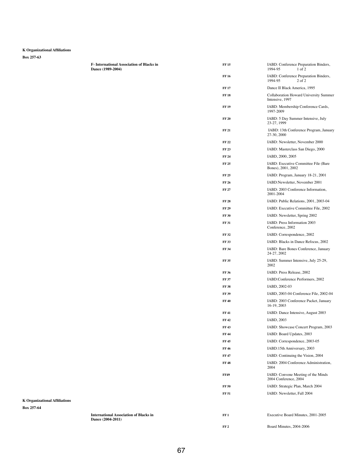**Box 257-63**

| Dance (1989-2004) |
|-------------------|
|                   |
|                   |
|                   |
|                   |
|                   |
|                   |
|                   |
|                   |
|                   |
|                   |
|                   |
|                   |
|                   |
|                   |
|                   |
|                   |
|                   |
|                   |
|                   |

|                                      | <b>F-International Association of Blacks in</b><br>Dance (1989-2004) | <b>FF15</b>     | IABD: Conference Preparation Binders,<br>1994-95<br>$1$ of $2$   |
|--------------------------------------|----------------------------------------------------------------------|-----------------|------------------------------------------------------------------|
|                                      |                                                                      | <b>FF 16</b>    | IABD: Conference Preparation Binders,<br>1994-95<br>$2$ of $2$   |
|                                      |                                                                      | <b>FF17</b>     | Dance II Black America, 1995                                     |
|                                      |                                                                      | <b>FF18</b>     | <b>Collaboration Howard University Summer</b><br>Intensive, 1997 |
|                                      |                                                                      | <b>FF19</b>     | IABD: Membership Conference Cards,<br>1997-2009                  |
|                                      |                                                                      | <b>FF 20</b>    | IABD: 5 Day Summer Intensive, July<br>23-27, 1999                |
|                                      |                                                                      | <b>FF 21</b>    | IABD: 13th Conference Program, January<br>27-30, 2000            |
|                                      |                                                                      | <b>FF22</b>     | IABD: Newsletter, November 2000                                  |
|                                      |                                                                      | <b>FF23</b>     | IABD: Masterclass San Diego, 2000                                |
|                                      |                                                                      | <b>FF 24</b>    | IABD, 2000, 2005                                                 |
|                                      |                                                                      | <b>FF 25</b>    | IABD: Executive Committee File (Bare<br>Bones), 2001, 2002       |
|                                      |                                                                      | <b>FF 25</b>    | IABD: Program, January 18-21, 2001                               |
|                                      |                                                                      | <b>FF 26</b>    | IABD:Newsletter, November 2001                                   |
|                                      |                                                                      | <b>FF 27</b>    | IABD: 2003 Conference Information,<br>2001-2004                  |
|                                      |                                                                      | <b>FF 28</b>    | IABD: Public Relations, 2001, 2003-04                            |
|                                      |                                                                      | <b>FF 29</b>    | IABD: Executive Committee File, 2002                             |
|                                      |                                                                      | <b>FF 30</b>    | IABD: Newsletter, Spring 2002                                    |
|                                      |                                                                      | <b>FF 31</b>    | IABD: Press Information 2003<br>Conference, 2002                 |
|                                      |                                                                      | <b>FF 32</b>    | IABD: Correspondence, 2002                                       |
|                                      |                                                                      | <b>FF 33</b>    | IABD: Blacks in Dance Refocus, 2002                              |
|                                      |                                                                      | <b>FF 34</b>    | IABD: Bare Bones Conference, January<br>24-27, 2002              |
|                                      |                                                                      | <b>FF 35</b>    | IABD: Summer Intensive, July 25-29,<br>2002                      |
|                                      |                                                                      | <b>FF 36</b>    | IABD: Press Release, 2002                                        |
|                                      |                                                                      | <b>FF 37</b>    | IABD:Conference Performers, 2002                                 |
|                                      |                                                                      | <b>FF38</b>     | IABD, 2002-03                                                    |
|                                      |                                                                      | <b>FF 39</b>    | IABD, 2003-04 Conference File, 2002-04                           |
|                                      |                                                                      | <b>FF 40</b>    | IABD: 2003 Conference Packet, January<br>16-19, 2003             |
|                                      |                                                                      | <b>FF41</b>     | IABD: Dance Intensive, August 2003                               |
|                                      |                                                                      | <b>FF42</b>     | IABD, 2003                                                       |
|                                      |                                                                      | <b>FF43</b>     | IABD: Showcase Concert Program, 2003                             |
|                                      |                                                                      | <b>FF44</b>     | IABD: Board Updates, 2003                                        |
|                                      |                                                                      | <b>FF45</b>     | IABD: Correspondence, 2003-05                                    |
|                                      |                                                                      | <b>FF46</b>     | IABD:15th Anniversary, 2003                                      |
|                                      |                                                                      | <b>FF47</b>     | IABD: Continuing the Vision, 2004                                |
|                                      |                                                                      | <b>FF48</b>     | IABD: 2004 Conference Administration,<br>2004                    |
|                                      |                                                                      | <b>FF49</b>     | IABD: Convene Meeting of the Minds<br>2004 Conference, 2004      |
|                                      |                                                                      | <b>FF 50</b>    | IABD: Strategic Plan, March 2004                                 |
| <b>K Organizational Affiliations</b> |                                                                      | <b>FF 51</b>    | IABD: Newsletter, Fall 2004                                      |
| Box 257-64                           |                                                                      |                 |                                                                  |
|                                      | <b>International Association of Blacks in</b><br>Dance (2004-2011)   | FF1             | Executive Board Minutes, 2001-2005                               |
|                                      |                                                                      | FF <sub>2</sub> | Board Minutes, 2004-2006                                         |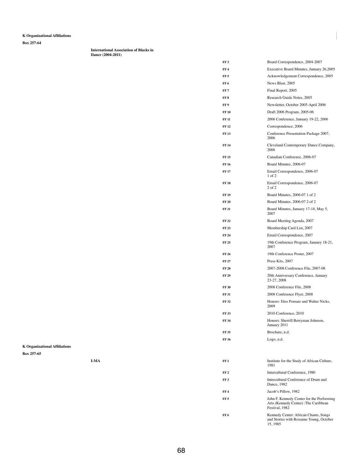**Box 257-64**

**International Association of Blacks in Dance (2004-2011)**

| FF 3         | Board Correspondence, 2004-2007                     |
|--------------|-----------------------------------------------------|
| FF4          | Executive Board Minutes, January 26,2005            |
| FF 5         | Acknowledgement Correspondence, 2005                |
| FF 6         | News Blast, 2005                                    |
| FF 7         | Final Report, 2005                                  |
| FF 8         | Research Guide Notes, 2005                          |
| FF 9         | Newsletter, October 2005-April 2006                 |
| <b>FF 10</b> | Draft 2006 Program, 2005-06                         |
| <b>FF 11</b> | 2006 Conference, January 19-22, 2006                |
| FF 12        | Correspondence, 2006                                |
| <b>FF13</b>  | Conference Presentation Package 2007,<br>2006       |
| <b>FF 14</b> | Cleveland Contemporary Dance Company,<br>2006       |
| FF 15        | Canadian Conference, 2006-07                        |
| FF 16        | Board Minutes, 2006-07                              |
| FF 17        | Email Correspondence, 2006-07<br>$1$ of $2$         |
| FF 18        | Email Correspondence, 2006-07<br>$2$ of $2$         |
| FF 19        | Board Minutes, 2006-07 1 of 2                       |
| FF 20        | Board Minutes, 2006-07 2 of 2                       |
| FF 21        | Board Minutes, January 17-18, May 5,<br>2007        |
| FF 22        | Board Meeting Agenda, 2007                          |
| FF 23        | Membership Card List, 2007                          |
| FF 24        | Email Correspondence, 2007                          |
| FF 25        | 19th Conference Program, January 18-21,<br>2007     |
| FF 26        | 19th Conference Poster, 2007                        |
| FF 27        | Press Kits, 2007                                    |
| FF 28        | 2007-2008 Conference File, 2007-08                  |
| FF 29        | 20th Anniversary Conference, January<br>23-27, 2008 |
| <b>FF 30</b> | 2008 Conference File, 2008                          |

|                                      | <b>FF 31</b>    | 2008 Conference Flyer, 2008                                                                          |
|--------------------------------------|-----------------|------------------------------------------------------------------------------------------------------|
|                                      | <b>FF 32</b>    | Honors: Eleo Pomare and Walter Nicks,<br>2009                                                        |
|                                      | <b>FF 33</b>    | 2010 Conference, 2010                                                                                |
|                                      | <b>FF 34</b>    | Honors: Sherrill Berryman Johnson,<br>January 2011                                                   |
|                                      | <b>FF35</b>     | Brochure, n.d.                                                                                       |
|                                      | <b>FF 36</b>    | Logo, n.d.                                                                                           |
| <b>K Organizational Affiliations</b> |                 |                                                                                                      |
| Box 257-65                           |                 |                                                                                                      |
| <b>I-MA</b>                          | FF1             | Institute for the Study of African Culture,<br>1981                                                  |
|                                      | FF <sub>2</sub> | Intercultural Conference, 1980                                                                       |
|                                      | FF3             | Intercultural Conference of Drum and<br>Dance, 1982                                                  |
|                                      | FF <sub>4</sub> | Jacob's Pillow, 1982                                                                                 |
|                                      | FF <sub>5</sub> | John F. Kennedy Center for the Performing<br>Arts (Kennedy Center) : The Caribbean<br>Festival, 1982 |
|                                      | FF6             | Kennedy Center: African Chants, Songs<br>and Stories with Roxanne Young, October<br>15, 1985         |
|                                      |                 |                                                                                                      |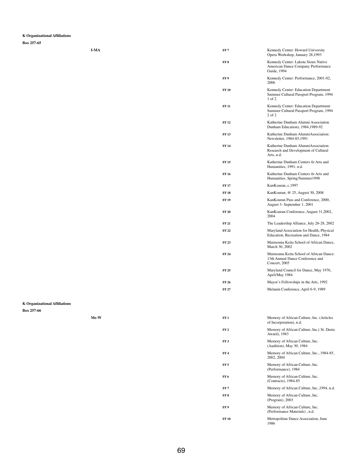**Box 257-65**

| I-MA | FF <sub>7</sub> | Kennedy Center: Howard University<br>Opera Workshop, January 28,1993                         |
|------|-----------------|----------------------------------------------------------------------------------------------|
|      | FF <sub>8</sub> | Kennedy Center: Lakota Sioux Native<br>American Dance Company Performance<br>Guide, 1994     |
|      | FF9             | Kennedy Center: Performance, 2001-02,<br>2006                                                |
|      | <b>FF10</b>     | Kennedy Center: Education Department<br>Summer Cultural Passport Program, 1994<br>$1$ of $2$ |
|      | <b>FF 11</b>    | Kennedy Center: Education Department<br>Summer Cultural Passport Program, 1994<br>2 of 2     |
|      | <b>FF12</b>     | Katherine Dunham Alumni Association<br>Dunham Education), 1984, 1989-92                      |
|      | <b>FF13</b>     | Katherine Dunham AlumniAssociation:<br>Newsletter, 1984-85, 1991                             |
|      | <b>FF14</b>     | Katherine Dunham AlumniAssociation:<br>Research and Development of Cultural<br>Arts, n.d.    |
|      | <b>FF15</b>     | Katherine Dunham Centers fir Arts and<br>Humanities, 1991, n.d.                              |
|      | <b>FF16</b>     | Katherine Dunham Centers fir Arts and<br>Humanities, Spring/Summer1998                       |
|      | <b>FF17</b>     | KanKouran, c.1997                                                                            |
|      | <b>FF18</b>     | KanKouran, @ 25, August 30, 2008                                                             |
|      | <b>FF 19</b>    | KanKouran Pass and Conference, 2000,<br>August 3- September 1, 2001                          |
|      | <b>FF 20</b>    | KanKouran Conference, August 31,2002,<br>2004                                                |
|      | <b>FF 21</b>    | The Leadership Alliance, July 26-28, 2002                                                    |
|      | <b>FF 22</b>    | Maryland Association for Health, Physical<br>Education, Recreation and Dance, 1984           |
|      | <b>FF 23</b>    | Maimouna Keita School of African Dance,<br>March 30, 2002                                    |
|      | <b>FF 24</b>    | Maimouna Keita School of African Dance:<br>13th Annual Dance Conference and<br>Concert, 2005 |
|      | <b>FF 25</b>    | Maryland Council for Dance, May 1976,<br>April/May 1984                                      |
|      | <b>FF 26</b>    | Mayor's Fellowships in the Arts, 1992                                                        |
|      | <b>FF 27</b>    | Melanin Conference, April 6-9, 1989                                                          |

| Me-W | FF1             | Memory of African Culture, Inc. (Articles<br>of Incorporation), n.d. |
|------|-----------------|----------------------------------------------------------------------|
|      | FF <sub>2</sub> | Memory of African Culture, Inc. (St. Denis<br>Award), 1983           |
|      | FF3             | Memory of African Culture, Inc.<br>(Audition), May 30, 1984          |
|      | FF <sub>4</sub> | Memory of African Culture, Inc., 1984-85,<br>2002, 2004              |
|      | FF <sub>5</sub> | Memory of African Culture, Inc.<br>(Performance), 1984               |
|      | FF6             | Memory of African Culture, Inc.<br>(Contracts), 1984-85              |
|      | FF <sub>7</sub> | Memory of African Culture, Inc., 1994, n.d.                          |
|      | FF <sub>8</sub> | Memory of African Culture, Inc.<br>(Program), 2003                   |
|      | FF 9            | Memory of African Culture, Inc.<br>(Performance Materials), n.d.     |
|      | <b>FF 10</b>    | Metropolitan Dance Association, June<br>1986                         |

**K Organizational Affiliations**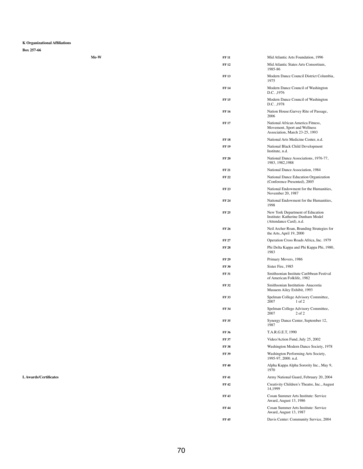**Box 257-66**

| Me-W | <b>FF 11</b> | Mid Atlantic Arts Foundation, 1996                                                                  |
|------|--------------|-----------------------------------------------------------------------------------------------------|
|      | <b>FF12</b>  | Mid Atlantic States Arts Consortium,<br>1985-86                                                     |
|      | <b>FF13</b>  | Modern Dance Council District Columbia,<br>1975                                                     |
|      | <b>FF 14</b> | Modern Dance Council of Washington<br>D.C., 1976                                                    |
|      | <b>FF15</b>  | Modern Dance Council of Washington<br>D.C., 1978                                                    |
|      | <b>FF16</b>  | Nation House: Garvey Rite of Passage,<br>2006                                                       |
|      | <b>FF17</b>  | National African America Fitness,<br>Movement, Sport and Wellness<br>Association, March 23-25, 1993 |
|      | <b>FF18</b>  | National Arts Medicine Center, n.d.                                                                 |
|      | <b>FF19</b>  | <b>National Black Child Development</b><br>Institute, n.d.                                          |
|      | <b>FF 20</b> | National Dance Associations, 1976-77,<br>1983, 1982, 1988                                           |
|      | <b>FF 21</b> | National Dance Association, 1984                                                                    |
|      | <b>FF22</b>  | National Dance Education Organization<br>(Conference Presented), 2005                               |
|      | <b>FF23</b>  | National Endowment for the Humanities,<br>November 20, 1987                                         |
|      | <b>FF 24</b> | National Endowment for the Humanities,<br>1998                                                      |
|      | <b>FF 25</b> | New York Department of Education<br>Institute: Katherine Dunham Model<br>(Attendance Card), n.d.    |
|      | <b>FF 26</b> | Neil Archer Roan, Branding Strategies for<br>the Arts, April 19, 2000                               |
|      | <b>FF 27</b> | Operation Cross Roads Africa, Inc. 1979                                                             |
|      | <b>FF 28</b> | Phi Delta Kappa and Phi Kappa Phi, 1980,<br>1983                                                    |
|      | <b>FF 29</b> | Primary Movers, 1986                                                                                |
|      | <b>FF 30</b> | Sister Fire, 1985                                                                                   |
|      | <b>FF 31</b> | Smithsonian Institute Caribbean Festival<br>of American Folklife, 1982                              |
|      | <b>FF32</b>  | Smithsonian Institution-Anacostia<br>Musuem Ailey Exhibit, 1993                                     |

| Spelman College Advisory Committee,<br>2007<br>$1$ of $2$             |
|-----------------------------------------------------------------------|
| Spelman College Advisory Committee,<br>2007<br>$2$ of $2$             |
| Synergy Dance Center, September 12,<br>1987                           |
| T.A.R.G.E.T, 1990                                                     |
| Video/Action Fund, July 25, 2002                                      |
| Washington Modern Dance Society, 1978                                 |
| Washington Performing Arts Society,<br>1995-97, 2000. n.d.            |
| Alpha Kappa Alpha Sorority Inc., May 9,<br>1970                       |
| Army National Guard, February 20, 2004                                |
| Creativity Children's Theatre, Inc., August<br>14,1999                |
| <b>Cosan Summer Arts Institute: Service</b><br>Award, August 13, 1986 |
| Cosan Summer Arts Institute: Service<br>Award, August 13, 1987        |
| Davis Center: Community Service, 2004                                 |
|                                                                       |

L Awards/Certificates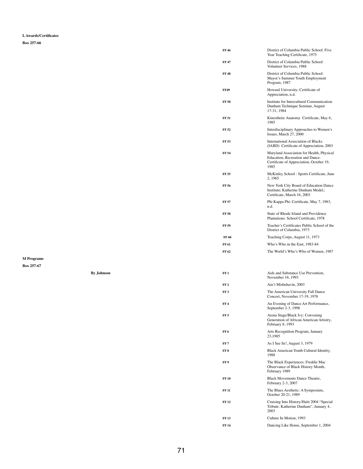**L Awards/Certificates**

**Box 257-66**

|                   | <b>FF46</b>  | District of Columbia Public School: Five<br>Year Teaching Certificate, 1975                                                       |
|-------------------|--------------|-----------------------------------------------------------------------------------------------------------------------------------|
|                   | <b>FF47</b>  | District of Columbia Public School:<br>Volunteer Services, 1988                                                                   |
|                   | <b>FF48</b>  | District of Columbia Public School:<br>Mayor's Summer Youth Employment<br>Program, 1987                                           |
|                   | <b>FF49</b>  | Howard University; Certificate of<br>Appreciation, n.d.                                                                           |
|                   | <b>FF 50</b> | Institute for Intercultural Communication<br>Dunham Technique Seminar, August<br>17-31, 1984                                      |
|                   | <b>FF 51</b> | Kinesthetic Anatomy Certificate, May 6,<br>1985                                                                                   |
|                   | <b>FF 52</b> | Interdisciplinary Approaches to Women's<br>Issues, March 27, 2000                                                                 |
|                   | <b>FF 53</b> | <b>International Association of Blacks</b><br>(IABD) Certificate of Appreciation, 2003                                            |
|                   | <b>FF 54</b> | Maryland Association for Health, Physical<br>Education, Recreation and Dance:<br>Certificate of Appreciation, October 19,<br>1985 |
|                   | <b>FF 55</b> | McKinley School: Sports Certificate, June<br>2, 1965                                                                              |
|                   | <b>FF 56</b> | New York City Board of Education Dance<br>Institute; Katherine Dunham Model,:<br>Certificate, March 16, 2003                      |
|                   | <b>FF 57</b> | Phi Kappa Phi: Certificate, May 7, 1983,<br>n.d.                                                                                  |
|                   | <b>FF 58</b> | State of Rhode Island and Providence<br>Plantations: School Certificate, 1978                                                     |
|                   | <b>FF 59</b> | Teacher's Certificates Public School of the<br>District of Columbia, 1973                                                         |
|                   | <b>FF 60</b> | Teaching Corps, August 11, 1973                                                                                                   |
|                   | <b>FF 61</b> | Who's Who in the East, 1983-84                                                                                                    |
|                   | FF 62        | The World's Who's Who of Women, 1987                                                                                              |
| <b>By Johnson</b> | FF1          | Aids and Substance Use Prevention,<br>November 16, 1993                                                                           |

| <b>FF 3</b> | The American University Fall Dance |
|-------------|------------------------------------|
|             | Concert, November 17-19, 1978      |

| FF <sub>4</sub> | An Evening of Dance Art Performance,<br>September 2-3, 1998                                      |
|-----------------|--------------------------------------------------------------------------------------------------|
| FF <sub>5</sub> | Arena Stage/Black Ivy: Convening<br>Generation of African American Artistry,<br>February 8, 1993 |
| FF 6            | Arts Recognition Program, January<br>23,1985                                                     |
| FF7             | As I See Its!, August 3, 1979                                                                    |
| FF8             | Black American Youth Cultural Identity,<br>1988                                                  |
| FF <sub>9</sub> | The Black Experiences: Freddie Mac<br>Observance of Black History Month,<br>February 1989        |
| <b>FF10</b>     | <b>Black Movements Dance Theatre,</b><br>February 2-3, 2007                                      |
| <b>FF 11</b>    | The Blues Aesthetic: A Symposium,<br>October 20-21, 1989                                         |
| <b>FF12</b>     | Cruising Into History/Haiti 2004 "Special<br>Tribute: Katherine Dunham", January 4,<br>2003      |
| <b>FF13</b>     | Culture In Motion, 1993                                                                          |
| <b>FF</b> 14    | Dancing Like Home, September 1, 2004                                                             |

**FF 2** Ain't Misbehavin, 2003

**M Programs**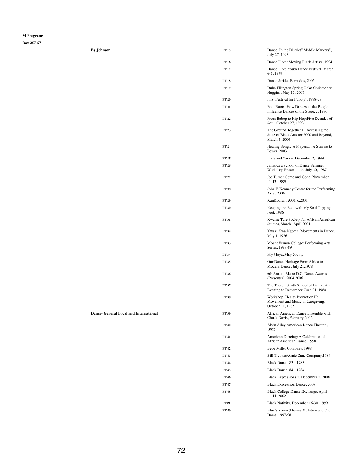**Box 257-67**

|  |  | <b>By Johnson</b> |
|--|--|-------------------|
|--|--|-------------------|

**Dance- General Local and International** 

| <b>By Johnson</b> | <b>FF15</b>  | Dance: In the District" Middle Markers",<br>July 27, 1993                                          |
|-------------------|--------------|----------------------------------------------------------------------------------------------------|
|                   | <b>FF16</b>  | Dance Place: Moving Black Artists, 1994                                                            |
|                   | <b>FF17</b>  | Dance Place Youth Dance Festival, March<br>6-7, 1999                                               |
|                   | <b>FF18</b>  | Dance Strides Barbados, 2005                                                                       |
|                   | <b>FF19</b>  | Duke Ellington Spring Gala: Christopher<br>Huggins, May 17, 2007                                   |
|                   | <b>FF 20</b> | First Festival for Fund(s), 1978-79                                                                |
|                   | <b>FF 21</b> | Foot Roots: How Dances of the People<br>Influence Dances of the Stage, c. 1986                     |
|                   | <b>FF22</b>  | From Bebop to Hip-Hop: Five Decades of<br>Soul, October 27, 1993                                   |
|                   | <b>FF23</b>  | The Ground Together II: Accessing the<br>State of Black Arts for 2000 and Beyond,<br>March 4, 2000 |
|                   | <b>FF 24</b> | Healing SongA Prayers A Sunrise to<br>Power, 2003                                                  |
|                   | <b>FF 25</b> | Inkle and Yarico, December 2, 1999                                                                 |
|                   | <b>FF 26</b> | Jamaica a School of Dance Summer<br>Workshop Presentation, July 30, 1987                           |
|                   | <b>FF 27</b> | Joe Turner Come and Gone, November<br>11-13, 1999                                                  |
|                   | <b>FF 28</b> | John F. Kennedy Center for the Performing<br>Arts, 2006                                            |
|                   | <b>FF 29</b> | KanKouran, 2000, c.2001                                                                            |
|                   | <b>FF 30</b> | Keeping the Beat with My Soul Tapping<br>Feet, 1986                                                |
|                   | <b>FF 31</b> | Kwame Ture Society for African American<br>Studies, March -April 2004                              |
|                   | <b>FF32</b>  | Kwazi Kwa Ngoma: Movements in Dance,<br>May 1, 1976                                                |
|                   | <b>FF33</b>  | Mount Vernon College: Performing Arts<br>Series. 1988-89                                           |
|                   | <b>FF 34</b> | My Maya, May 20, n,y,                                                                              |
|                   | <b>FF35</b>  | Our Dance Heritage Form Africa to<br>Modern Dance, July 21,1978                                    |
|                   | <b>FF 36</b> | 6th Annual Metro D.C. Dance Awards<br>(Presenter), 2004, 2006                                      |
|                   | <b>FF 37</b> | The Therell Smith School of Dance: An<br>Evening to Remember, June 24, 1988                        |

| <b>FF38</b>  | Workshop: Health Promotion II:<br>Movement and Music in Caregiving,<br>October 11, 1985 |
|--------------|-----------------------------------------------------------------------------------------|
| <b>FF 39</b> | African American Dance Ensemble with<br>Chuck Davis, February 2002                      |
| <b>FF40</b>  | Alvin Ailey American Dance Theater,<br>1998                                             |
| <b>FF41</b>  | American Dancing: A Celebration of<br>African American Dance, 1998                      |
| FF 42        | Bebe Miller Company, 1998                                                               |
| <b>FF43</b>  | Bill T. Jones/Arnie Zane Company, 1984                                                  |
| <b>FF 44</b> | Black Dance 83', 1983                                                                   |
| <b>FF45</b>  | Black Dance 84', 1984                                                                   |
| <b>FF46</b>  | Black Expressions 2, December 2, 2006                                                   |
| <b>FF47</b>  | <b>Black Expression Dance, 2007</b>                                                     |
| <b>FF48</b>  | Black College Dance Exchange, April<br>11-14, 2002                                      |
| <b>FF49</b>  | Black Nativity, December 16-30, 1999                                                    |
| <b>FF 50</b> | Blue's Room (Dianne McIntyre and Old<br>Dara), 1997-98                                  |
|              |                                                                                         |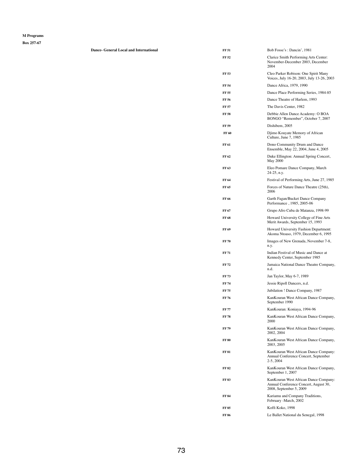| <b>Dance- General Local and International</b> | <b>FF 51</b> | Bob Fosse's: Dancin', 1981                                                         |
|-----------------------------------------------|--------------|------------------------------------------------------------------------------------|
|                                               | <b>FF 52</b> | Clarice Smith Performing Arts Center:<br>November-December 2003, December<br>2004  |
|                                               | <b>FF 53</b> | Cleo Parker Robison: One Spirit Many<br>Voices, July 16-20, 2003, July 13-26, 2003 |
|                                               | <b>FF 54</b> | Dance Africa, 1979, 1990                                                           |
|                                               | <b>FF 55</b> | Dance Place Performing Series, 1984-85                                             |
|                                               | <b>FF 56</b> | Dance Theatre of Harlem, 1993                                                      |
|                                               | <b>FF 57</b> | The Davis Center, 1982                                                             |
|                                               | <b>FF 58</b> | Debbie Allen Dance Academy: O BOA<br>BONGO "Remember", October 7, 2007             |
|                                               | <b>FF 59</b> | Dishibem, 2005                                                                     |
|                                               | <b>FF 60</b> | Djimo Kouyate Memory of African<br>Culture, June 7, 1985                           |
|                                               | <b>FF 61</b> | Dono Community Drum and Dance<br>Ensemble, May 22, 2004, June 4, 2005              |
|                                               | FF 62        | Duke Ellington: Annual Spring Concert,<br><b>May 2000</b>                          |
|                                               | FF 63        | Eleo Pomare Dance Company, March<br>$24-25$ , n.y.                                 |
|                                               | FF 64        | Festival of Performing Arts, June 27, 1985                                         |
|                                               | FF 65        | Forces of Nature Dance Theatre (25th),<br>2006                                     |
|                                               | <b>FF 66</b> | Garth Fagan/Bucket Dance Company<br>Performance, 1985, 2005-06                     |
|                                               | FF 67        | Grupo Afro Cuba de Matanza, 1998-99                                                |
|                                               | <b>FF 68</b> | Howard University College of Fine Arts<br>Merit Awards, September 15, 1993         |
|                                               | FF 69        | Howard University Fashion Department:<br>Akoma Ntoaso, 1979, December 6, 1995      |
|                                               | <b>FF 70</b> | Images of New Grenada, November 7-8,<br>n.y.                                       |
|                                               | <b>FF 71</b> | Indian Festival of Music and Dance at<br>Kennedy Center, September 1985            |
|                                               | <b>FF 72</b> | Jamaica National Dance Theatre Company,<br>n.d.                                    |
|                                               | <b>FF73</b>  | Jan Taylor, May 6-7, 1989                                                          |
|                                               | <b>FF 74</b> | Jessie Ripoll Dancers, n.d.                                                        |
|                                               | <b>FF 75</b> | Jubilation ! Dance Company, 1987                                                   |

| <b>FF 76</b> | Kan Kouran West African Dance Company,<br>September 1990                                                   |
|--------------|------------------------------------------------------------------------------------------------------------|
| FF 77        | KanKouran: Koniaya, 1994-96                                                                                |
| FF 78        | KanKouran West African Dance Company,<br>2000                                                              |
| FF 79        | KanKouran West African Dance Company,<br>2002, 2004                                                        |
| <b>FF 80</b> | Kan Kouran West African Dance Company,<br>2003, 2005                                                       |
| FF 81        | KanKouran West African Dance Company:<br>Annual Conference Concert, September<br>$2-5, 2004$               |
| FF 82        | Kan Kouran West African Dance Company,<br>September 1, 2007                                                |
| FF 83        | Kan Kouran West African Dance Company:<br>Annual Conference Concert, August 30,<br>2008, September 5, 2009 |
| FF 84        | Kariamu and Company Traditions,<br>February -March, 2002                                                   |
| FF 85        | Koffi Koko, 1998                                                                                           |
| FF 86        | Le Ballet National du Senegal, 1998                                                                        |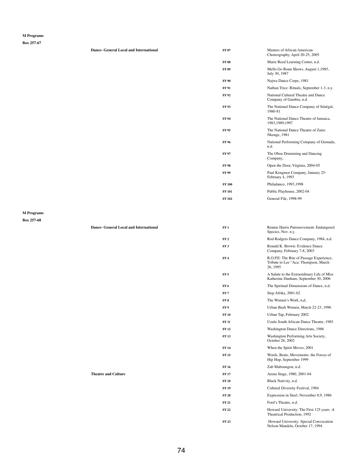**Box 257-67**

| $60X 25/-07$                    |                                               |                 |                                                                                              |
|---------------------------------|-----------------------------------------------|-----------------|----------------------------------------------------------------------------------------------|
|                                 | <b>Dance- General Local and International</b> | <b>FF 87</b>    | <b>Masters of African American</b><br>Choreography, April 20-25, 2005                        |
|                                 |                                               | <b>FF 88</b>    | Marie Reed Learning Center, n.d.                                                             |
|                                 |                                               | <b>FF 89</b>    | Mello Go Roun Shows, August 1,1985,<br>July 30, 1987                                         |
|                                 |                                               | <b>FF 90</b>    | Najwa Dance Corps, 1981                                                                      |
|                                 |                                               | <b>FF 91</b>    | Nathan Trice: Rituals, September 1-3, n.y.                                                   |
|                                 |                                               | <b>FF 92</b>    | National Cultural Theatre and Dance<br>Company of Gambia, n.d.                               |
|                                 |                                               | <b>FF 93</b>    | The National Dance Company of Sénégal,<br>1980-81                                            |
|                                 |                                               | <b>FF 94</b>    | The National Dance Theatre of Jamaica,<br>1983, 1989, 1997                                   |
|                                 |                                               | <b>FF95</b>     | The National Dance Theatre of Zaire:<br>Nkenge, 1981                                         |
|                                 |                                               | <b>FF96</b>     | National Performing Company of Grenada,<br>n.d.                                              |
|                                 |                                               | <b>FF 97</b>    | The Oboe Drumming and Dancing<br>Company,                                                    |
|                                 |                                               | <b>FF98</b>     | Open the Door, Virginia, 2004-05                                                             |
|                                 |                                               | <b>FF 99</b>    | Paul Kengmor Company, January 25-<br>February 4, 1993                                        |
|                                 |                                               | <b>FF100</b>    | Philadanco, 1993, 1998                                                                       |
|                                 |                                               | <b>FF101</b>    | Public Playhouse, 2002-04                                                                    |
|                                 |                                               | <b>FF 102</b>   | General File, 1998-99                                                                        |
| <b>M</b> Programs<br>Box 257-68 |                                               |                 |                                                                                              |
|                                 | <b>Dance- General Local and International</b> | FF1             | Rennie Harris Puremovement: Endangered<br>Species, Nov. n.y.                                 |
|                                 |                                               | FF <sub>2</sub> | Rod Rodgers Dance Company, 1984, n.d.                                                        |
|                                 |                                               | FF3             | Ronald K. Brown: Evidence Dance<br>Company, February 7-8, 2003                               |
|                                 |                                               | FF <sub>4</sub> | R.O.P.E: The Rite of Passage Experience,<br>Tribute to Lee "Aca: Thompson, March<br>26, 1995 |
|                                 |                                               | FF <sub>5</sub> | A Salute to the Extraordinary Life of Miss                                                   |

**FF 6** The Spiritual Dimensions of Dance, n.d.

| FF <sub>7</sub> | Step Afrika, 2001-02                                                       |
|-----------------|----------------------------------------------------------------------------|
| FF <sub>8</sub> | The Women's Work, n,d,                                                     |
| FF 9            | Urban Bush Women, March 22-23, 1996                                        |
| <b>FF 10</b>    | Urban Tap, February 2002                                                   |
| <b>FF 11</b>    | Uzulu South African Dance Theatre, 1985                                    |
| <b>FF12</b>     | Washington Dance Directions, 1986                                          |
| <b>FF13</b>     | Washington Performing Arts Society,<br>October 26, 2002                    |
| <b>FF</b> 14    | When the Spirit Moves, 2001                                                |
| <b>FF</b> 15    | Words, Beats, Movements: the Forces of<br>Hip Hop, September 1999          |
| <b>FF</b> 16    | Zab Maboungou, n.d.                                                        |
| <b>FF 17</b>    | Arena Stage, 1980, 2001-04                                                 |
| <b>FF 18</b>    | Black Nativity, n.d.                                                       |
| <b>FF</b> 19    | <b>Cultural Diversity Festival, 1984</b>                                   |
| <b>FF 20</b>    | Expression in Steel, November 8,9, 1986                                    |
| <b>FF 21</b>    | Ford's Theatre, n.d.                                                       |
| <b>FF22</b>     | Howard University: The First 125 years: A<br>Theatrical Production, 1992   |
| <b>FF23</b>     | Howard University: Special Convocation<br>Nelson Mandela, October 17, 1994 |

**Theatre and Culture FF** 17 Arena Stage, 1980, 2001-04, 2002, 2001-04, 2002, 2002, 2001-04, 2002, 2001-04, 2001-04, 2002, 2002, 2002, 2002, 2002, 2002, 2002, 2002, 2002, 2002, 2002, 2002, 2002, 2002, 2002, 2002, 2002, 20

Katherine Dunham, September 30, 2006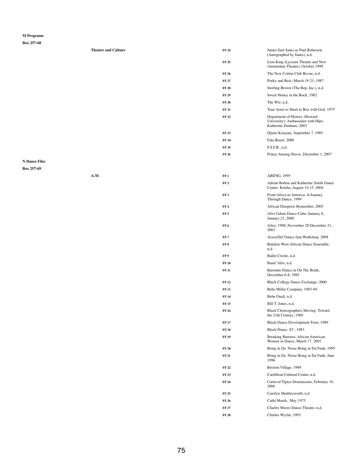|                      | <b>Theatre and Culture</b> | <b>FF 24</b>    | James Earl Jones as Paul Roberson<br>(Autographed by Jones), n.d.                             |
|----------------------|----------------------------|-----------------|-----------------------------------------------------------------------------------------------|
|                      |                            | <b>FF 25</b>    | Lion King (Lyceum Theatre and New<br>Amsterdam Theatre), October 1999                         |
|                      |                            | <b>FF 26</b>    | The New Cotton Club Revue, n.d.                                                               |
|                      |                            | <b>FF 27</b>    | Porky and Bess, March 19-21, 1987                                                             |
|                      |                            | <b>FF 28</b>    | Sterling Brown (The Rep, Inc.), n.d.                                                          |
|                      |                            | <b>FF 29</b>    | Sweet Honey in the Rock, 1982                                                                 |
|                      |                            | <b>FF 30</b>    | The Wiz, n.d.                                                                                 |
|                      |                            | <b>FF 31</b>    | Your Arms to Short to Box with God, 1975                                                      |
|                      |                            | <b>FF32</b>     | Department of History (Howard<br>University): Ambassador with Hips:<br>Katherine Dunham, 2003 |
|                      |                            | <b>FF33</b>     | Djimo Kouyate, September 7, 1985                                                              |
|                      |                            | <b>FF 34</b>    | Fala Brasil, 2000                                                                             |
|                      |                            | <b>FF35</b>     | F.S.F.B., n.d.                                                                                |
|                      |                            | <b>FF 36</b>    | Prince Among Slaves, December 1, 2007                                                         |
| <b>N</b> Dance Files |                            |                 |                                                                                               |
| Box 257-69           |                            |                 |                                                                                               |
|                      | $A-M$                      | FF1             | ABENG, 1995                                                                                   |
|                      |                            | FF <sub>2</sub> | Adrian Bolton and Katherine Smith Dance<br>Center: Kimba, August 14-15, 2004                  |
|                      |                            | FF3             | From Africa to America: A Journey<br>Through Dance, 1999                                      |
|                      |                            | FF <sub>4</sub> | African Diasporic Remember, 2005                                                              |
|                      |                            | FF <sub>5</sub> | Afro Cuban Dance Cuba, January 8,<br><b>January 23, 2000</b>                                  |
|                      |                            | FF6             | Ailey, 1998, November 28-December 31,<br>2001                                                 |
|                      |                            | FF7             | Aziza/Def Dance Jam Workshop, 2008                                                            |
|                      |                            | FF 8            | Balafon-West African Dance Ensemble,<br>n.d.                                                  |
|                      |                            | FF 9            | Ballet Creole, n.d.                                                                           |
|                      |                            | <b>FF 10</b>    | Band' Afro, n.d.                                                                              |
|                      |                            | <b>FF 11</b>    | Barrunto Dance in On The Brink,<br>December 6-8, 1985                                         |
|                      |                            | <b>FF12</b>     | Black College Dance Exchange, 2000                                                            |

|              | $\overline{\phantom{a}}$ |                              | $\sqrt{2}$ |
|--------------|--------------------------|------------------------------|------------|
| <b>FF 13</b> |                          | Bebe Miller Company, 1993-94 |            |

| <b>FF14</b>  | Bebe Ouali, n.d.                                                      |
|--------------|-----------------------------------------------------------------------|
| <b>FF 15</b> | Bill T. Jones, n.d.                                                   |
| <b>FF16</b>  | <b>Black Choreographers Moving: Toward</b><br>the 21th Century, 1989  |
| <b>FF17</b>  | <b>Black Dance Development Trust, 1989</b>                            |
| <b>FF18</b>  | <b>Black Dance 83', 1983</b>                                          |
| <b>FF19</b>  | Breaking Barriers: African American<br>Women in Dance, March 17, 2001 |
| <b>FF 20</b> | Bring in Da Noise Bring in Da Funk, 1995                              |
| <b>FF 21</b> | Bring in Da Noise Bring in Da Funk, June<br>1996                      |
| <b>FF22</b>  | Brixton Village, 1989                                                 |
| <b>FF 23</b> | Caribbean Cultural Center, n.d.                                       |
| <b>FF 24</b> | Carnival Tipico Dominicano, February 18,<br>2006                      |
| <b>FF 25</b> | Carolyn Shuttlesworth, n.d.                                           |
| FF 26        | Cathi Marsh, May 1975                                                 |
| <b>FF 27</b> | Charles Moore Dance Theatre, n.d.                                     |
| <b>FF28</b>  | Charles Wyche, 1993                                                   |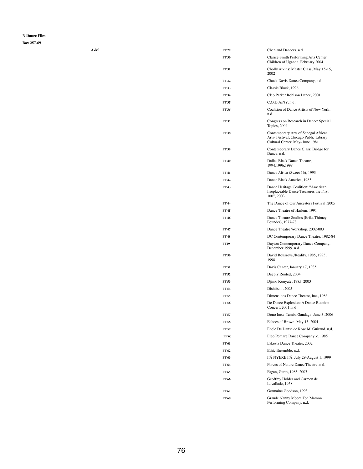| $A-M$ | <b>FF 29</b> | Chen and Dancers, n.d.                                                                                            |
|-------|--------------|-------------------------------------------------------------------------------------------------------------------|
|       | <b>FF 30</b> | Clarice Smith Performing Arts Center:<br>Children of Uganda, February 2004                                        |
|       | <b>FF 31</b> | Cholly Atkins: Master Class, May 15-16,<br>2002                                                                   |
|       | <b>FF32</b>  | Chuck Davis Dance Company, n.d.                                                                                   |
|       | <b>FF33</b>  | Classic Black, 1996                                                                                               |
|       | <b>FF 34</b> | Cleo Parker Robison Dance, 2001                                                                                   |
|       | <b>FF 35</b> | C.O.D.A/NY, n.d.                                                                                                  |
|       | <b>FF 36</b> | Coalition of Dance Artists of New York,<br>n.d.                                                                   |
|       | <b>FF 37</b> | Congress on Research in Dance: Special<br>Topics, 2004                                                            |
|       | <b>FF38</b>  | Contemporary Arts of Senegal African<br>Arts- Festival, Chicago Public Library<br>Cultural Center, May- June 1981 |
|       | <b>FF 39</b> | Contemporary Dance Class: Bridge for<br>Dance, n.d.                                                               |
|       | <b>FF40</b>  | Dallas Black Dance Theatre,<br>1994, 1996, 1998                                                                   |
|       | <b>FF41</b>  | Dance Africa (Sweet 16), 1993                                                                                     |
|       | <b>FF42</b>  | Dance Black America, 1983                                                                                         |
|       | <b>FF43</b>  | Dance Heritage Coalition: "American<br>Irreplaceable Dance Treasures the First<br>100", 2003                      |
|       | <b>FF44</b>  | The Dance of Our Ancestors Festival, 2005                                                                         |
|       | <b>FF45</b>  | Dance Theatre of Harlem, 1991                                                                                     |
|       | <b>FF46</b>  | Dance Theatre Studios (Erika Thimey<br>Founder), 1977-78                                                          |
|       | <b>FF47</b>  | Dance Theatre Workshop, 2002-003                                                                                  |
|       | <b>FF48</b>  | DC Contemporary Dance Theatre, 1982-84                                                                            |
|       | <b>FF49</b>  | Dayton Contemporary Dance Company,<br>December 1999, n.d.                                                         |
|       | <b>FF 50</b> | David Rousseve,/Reality, 1985, 1995,<br>1998                                                                      |
|       | <b>FF 51</b> | Davis Center, January 17, 1985                                                                                    |
|       | <b>FF 52</b> | Deeply Rooted, 2004                                                                                               |
|       | <b>FF 53</b> | Djimo Kouyate, 1985, 2003                                                                                         |
|       | <b>FF 54</b> | Dishibem, 2005                                                                                                    |

| Dimensions Dance Theatre, Inc., 1986                       |
|------------------------------------------------------------|
| De Dance Explosion: A Dance Reunion<br>Concert, 2001, n.d. |
| Dono Inc.: Tamba Gandaga, June 3, 2006                     |
| Echoes of Brown, May 15, 2004                              |
| Ecole De Danse de Rose M. Guiraud, n,d,                    |
| Eleo Pomare Dance Company, c. 1985                         |
| Eskesta Dance Theater, 2002                                |
| Ethic Ensemble, n.d.                                       |
| FÁ NYERE FÁ, July 29-August 1, 1999                        |
| Forces of Nature Dance Theatre, n.d.                       |
| Fagan, Garth, 1983. 2003                                   |
| Geoffrey Holder and Carmen de<br>Lavallade, 1958           |
| Germaine Goodson, 1993                                     |
| Grande Nanny Moore Ton Maroon<br>Performing Company, n.d.  |
|                                                            |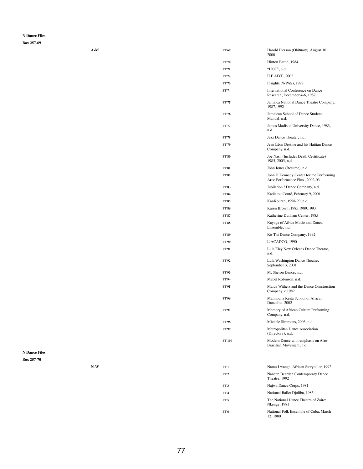| $A-M$ | FF 69        | Harold Pierson (Obituary), August 10,<br>2000                                |
|-------|--------------|------------------------------------------------------------------------------|
|       | <b>FF 70</b> | Hinton Battle, 1984                                                          |
|       | <b>FF 71</b> | "HOT", n.d.                                                                  |
|       | <b>FF72</b>  | ILE AIYE, 2002                                                               |
|       | <b>FF73</b>  | Insights (WPAS), 1998                                                        |
|       | <b>FF74</b>  | International Conference on Dance<br>Research, December 4-6, 1987            |
|       | <b>FF75</b>  | Jamaica National Dance Theatre Company,<br>1987,1992                         |
|       | <b>FF 76</b> | Jamaican School of Dance Student<br>Manual. n.d.                             |
|       | <b>FF77</b>  | James Madison University Dance, 1983,<br>n.d.                                |
|       | <b>FF78</b>  | Jazz Dance Theater, n.d.                                                     |
|       | <b>FF79</b>  | Jean Léon Destine and his Haitian Dance<br>Company, n.d.                     |
|       | <b>FF 80</b> | Joe Nash (Includes Death Certificate)<br>1985, 2005, n,d                     |
|       | <b>FF 81</b> | John Jones (Resume), n.d.                                                    |
|       | <b>FF82</b>  | John F. Kennedy Center for the Performing<br>Arts: Performance Plus, 2002-03 |
|       | <b>FF83</b>  | Jubilation ! Dance Company, n.d.                                             |
|       | <b>FF 84</b> | Kadiatou Conté, February 9, 2001                                             |
|       | <b>FF85</b>  | KanKouran, 1998-99, n.d.                                                     |
|       | <b>FF 86</b> | Karen Brown, 1985, 1989, 1993                                                |
|       | <b>FF 87</b> | Katherine Dunham Center, 1985                                                |
|       | <b>FF 88</b> | Kayaga of Africa Music and Dance<br>Ensemble, n.d.                           |
|       | <b>FF 89</b> | Ko-Thi Dance Company, 1992                                                   |
|       | <b>FF 90</b> | L'ACADCO, 1990                                                               |
|       | <b>FF 91</b> | Lula Elzy New Orleans Dance Theatre,<br>n.d.                                 |
|       | <b>FF92</b>  | Lula Washington Dance Theatre,<br>September 3, 2001                          |
|       | <b>FF93</b>  | M. Sheron Dance, n.d.                                                        |
|       | <b>FF 94</b> | Mabel Robinson, n.d.                                                         |
|       | <b>FF95</b>  | Maida Withers and the Dance Construction<br>Company, c.1982                  |

|                      |                                | <b>FF 96</b>    | Maimouna Keita School of African<br>DanceInc. 2002              |
|----------------------|--------------------------------|-----------------|-----------------------------------------------------------------|
|                      |                                | <b>FF 97</b>    | Memory of African Culture Performing<br>Company, n.d.           |
|                      |                                | <b>FF 98</b>    | Michele Simmons, 2003, n.d.                                     |
|                      |                                | <b>FF 99</b>    | Metropolitan Dance Association<br>(Directory), n.d.             |
|                      |                                | <b>FF 100</b>   | Modern Dance with emphasis on Afro-<br>Brazilian Movement, n.d. |
| <b>N</b> Dance Files |                                |                 |                                                                 |
| <b>Box 257-70</b>    |                                |                 |                                                                 |
|                      | $\mathbf{N}\text{-}\mathbf{W}$ | FF1             | Namu Lwanga: African Storyteller, 1992                          |
|                      |                                | FF <sub>2</sub> | Nanette Bearden Contemporary Dance<br>Theatre, 1992             |
|                      |                                | FF <sub>3</sub> | Najwa Dance Corps, 1981                                         |
|                      |                                | FF <sub>4</sub> | National Ballet Djoliba, 1985                                   |
|                      |                                | FF <sub>5</sub> | The National Dance Theatre of Zaire:<br>Nkenge, 1981            |
|                      |                                | FF <sub>6</sub> | National Folk Ensemble of Cuba, March<br>12, 1980               |
|                      |                                |                 |                                                                 |
|                      |                                |                 |                                                                 |
|                      |                                |                 |                                                                 |
|                      |                                |                 |                                                                 |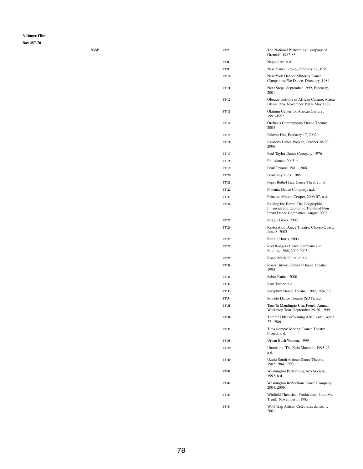| $N-W$ | FF <sub>7</sub> | The National Performing Company of<br>Grenada, 1982-83                                                            |
|-------|-----------------|-------------------------------------------------------------------------------------------------------------------|
|       | FF8             | Nego Gato, n.d.                                                                                                   |
|       | FF 9            | New Dance Group, February 22, 1989                                                                                |
|       | <b>FF 10</b>    | New York Dances Minority Dance<br>Companies: We Dance, Directory, 1984                                            |
|       | <b>FF 11</b>    | Next Steps, September 1999, February,<br>2001                                                                     |
|       | <b>FF 12</b>    | Oboade Institute of African Culture: Africa<br>Blema Dzo, November 1981- May 1982                                 |
|       | <b>FF13</b>     | Olatunji Center for African Culture,<br>1991-1992                                                                 |
|       | <b>FF 14</b>    | Orchesis Contempoary Dance Theatre,<br>2004                                                                       |
|       | <b>FF15</b>     | Palaver Hut, February 17, 2002                                                                                    |
|       | <b>FF16</b>     | Passions Dance Project, October 28-29,<br>2006                                                                    |
|       | <b>FF17</b>     | Paul Taylor Dance Company, 1976                                                                                   |
|       | <b>FF18</b>     | Philadanco, 2005, n,,                                                                                             |
|       | <b>FF19</b>     | Pearl Primus, 1981, 1986                                                                                          |
|       | <b>FF 20</b>    | Pearl Reynolds, 1985                                                                                              |
|       | <b>FF 21</b>    | Pepsi Bethel Jazz Dance Theatre, n.d.                                                                             |
|       | <b>FF22</b>     | Phoenix Dance Company, n.d.                                                                                       |
|       | <b>FF 23</b>    | Princess Mhoon Cooper, 2006-07, n.d.                                                                              |
|       | <b>FF 24</b>    | Raising the Barre: The Geographic,<br>Financial and Economic Trends of Non<br>Profit Dance Companies, August 2003 |
|       | <b>FF 25</b>    | Reggie Glass, 2002                                                                                                |
|       | <b>FF 26</b>    | Restoration Dance Theatre: Choreo Quest,<br>June 8, 2003                                                          |
|       | <b>FF 27</b>    | Rennie Harris, 2003                                                                                               |
|       | <b>FF 28</b>    | Rod Rodgers Dance Company and<br>Studios, 1988, 2002, 2003                                                        |
|       | <b>FF 29</b>    | Rose-Marie Guiraud, n.d.                                                                                          |
|       | <b>FF 30</b>    | Rossi Turner: Sankofa Dance Theatre,<br>1993                                                                      |
|       | <b>FF 31</b>    | Sabar Kutiro, 2000                                                                                                |
|       | <b>FF32</b>     | Sam Turner, n.d.                                                                                                  |
|       | <b>FF33</b>     | Seraphim Dance Theatre, 1992, 1994, n.d.                                                                          |

| FF 34 | Soweto Dance Theatre (SDT), n.d.                                            |
|-------|-----------------------------------------------------------------------------|
| FF 35 | Tam Ta Mandingie Usa: Fourth Annual<br>Workshop Tour, September 25-26, 1999 |
| FF 36 | Thelma Hill Performing Arts Center, April<br>27, 1986                       |
| FF 37 | Titos Sompa: Mbongi Dance Theatre<br>Project, n.d.                          |
| FF 38 | Urban Bush Women, 1999                                                      |
| FF 39 | Umabatha: The Zulu Macbeth, 1995-96,<br>n.d.                                |
| FF 40 | Uzulu South African Dance Theatre,<br>1982, 1984, 1993                      |
| FF 41 | Washington Performing Arts Society,<br>1992, n.d.                           |
| FF 42 | Washington Reflections Dance Company,<br>2004, 2006                         |
| FF 43 | Winfield Theatrical Productions, Inc.: Mr.<br>Truitt, November 5, 1985      |
| FF 44 | Wolf Trap Artists: Celebrates dance,<br>2001                                |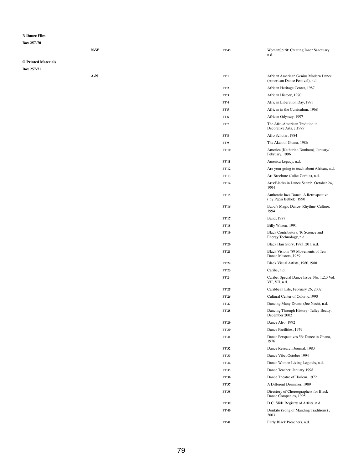**Box 257-70**

|                            | $N-W$ | <b>FF 45</b>    | WomanSpirit: Creating Inner Sanctuary,<br>n.d.                          |
|----------------------------|-------|-----------------|-------------------------------------------------------------------------|
| <b>O Printed Materials</b> |       |                 |                                                                         |
| Box 257-71                 |       |                 |                                                                         |
|                            | $A-N$ | FF1             | African American Genius Modern Dance<br>(American Dance Festival), n.d. |
|                            |       | FF <sub>2</sub> | African Heritage Center, 1987                                           |
|                            |       | FF <sub>3</sub> | African History, 1970                                                   |
|                            |       | FF4             | African Liberation Day, 1973                                            |
|                            |       | FF <sub>5</sub> | African in the Curriculum, 1968                                         |
|                            |       | FF <sub>6</sub> | African Odyssey, 1997                                                   |
|                            |       | FF <sub>7</sub> | The Afro-American Tradition in<br>Decorative Arts, c.1979               |
|                            |       | FF 8            | Afro Scholar, 1984                                                      |
|                            |       | FF 9            | The Akan of Ghana, 1986                                                 |
|                            |       | <b>FF 10</b>    | America (Katherine Dunham), January/<br>February, 1996                  |
|                            |       | <b>FF 11</b>    | America Legacy, n.d.                                                    |
|                            |       | <b>FF 12</b>    | Are your going to teach about African, n.d.                             |
|                            |       | <b>FF13</b>     | Art Brochure (Juliet Corbin), n.d.                                      |
|                            |       | <b>FF 14</b>    | Arts: Blacks in Dance Search, October 24,<br>1994                       |
|                            |       | <b>FF 15</b>    | Authentic Jazz Dance: A Retrospective<br>(by Pepsi Bethel), 1990        |
|                            |       | <b>FF 16</b>    | Babu's Magic Dance-Rhythm-Culture,<br>1994                              |
|                            |       | <b>FF17</b>     | Band, 1987                                                              |
|                            |       | <b>FF 18</b>    | Billy Wilson, 1991                                                      |
|                            |       | <b>FF 19</b>    | <b>Black Contributors: To Science and</b><br>Energy Technology, n.d.    |
|                            |       | <b>FF 20</b>    | Black Hair Story, 1983, 201, n.d.                                       |
|                            |       | <b>FF 21</b>    | Black Visions '89 Movements of Ten<br>Dance Masters, 1989               |
|                            |       | <b>FF 22</b>    | Black Visual Artists, 1980, 1988                                        |
|                            |       | <b>FF 23</b>    | Caribe, n.d.                                                            |
|                            |       | <b>FF 24</b>    | Caribe: Special Dance Issue, No. 1.2.3 Vol.<br>VII, VII, n.d.           |
|                            |       | <b>FF 25</b>    | Caribbean Life, February 26, 2002                                       |
|                            |       | <b>FF 26</b>    | Cultural Center of Color, c.1990                                        |
|                            |       | <b>FF 27</b>    | Dancing Many Drums (Joe Nash), n.d.                                     |
|                            |       | <b>FF 28</b>    | Dancing Through History- Talley Beatty,<br>December 2002                |
|                            |       | <b>FF 29</b>    | Dance Afro, 1992                                                        |
|                            |       | <b>FF 30</b>    | Dance Facilities, 1979                                                  |
|                            |       | <b>FF 31</b>    | Dance Perspectives 56: Dance in Ghana,<br>1976                          |
|                            |       | <b>FF 32</b>    | Dance Research Journal, 1983                                            |
|                            |       | <b>FF 33</b>    | Dance Vibe, October 1994                                                |
|                            |       | <b>FF 34</b>    | Dance Women Living Legends, n.d.                                        |
|                            |       | <b>FF 35</b>    | Dance Teacher, January 1998                                             |
|                            |       | <b>FF 36</b>    | Dance Theatre of Harlem, 1972                                           |
|                            |       | <b>FF 37</b>    | A Different Drummer, 1989                                               |
|                            |       | <b>FF 38</b>    | Directory of Choreographers for Black<br>Dance Companies, 1995          |
|                            |       | <b>FF 39</b>    | D.C. Slide Registry of Artists, n.d.                                    |
|                            |       | <b>FF 40</b>    | Donkilo (Song of Manding Traditions),<br>2003                           |
|                            |       | <b>FF 41</b>    | Early Black Preachers, n.d.                                             |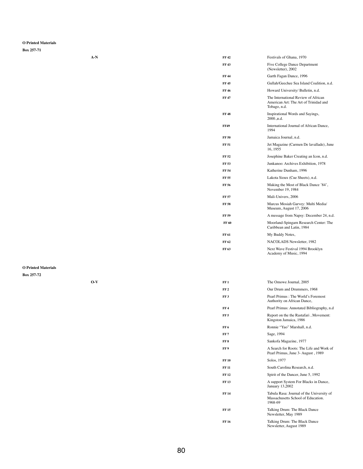## **O Printed Materials**

**Box 257-71**

| $A-N$ | <b>FF42</b>  | Festivals of Ghana, 1970                                                                     |
|-------|--------------|----------------------------------------------------------------------------------------------|
|       | <b>FF43</b>  | <b>Five College Dance Department</b><br>(Newsletter), 2002                                   |
|       | <b>FF44</b>  | Garth Fagan Dance, 1996                                                                      |
|       | <b>FF45</b>  | Gullah/Geechee Sea Island Coalition, n.d.                                                    |
|       | <b>FF46</b>  | Howard University/Bulletin, n.d.                                                             |
|       | <b>FF47</b>  | The International Review of African<br>American Art: The Art of Trinidad and<br>Tobago, n.d. |
|       | <b>FF48</b>  | Inspirational Words and Sayings,<br>2000.,n.d.                                               |
|       | <b>FF49</b>  | International Journal of African Dance,<br>1994                                              |
|       | <b>FF 50</b> | Jamaica Journal, n.d.                                                                        |
|       | <b>FF 51</b> | Jet Magazine (Carmen De lavallade), June<br>16, 1955                                         |
|       | <b>FF 52</b> | Josephine Baker Creating an Icon, n.d.                                                       |
|       | <b>FF 53</b> | Junkanoo: Archives Exhibition, 1978                                                          |
|       | <b>FF 54</b> | Katherine Dunham, 1996                                                                       |
|       | <b>FF 55</b> | Lakota Sioux (Cue Sheets), n.d.                                                              |
|       | <b>FF 56</b> | Making the Most of Black Dance '84',<br>November 19, 1984                                    |
|       | <b>FF 57</b> | Mali-Univers, 2006                                                                           |
|       | <b>FF 58</b> | Marcus Mosiah Garvey: Multi Media/<br>Museum, August 17, 2006                                |
|       | <b>FF 59</b> | A message from Napsy: December 24, n.d.                                                      |
|       | <b>FF 60</b> | Moorland-Spingarn Research Center: The<br>Caribbean and Latin, 1984                          |
|       | <b>FF 61</b> | My Buddy Notes,                                                                              |
|       | FF 62        | NACOLADS Newsletter, 1982                                                                    |
|       | FF 63        | Next Wave Festival 1994 Brooklyn<br>Academy of Music, 1994                                   |
|       |              |                                                                                              |

## **O Printed Materials**

| $O-V$ | FF | The Omowe Journal, 2005     |
|-------|----|-----------------------------|
|       | FF | Our Drum and Drummers, 1968 |

| FF 3         | Pearl Primus: The World's Foremost<br>Authority on African Dance,                          |
|--------------|--------------------------------------------------------------------------------------------|
| FF 4         | Pearl Primus: Annotated Bibliography, n.d                                                  |
| FF 5         | Report on the the Rastafari, Movement:<br>Kingston Jamaica, 1986                           |
| FF 6         | Ronnie "Yao" Marshall, n.d.                                                                |
| FF 7         | Sage, 1994                                                                                 |
| FF 8         | Sankofa Magazine, 1977                                                                     |
| FF 9         | A Search for Roots: The Life and Work of<br>Pearl Primus, June 3- August, 1989             |
| <b>FF 10</b> | Solos, 1977                                                                                |
| FF 11        | South Carolina Research, n.d.                                                              |
| FF 12        | Spirit of the Dancer, June 5, 1992                                                         |
| <b>FF 13</b> | A support System For Blacks in Dance,<br>January 13,2002                                   |
| FF 14        | Tabula Rasa: Journal of the University of<br>Massachusetts School of Education.<br>1968-69 |
| FF 15        | Talking Drum: The Black Dance<br>Newsletter, May 1989                                      |
| FF 16        | Talking Drum: The Black Dance<br>Newsletter, August 1989                                   |
|              |                                                                                            |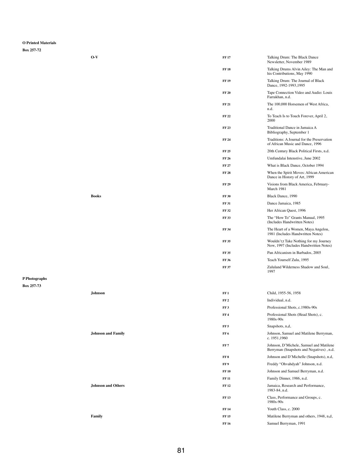## **O Printed Materials**

**Box 257-72**

| $O-V$        | <b>FF17</b>  | Talking Drum: The Black Dance<br>Newsletter, November 1989                       |
|--------------|--------------|----------------------------------------------------------------------------------|
|              | <b>FF18</b>  | Talking Drums Alvin Ailey: The Man and<br>his Contributions, May 1990            |
|              | <b>FF19</b>  | Talking Drum: The Journal of Black<br>Dance, 1992-1993, 1995                     |
|              | <b>FF 20</b> | Tape Connection Video and Audio: Louis<br>Farrakhan, n.d.                        |
|              | <b>FF 21</b> | The 100,000 Horsemen of West Africa,<br>n.d.                                     |
|              | <b>FF22</b>  | To Teach Is to Touch Forever, April 2,<br>2000                                   |
|              | <b>FF23</b>  | Traditional Dance in Jamaica A<br>Bibliography, September 1                      |
|              | <b>FF 24</b> | Traditions: A Journal for the Preservation<br>of African Music and Dance, 1996   |
|              | <b>FF 25</b> | 20th Century Black Political Firsts, n.d.                                        |
|              | <b>FF 26</b> | Umfundalai Intenstive, June 2002                                                 |
|              | <b>FF 27</b> | What is Black Dance, October 1994                                                |
|              | <b>FF28</b>  | When the Spirit Moves: African American<br>Dance in History of Art, 1999         |
|              | <b>FF 29</b> | Visions from Black America, February-<br>March 1981                              |
| <b>Books</b> | <b>FF 30</b> | Black Dance, 1990                                                                |
|              | <b>FF 31</b> | Dance Jamaica, 1985                                                              |
|              | <b>FF32</b>  | Her African Quest, 1996                                                          |
|              | <b>FF33</b>  | The "How To" Grants Manual, 1995<br>(Includes Handwritten Notes)                 |
|              | <b>FF 34</b> | The Heart of a Women, Maya Angelou,<br>1981 (Includes Handwritten Notes)         |
|              | <b>FF35</b>  | Wouldn't;t Take Nothing for my Journey<br>Now, 1997 (Includes Handwritten Notes) |
|              | <b>FF35</b>  | Pan Africanism in Barbados, 2005                                                 |
|              | <b>FF 36</b> | Teach Yourself Zulu, 1995                                                        |
|              | <b>FF 37</b> | Zululand Wilderness Shadow and Soul,<br>1997                                     |

**P Photographs**

| <b>Johnson</b>            | FF1             | Child, 1955-56, 1958                                                                |
|---------------------------|-----------------|-------------------------------------------------------------------------------------|
|                           | FF <sub>2</sub> | Individual, n.d.                                                                    |
|                           | FF3             | Professional Shots, c.1980s-90s                                                     |
|                           | FF <sub>4</sub> | Professional Shots (Head Shots), c.<br>1980s-90s                                    |
|                           | FF <sub>5</sub> | Snapshots, n,d,                                                                     |
| <b>Johnson and Family</b> | FF <sub>6</sub> | Johnson, Samuel and Matilene Berryman,<br>c. 1951,1960                              |
|                           | FF <sub>7</sub> | Johnson, D'Michele, Samuel and Matilene<br>Berryman (Snapshots and Negatives), n.d. |
|                           | FF <sub>8</sub> | Johnson and D'Michelle (Snapshots), n.d,                                            |
|                           | FF9             | Freddy "Ohvahdyah" Johnson, n.d.                                                    |
|                           | <b>FF10</b>     | Johnson and Samuel Berryman, n.d.                                                   |
|                           | <b>FF 11</b>    | Family Dinner, 1986, n.d.                                                           |
| <b>Johnson and Others</b> | <b>FF 12</b>    | Jamaica, Research and Performance,<br>1983-84, n.d.                                 |
|                           | <b>FF13</b>     | Class, Performance and Groups, c.<br>1980s-90s                                      |
|                           | <b>FF14</b>     | Youth Class, c. 2000                                                                |
| <b>Family</b>             | <b>FF15</b>     | Matilene Berryman and others, 1948, n,d,                                            |
|                           | <b>FF16</b>     | Samuel Berryman, 1991                                                               |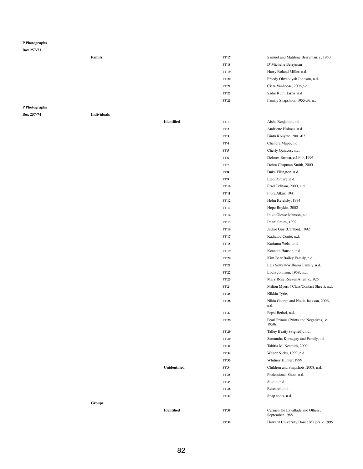#### **Box 257-73**

| Family | <b>FF17</b>  | Samuel and Matilene Berryman, c. 1950 |
|--------|--------------|---------------------------------------|
|        | <b>FF18</b>  | D'Michelle Berryman                   |
|        | <b>FF 19</b> | Harry Roland Miller, n.d.             |
|        | <b>FF 20</b> | Freedy Ohvahdyah Johnson, n.d.        |
|        | <b>FF 21</b> | Ciera Vanhoose, 2006, n.d.            |
|        | <b>FF 22</b> | Sadie Ruth Harris, n.d.               |
|        | <b>FF23</b>  | Family Snapshots, 1955-56, n          |

# **P Photographs**

**Box 257-74 Individuals**

| <b>Identified</b>   | FF1             | Aisha Benjamin, n.d.                             |
|---------------------|-----------------|--------------------------------------------------|
|                     | FF <sub>2</sub> | Andriette Holmes, n.d.                           |
|                     | FF3             | Bintu Kouyate, 2001-02                           |
|                     | FF <sub>4</sub> | Chandra Mapp, n.d.                               |
|                     | FF <sub>5</sub> | Cherly Quiacos, n.d.                             |
|                     | FF <sub>6</sub> | Delores Brown, c.1940, 1996                      |
|                     | FF7             | Debra Chapman Smith, 2000                        |
|                     | FF 8            | Duke Ellington, n.d.                             |
|                     | FF9             | Eleo Pomare, n.d.                                |
|                     | <b>FF10</b>     | Errol Pelham, 2000, n.d.                         |
|                     | <b>FF 11</b>    | Flora Atkin, 1941                                |
|                     | <b>FF12</b>     | Helm Kelelsby, 1994                              |
|                     | <b>FF13</b>     | Hope Boykin, 2002                                |
|                     | <b>FF14</b>     | Iniko Glesse Johnson, n.d.                       |
|                     | <b>FF15</b>     | Imani Smith, 1992                                |
|                     | <b>FF16</b>     | Jackie Guy (Carlton), 1992                       |
|                     | <b>FF17</b>     | Kadiatou Conté, n.d.                             |
|                     | <b>FF18</b>     | Kariamu Welsh, n.d.                              |
|                     | <b>FF 19</b>    | Kenneth Hanson, n.d.                             |
|                     | <b>FF 20</b>    | Kim Bear Bailey Family, n.d.                     |
|                     | <b>FF 21</b>    | Lela Sewell-Williams Family, n.d.                |
|                     | <b>FF 22</b>    | Louis Johnson, 1958, n.d.                        |
|                     | <b>FF 23</b>    | Mary Rose Reeves Allen, c.1925                   |
|                     | <b>FF 24</b>    | Milton Myers (Class/Contact Sheet), n.d.         |
|                     | <b>FF 25</b>    | Nikkia Tyrie,                                    |
|                     | <b>FF 26</b>    | Nikia George and Nokia Jackson, 2006,<br>n.d.    |
|                     | <b>FF 27</b>    | Pepsi Bethel, n.d.                               |
|                     | <b>FF 28</b>    | Pearl Primus (Prints and Negatives), c.<br>1950s |
|                     | <b>FF 29</b>    | Talley Beatty (Signed), n.d.                     |
|                     | <b>FF 30</b>    | Samantha Kornegay and Family, n.d.               |
|                     | <b>FF 31</b>    | Tahitia M. Nesmith, 2000                         |
|                     | <b>FF32</b>     | Walter Nicks, 1999, n.d.                         |
|                     | <b>FF33</b>     | Whitney Hunter, 1999                             |
| <b>Unidentified</b> | <b>FF 34</b>    | Children and Snapshots, 2008, n.d.               |
|                     | <b>FF35</b>     | Professional Shots, n.d.                         |
|                     | <b>FF35</b>     | Studio, n.d.                                     |
|                     | <b>FF36</b>     | Research, n.d.                                   |
|                     | <b>FF 37</b>    | Snap shots, n.d.                                 |
| <b>Identified</b>   | <b>FF38</b>     | Carmen De Lavallade and Others<br>September 1988 |
|                     | <b>FF 39</b>    | Howard University Dance Majors, c.1995           |

**Groups**

| 17 | Samuel and Matilene Berryman, c. 1950 |
|----|---------------------------------------|
| 18 | D'Michelle Berryman                   |
| 19 | Harry Roland Miller, n.d.             |
| 20 | Freedy Ohvahdyah Johnson, n.d.        |
| 21 | Ciera Vanhoose, 2006, n.d.            |
| 22 | Sadie Ruth Harris, n.d.               |
| 23 | Family Snapshots, 1955-56, n          |
|    |                                       |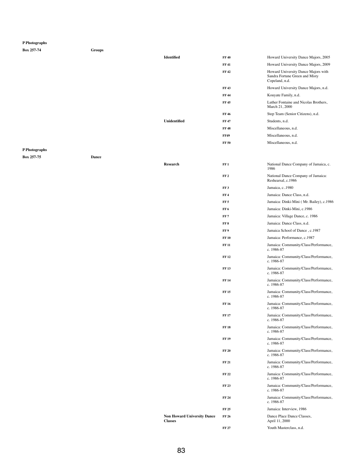| Box 257-74    | <b>Groups</b> |                     |                 |                                                                                         |
|---------------|---------------|---------------------|-----------------|-----------------------------------------------------------------------------------------|
|               |               | <b>Identified</b>   | <b>FF 40</b>    | Howard University Dance Majors, 2005                                                    |
|               |               |                     | <b>FF41</b>     | Howard University Dance Majors, 2009                                                    |
|               |               |                     | <b>FF42</b>     | Howard University Dance Majors with<br>Sandra Fortune Green and Misty<br>Copeland, n.d. |
|               |               |                     | <b>FF43</b>     | Howard University Dance Majors, n.d.                                                    |
|               |               |                     | <b>FF 44</b>    | Kouyate Family, n.d.                                                                    |
|               |               |                     | <b>FF45</b>     | Luther Fontaine and Nicolas Brothers,<br>March 21, 2000                                 |
|               |               |                     | <b>FF 46</b>    | Step Team (Senior Citizens), n.d.                                                       |
|               |               | <b>Unidentified</b> | <b>FF47</b>     | Students, n.d.                                                                          |
|               |               |                     | <b>FF48</b>     | Miscellaneous, n.d.                                                                     |
|               |               |                     | <b>FF49</b>     | Miscellaneous, n.d.                                                                     |
|               |               |                     | <b>FF 50</b>    | Miscellaneous, n.d.                                                                     |
| P Photographs |               |                     |                 |                                                                                         |
| Box 257-75    | <b>Dance</b>  |                     |                 |                                                                                         |
|               |               | <b>Research</b>     | FF1             | National Dance Company of Jamaica, c.<br>1986                                           |
|               |               |                     | FF <sub>2</sub> | National Dance Company of Jamaica:<br>Reshearsal, c.1986                                |
|               |               |                     | FF <sub>3</sub> | Jamaica, c1980                                                                          |
|               |               |                     | FF <sub>4</sub> | Jamaica: Dance Class, n.d.                                                              |
|               |               |                     | FF <sub>5</sub> | Jamaica: Dinki-Mini (Mr. Bailey), c.1986                                                |
|               |               |                     | FF <sub>6</sub> | Jamaica: Dinki-Mini, c.1986                                                             |
|               |               |                     | FF <sub>7</sub> | Jamaica: Village Dance, c. 1986                                                         |
|               |               |                     | FF8             | Jamaica: Dance Class, n.d.                                                              |
|               |               |                     | FF9             | Jamaica School of Dance, c.1987                                                         |
|               |               |                     | <b>FF 10</b>    | Jamaica: Performance, c.1987                                                            |
|               |               |                     | <b>FF 11</b>    | Jamaica: Community/Class/Performance,<br>c. $1986-87$                                   |
|               |               |                     | <b>FF 12</b>    | Jamaica: Community/Class/Performance,<br>c. 1986-87                                     |

**FF 13** Jamaica: Community/Class/Performance, c. 1986-87 **FF 14** Jamaica: Community/Class/Performance, c. 1986-87

**FF 15** Jamaica: Community/Class/Performance,

|                                                      |              | c. 1986-87                                          |
|------------------------------------------------------|--------------|-----------------------------------------------------|
|                                                      | <b>FF16</b>  | Jamaica: Community/Class/Performance,<br>c. 1986-87 |
|                                                      | <b>FF17</b>  | Jamaica: Community/Class/Performance,<br>c. 1986-87 |
|                                                      | <b>FF18</b>  | Jamaica: Community/Class/Performance,<br>c. 1986-87 |
|                                                      | <b>FF19</b>  | Jamaica: Community/Class/Performance,<br>c. 1986-87 |
|                                                      | <b>FF 20</b> | Jamaica: Community/Class/Performance,<br>c. 1986-87 |
|                                                      | <b>FF 21</b> | Jamaica: Community/Class/Performance,<br>c. 1986-87 |
|                                                      | <b>FF22</b>  | Jamaica: Community/Class/Performance,<br>c. 1986-87 |
|                                                      | <b>FF23</b>  | Jamaica: Community/Class/Performance,<br>c. 1986-87 |
|                                                      | <b>FF 24</b> | Jamaica: Community/Class/Performance,<br>c. 1986-87 |
|                                                      | <b>FF 25</b> | Jamaica: Interview, 1986                            |
| <b>Non Howard University Dance</b><br><b>Classes</b> | <b>FF 26</b> | Dance Place Dance Classes,<br>April 11, 2000        |
|                                                      | <b>FF 27</b> | Youth Masterclass, n.d.                             |
|                                                      |              |                                                     |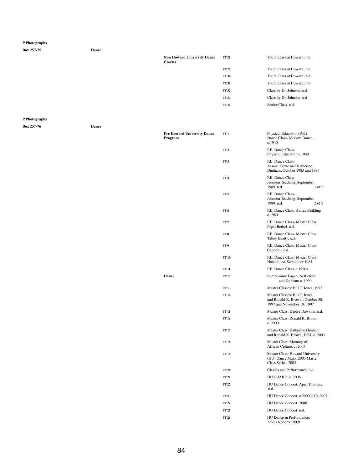| Box 257-75    | <b>Dance</b> |                                                      |                 |                                                                  |
|---------------|--------------|------------------------------------------------------|-----------------|------------------------------------------------------------------|
|               |              | <b>Non Howard University Dance</b><br><b>Classes</b> | <b>FF 28</b>    | Youth Class at Howard, n.d.                                      |
|               |              |                                                      | <b>FF 29</b>    | Youth Class at Howard, n.d.                                      |
|               |              |                                                      | <b>FF 30</b>    | Youth Class at Howard, n.d.                                      |
|               |              |                                                      | <b>FF 31</b>    | Youth Class at Howard, n.d.                                      |
|               |              |                                                      | <b>FF 32</b>    | Class by Dr. Johnson, n.d                                        |
|               |              |                                                      | <b>FF 33</b>    | Class by Dr. Johnson, n.d                                        |
|               |              |                                                      | <b>FF 34</b>    | Senior Class, n.d.                                               |
| P Photographs |              |                                                      |                 |                                                                  |
| Box 257-76    | <b>Dance</b> |                                                      |                 |                                                                  |
|               |              | <b>Pre Howard University Dance</b><br>Program        | FF1             | Physical Education (P.E.)<br>Dance Class- Modern Dance<br>c.1940 |
|               |              |                                                      | FF <sub>2</sub> | P.E. Dance Class-<br>Physical Education c 1940                   |

|                                        | <b>FF 34</b>    | Senior Class, n.d.                                                                              |
|----------------------------------------|-----------------|-------------------------------------------------------------------------------------------------|
|                                        |                 |                                                                                                 |
| Pre Howard University Dance<br>Program | FF1             | Physical Education (P.E.)<br>Dance Class-Modern Dance,<br>c.1940                                |
|                                        | FF <sub>2</sub> | P.E. Dance Class-<br>Physical Education c.1940                                                  |
|                                        | FF <sub>3</sub> | P.E. Dance Class-<br>Assane Konte and Katherine<br>Dunham, October 1983 and 1984                |
|                                        | FF <sub>4</sub> | P.E. Dance Class-<br>Johnson Teaching, September<br>1989, n.d.<br>$1$ of $2$                    |
|                                        | FF <sub>5</sub> | P.E. Dance Class-<br>Johnson Teaching, September<br>$2$ of $2$<br>1989, n.d.                    |
|                                        | FF <sub>6</sub> | P.E. Dance Class-Annex Building<br>c.1980                                                       |
|                                        | FF <sub>7</sub> | P.E. Dance Class- Master Class:<br>Pepsi Bethel, n.d.                                           |
|                                        | FF <sub>8</sub> | P.E. Dance Class- Master Class:<br>Talley Beatty, n.d.                                          |
|                                        | FF9             | P.E. Dance Class- Master Class:<br>Capoeira, n.d.                                               |
|                                        | <b>FF 10</b>    | P.E. Dance Class- Master Class:<br>Handdance, September 1984                                    |
|                                        | <b>FF11</b>     | P.E. Dance Class, c.1990s                                                                       |
| <b>Dance</b>                           | <b>FF12</b>     | Symposium: Fagan, Nettleford<br>and Dunham c. 1990                                              |
|                                        | <b>FF13</b>     | Master Classes: Bill T. Jones, 1997                                                             |
|                                        | <b>FF14</b>     | Master Classes: Bill T. Jones<br>and Ronald K. Brown, October 30,<br>1997 and November 18, 1997 |
|                                        | <b>FF15</b>     | Master Class: Deidre Dawkins, n.d.                                                              |
|                                        | <b>FF16</b>     | Master Class: Ronald K. Brown,<br>c. 2000                                                       |
|                                        | <b>FF17</b>     | Master Class: Katherine Dunham<br>and Ronald K. Brown, 1984, c. 2003                            |
|                                        | <b>FF18</b>     | Master Class: Memory of<br>African Culture, c. 2003                                             |
|                                        | <b>FF19</b>     | Master Class: Howard University<br>(HU) Dance Major 2003 Master<br>Class Series, 2003           |
|                                        | <b>FF 20</b>    | Classes and Performance, n.d.                                                                   |
|                                        | <b>FF 21</b>    | HU at IABD, c. 2006                                                                             |
|                                        | <b>FF22</b>     | HU Dance Concert: April Thomas,<br>n.d.                                                         |
|                                        | <b>FF 23</b>    | HU Dance Concert, c.2000, 2004, 2007,                                                           |
|                                        | <b>FF 24</b>    | HU Dance Concert, 2006                                                                          |
|                                        | <b>FF 25</b>    | HU Dance Concert, n.d.                                                                          |
|                                        | <b>FF 26</b>    | HU Dance in Performance:<br>Shola Roberts. 2009                                                 |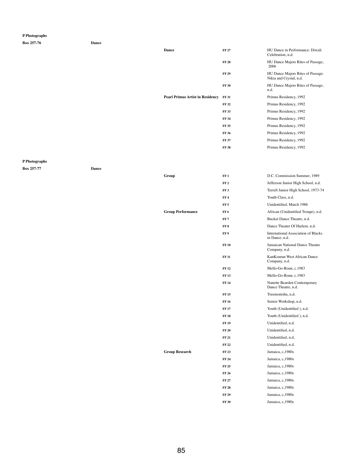**Box 257-76 Dance**

**Dance FF 27 HU** Dance in Performance: Diwali

Celebration, n.d.

**FF 28** HU Dance Majors Rites of Passage, 2006

**FF 29** HU Dance Majors Rites of Passage:

Nikia and Crystal, n.d.

|                                         |              | TAIKIA AHU CI YSIAI, II.U.                |
|-----------------------------------------|--------------|-------------------------------------------|
|                                         | <b>FF 30</b> | HU Dance Majors Rites of Passage,<br>n.d. |
| <b>Pearl Primus Artist in Residency</b> | <b>FF 31</b> | Primus Residency, 1992                    |
|                                         | <b>FF 32</b> | Primus Residency, 1992                    |
|                                         | <b>FF33</b>  | Primus Residency, 1992                    |
|                                         | <b>FF 34</b> | Primus Residency, 1992                    |
|                                         | <b>FF35</b>  | Primus Residency, 1992                    |
|                                         | <b>FF 36</b> | Primus Residency, 1992                    |
|                                         | <b>FF 37</b> | Primus Residency, 1992                    |
|                                         | <b>FF38</b>  | Primus Residency, 1992                    |

## **P Photographs**

**Box 257-77 Dance**

| Group                    | FF1             | D.C. Commission Summer, 1989                                 |
|--------------------------|-----------------|--------------------------------------------------------------|
|                          | FF <sub>2</sub> | Jefferson Junior High School, n.d.                           |
|                          | FF <sub>3</sub> | Terrell Junior High School, 1973-74                          |
|                          | FF <sub>4</sub> | Youth Class, n.d.                                            |
|                          | FF <sub>5</sub> | Unidentified, March 1986                                     |
| <b>Group Performance</b> | FF <sub>6</sub> | African (Unidentified Troupe), n.d.                          |
|                          | FF <sub>7</sub> | Bucket Dance Theatre, n.d.                                   |
|                          | FF <sub>8</sub> | Dance Theater Of Harlem, n.d.                                |
|                          | FF <sub>9</sub> | <b>International Association of Blacks</b><br>in Dance, n.d. |
|                          | <b>FF10</b>     | Jamaican National Dance Theatre<br>Company, n.d.             |
|                          | <b>FF11</b>     | KanKouran West African Dance<br>Company, n.d.                |
|                          | <b>FF12</b>     | Mello-Go-Roun, c.1983                                        |
|                          | <b>FF13</b>     | Mello-Go-Roun, c.1983                                        |
|                          | <b>FF14</b>     | Nanette Bearden Contemporary<br>Dance Theatre, n.d.          |
|                          | <b>FF15</b>     | Treemonisha, n.d.                                            |
|                          | <b>FF16</b>     | Senior Workshop, n.d.                                        |
|                          | <b>FF17</b>     | Youth (Unidentified), n.d.                                   |
|                          | <b>FF18</b>     | Youth (Unidentified), n.d.                                   |
|                          | <b>FF 19</b>    | Unidentified, n.d.                                           |
|                          | <b>FF 20</b>    | Unidentified, n.d.                                           |
|                          | <b>FF 21</b>    | Unidentified, n.d.                                           |
|                          | <b>FF 22</b>    | Unidentified, n.d.                                           |
| <b>Group Research</b>    | <b>FF 23</b>    | Jamaica, c, 1980s                                            |
|                          | <b>FF 24</b>    | Jamaica, c, 1980s                                            |
|                          | <b>FF 25</b>    | Jamaica, c, 1980s                                            |
|                          | <b>FF 26</b>    | Jamaica, c, 1980s                                            |
|                          | <b>FF 27</b>    | Jamaica, c, 1980s                                            |
|                          | <b>FF 28</b>    | Jamaica, c, 1980s                                            |
|                          | <b>FF 29</b>    | Jamaica, c, 1980s                                            |
|                          | <b>FF 30</b>    | Jamaica, c, 1980s                                            |

85

**Group Research**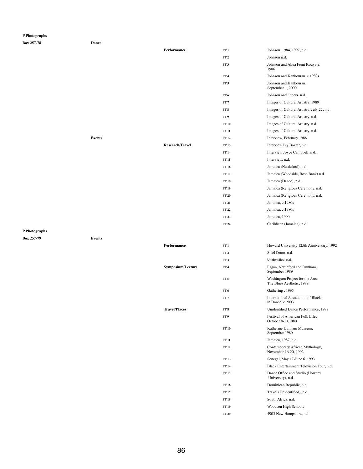| P Photographs     |              |
|-------------------|--------------|
| <b>Box 257-78</b> | <b>Dance</b> |

|                   |               | Performance            | FF1             | Johnson, 1984, 1997, n.d.                   |
|-------------------|---------------|------------------------|-----------------|---------------------------------------------|
|                   |               |                        | FF <sub>2</sub> | Johnson n.d.                                |
|                   |               |                        | FF <sub>3</sub> | Johnson and Akua Femi Kouyate,<br>1986      |
|                   |               |                        | FF4             | Johnson and Kankouran, c.1980s              |
|                   |               |                        | FF <sub>5</sub> | Johnson and Kankouran,<br>September 1, 2000 |
|                   |               |                        | FF <sub>6</sub> | Johnson and Others, n.d.                    |
|                   |               |                        | FF <sub>7</sub> | Images of Cultural Artistry, 1989           |
|                   |               |                        | FF 8            | Images of Cultural Artistry, July 22, n.d.  |
|                   |               |                        | FF9             | Images of Cultural Artistry, n.d.           |
|                   |               |                        | <b>FF 10</b>    | Images of Cultural Artistry, n.d.           |
|                   |               |                        | <b>FF 11</b>    | Images of Cultural Artistry, n.d.           |
|                   | <b>Events</b> |                        | <b>FF 12</b>    | Interview, February 1988                    |
|                   |               | <b>Research/Travel</b> | <b>FF13</b>     | Interview Ivy Baxter, n.d.                  |
|                   |               |                        | <b>FF 14</b>    | Interview Joyce Campbell, n.d.              |
|                   |               |                        | <b>FF 15</b>    | Interview, n.d.                             |
|                   |               |                        | <b>FF 16</b>    | Jamaica (Nettleford), n.d.                  |
|                   |               |                        | <b>FF 17</b>    | Jamaica (Woodside, Rose Bank) n.d.          |
|                   |               |                        | <b>FF18</b>     | Jamaica (Dance), n.d.                       |
|                   |               |                        | <b>FF 19</b>    | Jamaica (Religious Ceremony, n.d.           |
|                   |               |                        | <b>FF 20</b>    | Jamaica (Religious Ceremony, n.d.           |
|                   |               |                        | <b>FF 21</b>    | Jamaica, c.1980s                            |
|                   |               |                        | <b>FF 22</b>    | Jamaica, c.1980s                            |
|                   |               |                        | <b>FF 23</b>    | Jamaica, 1990                               |
|                   |               |                        | <b>FF 24</b>    | Caribbean (Jamaica), n.d.                   |
| P Photographs     |               |                        |                 |                                             |
| <b>Box 257-79</b> | <b>Events</b> |                        |                 |                                             |
|                   |               | Performance            | FF1             | Howard University 125th Anniversary, 1992   |
|                   |               |                        | <b>TITLE</b>    | $\alpha_{t+1}$ D.                           |

|                          | FF <sub>2</sub> | Steel Drum, n.d.                                              |
|--------------------------|-----------------|---------------------------------------------------------------|
|                          | FF3             | Unidentified, n.d.                                            |
| <b>Symposium/Lecture</b> | FF 4            | Fagan, Nettleford and Dunham,<br>September 1989               |
|                          | <b>FF 5</b>     | Washington Project for the Arts:<br>The Blues Aesthetic, 1989 |

**FF 6** Gathering , 1995

| FF7          | <b>International Association of Blacks</b><br>in Dance, c.2003 |
|--------------|----------------------------------------------------------------|
| FF8          | Unidentified Dance Performance, 1979                           |
| FF 9         | Festival of American Folk Life,<br>October 8-13,1980           |
| <b>FF10</b>  | Katherine Dunham Museum,<br>September 1980                     |
| <b>FF</b> 11 | Jamaica, 1987, n.d.                                            |
| <b>FF12</b>  | Contemporary African Mythology,<br>November 16-20, 1992        |
| <b>FF13</b>  | Senegal, May 17-June 6, 1993                                   |
| <b>FF</b> 14 | Black Entertainment Television Tour, n.d.                      |
| <b>FF15</b>  | Dance Office and Studio (Howard<br>University), n.d.           |
| <b>FF</b> 16 | Dominican Republic, n.d.                                       |
| <b>FF</b> 17 | Travel (Unidentified), n.d.                                    |
| <b>FF18</b>  | South Africa, n.d.                                             |
| <b>FF 19</b> | Woodson High School,                                           |
| <b>FF 20</b> | 4903 New Hampshire, n.d.                                       |

 $Travel/Places$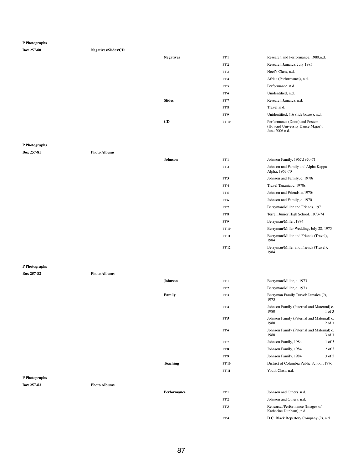| <b>Box 257-80</b> | <b>Negatives/Slides/CD</b> |                  |                 |                                                                                      |
|-------------------|----------------------------|------------------|-----------------|--------------------------------------------------------------------------------------|
|                   |                            | <b>Negatives</b> | FF1             | Research and Performance, 1980,n.d.                                                  |
|                   |                            |                  | FF <sub>2</sub> | Research Jamaica, July 1985                                                          |
|                   |                            |                  | FF3             | Noel's Class, n.d.                                                                   |
|                   |                            |                  | FF <sub>4</sub> | Africa (Performance), n.d.                                                           |
|                   |                            |                  | FF <sub>5</sub> | Performance, n.d.                                                                    |
|                   |                            |                  | FF6             | Unidentified, n.d.                                                                   |
|                   |                            | <b>Slides</b>    | FF <sub>7</sub> | Research Jamaica, n.d.                                                               |
|                   |                            |                  | FF8             | Travel, n.d.                                                                         |
|                   |                            |                  | FF 9            | Unidentified, (16 slide boxes), n.d.                                                 |
|                   |                            | CD               | <b>FF 10</b>    | Performance (Dono) and Posters<br>(Howard University Dance Major),<br>June 2006 n.d. |

# **P Photographs**

**Box 257-81 Photo Albums**

| Johnson | FF1             | Johnson Family, 1967, 1970-71                        |
|---------|-----------------|------------------------------------------------------|
|         | FF <sub>2</sub> | Johnson and Family and Alpha Kappa<br>Alpha, 1967-70 |
|         | FF3             | Johnson and Family, c. 1970s                         |
|         | FF <sub>4</sub> | Travel Tanania, c. 1970s                             |
|         | FF <sub>5</sub> | Johnson and Friends, c.1970s                         |
|         | FF <sub>6</sub> | Johnson and Family, c. 1970                          |
|         | FF <sub>7</sub> | Berryman/Miller and Friends, 1971                    |
|         | FF8             | Terrell Junior High School, 1973-74                  |
|         | FF 9            | Berryman/Miller, 1974                                |
|         | <b>FF 10</b>    | Berryman/Miller Wedding, July 28, 1975               |
|         | <b>FF 11</b>    | Berryman/Miller and Friends (Travel),<br>1984        |
|         | <b>FF12</b>     | Berryman/Miller and Friends (Travel),<br>1984        |

**FF 2** Johnson and Others, n.d.

## **P Photographs**

| Johnson | FF 1            | Berryman/Miller, c. 1973 |
|---------|-----------------|--------------------------|
|         | FF <sub>2</sub> | Berryman/Miller, c. 1973 |

|               |                     | Family             | FF3             | Berryman Family Travel: Jamaica (?),<br>1973      |            |
|---------------|---------------------|--------------------|-----------------|---------------------------------------------------|------------|
|               |                     |                    | FF4             | Johnson Family (Paternal and Maternal) c.<br>1980 | $1$ of $3$ |
|               |                     |                    | FF <sub>5</sub> | Johnson Family (Paternal and Maternal) c.<br>1980 | $2$ of $3$ |
|               |                     |                    | FF6             | Johnson Family (Paternal and Maternal) c.<br>1980 | $3$ of $3$ |
|               |                     |                    | FF <sub>7</sub> | Johnson Family, 1984                              | $1$ of $3$ |
|               |                     |                    | FF8             | Johnson Family, 1984                              | $2$ of $3$ |
|               |                     |                    | FF 9            | Johnson Family, 1984                              | 3 of 3     |
|               |                     | <b>Teaching</b>    | <b>FF 10</b>    | District of Columbia Public School, 1976          |            |
|               |                     |                    | <b>FF 11</b>    | Youth Class, n.d.                                 |            |
| P Photographs |                     |                    |                 |                                                   |            |
| Box 257-83    | <b>Photo Albums</b> |                    |                 |                                                   |            |
|               |                     | <b>Performance</b> | FF1             | Johnson and Others, n.d.                          |            |

**FF 3** Rehearsal/Performance (Images of

FF 4 D.C. Black Repertory Company (?), n.d.

Katherine Dunham), n.d.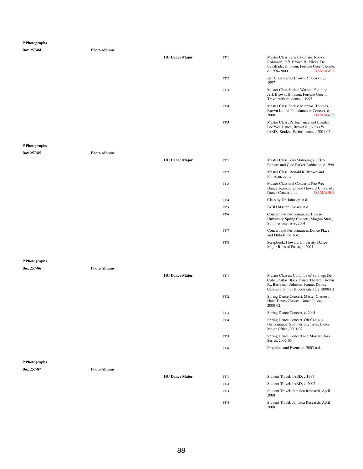```
Box 257-84 Photo Albums
```

| <b>HU Dance Major</b> | FF1             | Master Class Series: Pomare, Rooks,<br>Robinson, Jeff, Brown R., Nicks, De<br>Lavallade, Hinkson, Fortune Green, Konte,<br>c. $1994-2000$ | <b>DAMAGED</b> |
|-----------------------|-----------------|-------------------------------------------------------------------------------------------------------------------------------------------|----------------|
|                       | FF <sub>2</sub> | ster Class Series: Brown R., Boykin, c.<br>1997                                                                                           |                |
|                       | FF <sub>3</sub> | Master Class Series: Warren, Fontaine,<br>Jeff, Brown, Hinkson, Fortune Green,<br>Travel with Students, c.1997                            |                |
|                       | FF <sub>4</sub> | Master Class Series: Mtanzas, Thomas,<br>Brown K. and Philadanco in Concert, c.<br>2000                                                   | <b>DAMAGED</b> |
|                       | FF <sub>5</sub> | Master Class, Performance and Events:<br>Pee Wee Dance, Brown R., Nicks W.,<br>IABD, Student Performance, c.2001-02                       |                |

# **P Photographs**

**Box 257-85 Photo Albums**

|               |                     | <b>HU Dance Major</b> | FF1             | Master Class: Zab Maboungou, Eleo<br>Pomare and Cleo Parker Robinson, c.1996                                          |
|---------------|---------------------|-----------------------|-----------------|-----------------------------------------------------------------------------------------------------------------------|
|               |                     |                       | FF <sub>2</sub> | Master Class: Ronald K. Brown and<br>Philadanco, n.d.                                                                 |
|               |                     |                       | FF <sub>3</sub> | Master Class and Concerts: Pee Wee<br>Dance, Kankouran and Howard University<br><b>DAMAGED</b><br>Dance Concert, n.d. |
|               |                     |                       | FF <sub>4</sub> | Class by Dr. Johnson, n.d.                                                                                            |
|               |                     |                       | FF <sub>5</sub> | IABD Master Classes, n.d.                                                                                             |
|               |                     |                       | FF <sub>6</sub> | <b>Concert and Performances: Howard</b><br>University Spring Concert, Morgan State,<br>Summer Intensive, 2001         |
|               |                     |                       | FF7             | <b>Concert and Performances: Dance Place</b><br>and Philadanco, n.d.                                                  |
|               |                     |                       | FF8             | Scrapbook: Howard University Dance<br>Major Rites of Passage, 2004                                                    |
| P Photographs |                     |                       |                 |                                                                                                                       |
| Box 257-86    | <b>Photo Albums</b> |                       |                 |                                                                                                                       |
|               |                     | <b>HU Dance Major</b> | FF1             | Master Classes: Cutumba of Santiago De<br>Cuba, Dallas Black Dance Theatre, Brown                                     |

|               |                     |                       | FF <sub>2</sub> | Spring Dance Concert, Master Classes,<br>Hand Dance Classes, Dance Place,<br>2000-02:             |
|---------------|---------------------|-----------------------|-----------------|---------------------------------------------------------------------------------------------------|
|               |                     |                       | FF3             | Spring Dance Concert, c. 2001                                                                     |
|               |                     |                       | FF <sub>4</sub> | Spring Dance Concert, Off Campus<br>Performance, Summer Intensive, Dance<br>Major Office, 2001-02 |
|               |                     |                       | FF <sub>5</sub> | Spring Dance Concert and Master Class<br>Series, 2002-03                                          |
|               |                     |                       | FF <sub>6</sub> | Programs and Events, c. 2003 n.d.                                                                 |
|               |                     |                       |                 |                                                                                                   |
| P Photographs |                     |                       |                 |                                                                                                   |
| Box 257-87    | <b>Photo Albums</b> |                       |                 |                                                                                                   |
|               |                     | <b>HU Dance Major</b> | FF <sub>1</sub> | Student Travel: IABD, c.1997                                                                      |
|               |                     |                       | FF <sub>2</sub> | Student Travel: IABD, c. 2002                                                                     |
|               |                     |                       | FF3             | Student Travel: Jamaica Research, April<br>2008                                                   |
|               |                     |                       | FF <sub>4</sub> | Student Travel: Jamaica Research, April<br>2008                                                   |

R., Berryman Johnson, Konte, Davis, Capoeira, Smith K. Kouyate Tate, 2000-01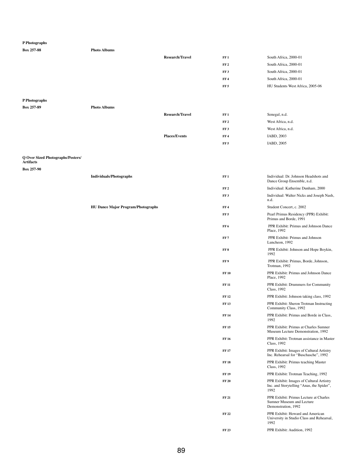| 1.1100081                                                                         |                                           |                        |                 |                                                                     |
|-----------------------------------------------------------------------------------|-------------------------------------------|------------------------|-----------------|---------------------------------------------------------------------|
| Box 257-88                                                                        | <b>Photo Albums</b>                       |                        |                 |                                                                     |
|                                                                                   |                                           | <b>Research/Travel</b> | FF1             | South Africa, 2000-01                                               |
|                                                                                   |                                           |                        | FF <sub>2</sub> | South Africa, 2000-01                                               |
|                                                                                   |                                           |                        | FF3             | South Africa, 2000-01                                               |
|                                                                                   |                                           |                        | FF <sub>4</sub> | South Africa, 2000-01                                               |
|                                                                                   |                                           |                        | FF <sub>5</sub> | HU Students West Africa, 2005-06                                    |
| P Photographs                                                                     |                                           |                        |                 |                                                                     |
| Box 257-89                                                                        | <b>Photo Albums</b>                       |                        |                 |                                                                     |
|                                                                                   |                                           | <b>Research/Travel</b> | FF1             | Senegal, n.d.                                                       |
|                                                                                   |                                           |                        | FF <sub>2</sub> | West Africa, n.d.                                                   |
|                                                                                   |                                           |                        | FF3             | West Africa, n.d.                                                   |
|                                                                                   |                                           | <b>Places/Events</b>   | FF <sub>4</sub> | IABD, 2003                                                          |
|                                                                                   |                                           |                        | FF <sub>5</sub> | IABD, 2005                                                          |
| <b>Q Over Sized Photographs/Posters/</b><br><b>Artifacts</b><br><b>Box 257-90</b> |                                           |                        |                 |                                                                     |
|                                                                                   | <b>Individuals/Photographs</b>            |                        | FF1             | Individual: Dr. Johnson Headshots and<br>Dance Group Ensemble, n.d. |
|                                                                                   |                                           |                        | FF <sub>2</sub> | Individual: Katherine Dunham, 2000                                  |
|                                                                                   |                                           |                        | FF3             | Individual: Walter Nicks and Joseph Nash,<br>n.d.                   |
|                                                                                   | <b>HU Dance Major Program/Photographs</b> |                        | FF <sub>4</sub> | Student Concert, c. 2002                                            |
|                                                                                   |                                           |                        | FF <sub>5</sub> | Pearl Primus Residency (PPR) Exhibit:<br>Primus and Borde, 1991     |
|                                                                                   |                                           |                        | FF <sub>6</sub> | PPR Exhibit: Primus and Johnson Dance<br>Place, 1992                |
|                                                                                   |                                           |                        | FF <sub>7</sub> | PPR Exhibit: Primus and Johnson<br>Luncheon, 1992                   |
|                                                                                   |                                           |                        | FF8             | PPR Exhibit: Johnson and Hope Boykin,<br>1992                       |
|                                                                                   |                                           |                        | FF 9            | PPR Exhibit: Primus, Borde, Johnson,<br>Trotman, 1992               |
|                                                                                   |                                           |                        | <b>FF 10</b>    | PPR Exhibit: Primus and Johnson Dance<br>Place, 1992                |

FF 11 PPR Exhibit: Drummers for Community Class, 1992

| <b>FF 12</b> | PPR Exhibit: Johnson taking class, 1992                                                              |
|--------------|------------------------------------------------------------------------------------------------------|
| <b>FF 13</b> | PPR Exhibit: Sheron Trotman Instructing<br>Community Class, 1992                                     |
| FF 14        | PPR Exhibit: Primus and Borde in Class,<br>1992                                                      |
| FF 15        | <b>PPR Exhibit: Primus at Charles Sumner</b><br>Museum Lecture Demonstration, 1992                   |
| FF 16        | PPR Exhibit: Trotman assistance in Master<br>Class, 1992                                             |
| <b>FF17</b>  | PPR Exhibit: Images of Cultural Artistry<br>Inc. Rehearsal for "Buschasche", 1992                    |
| <b>FF18</b>  | PPR Exhibit: Primus teaching Master<br><b>Class</b> , 1992                                           |
| FF 19        | PPR Exhibit: Trotman Teaching, 1992                                                                  |
| <b>FF 20</b> | <b>PPR Exhibit: Images of Cultural Artistry</b><br>Inc. and Storytelling "Anas, the Spider",<br>1992 |
| FF 21        | PPR Exhibit: Primus Lecture at Charles<br><b>Sumner Museum and Lecture</b><br>Demonstration, 1992    |
| FF 22        | PPR Exhibit: Howard and American<br>University in Studio Class and Rehearsal,<br>1992                |
| FF 23        | PPR Exhibit: Audition, 1992                                                                          |
|              |                                                                                                      |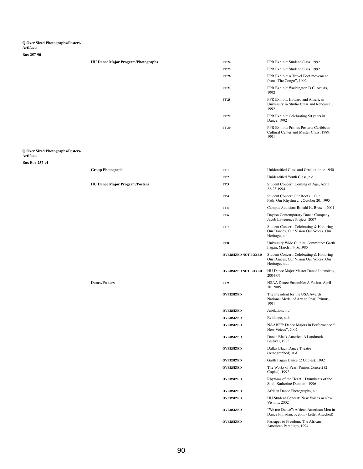# **Q Over Sized Photographs/Posters/**

## **Artifacts**

### **Box 257-90**

| <b>HU Dance Major Program/Photographs</b> | <b>FF 24</b> | PPR Exhibit: Student Class, 1992                                                          |
|-------------------------------------------|--------------|-------------------------------------------------------------------------------------------|
|                                           | <b>FF 25</b> | PPR Exhibit: Student Class, 1992                                                          |
|                                           | FF 26        | PPR Exhibit: A Travel Foot movement<br>from "The Congo", 1992                             |
|                                           | <b>FF 27</b> | PPR Exhibit: Washington D.C. Artists,<br>1992                                             |
|                                           | <b>FF 28</b> | PPR Exhibit: Howard and American<br>University in Studio Class and Rehearsal,<br>1992     |
|                                           | <b>FF 29</b> | PPR Exhibit: Celebrating 50 years in<br>Dance, 1992                                       |
|                                           | <b>FF 30</b> | PPR Exhibit: Primus Posters: Caribbean<br>Cultural Center and Master Class, 1989,<br>1991 |

### **Q Over Sized Photographs/Posters/ Artifacts**

## **Box Box 257-91**

| <b>Group Photograph</b>               | FF1                        | Unidentified Class and Graduation, c.1950                                                           |
|---------------------------------------|----------------------------|-----------------------------------------------------------------------------------------------------|
|                                       | FF <sub>2</sub>            | Unidentified Youth Class, n.d.                                                                      |
| <b>HU Dance Major Program/Posters</b> | FF3                        | Student Concert: Coming of Age, April<br>22-23,1994                                                 |
|                                       | FF <sub>4</sub>            | Student Concert:Our RootsOur<br>PathOur Rhythm , October 20, 1995                                   |
|                                       | FF <sub>5</sub>            | Campus Audition: Ronald K. Brown, 2001                                                              |
|                                       | FF <sub>6</sub>            | Dayton Contemporary Dance Company:<br>Jacob Lawerence Project, 2007                                 |
|                                       | FF7                        | Student Concert: Celebrating & Honoring<br>Our Dances, Our Vision Our Voices, Our<br>Heritage, n.d. |
|                                       | FF 8                       | University Wide Culture Committee: Garth<br>Fagan, March 14-16,1985                                 |
|                                       | <b>OVERSIZED NOT BOXED</b> | Student Concert: Celebrating & Honoring<br>Our Dances, Our Vision Our Voices, Our<br>Heritage, n.d. |
|                                       | <b>OVERSIZED NOT BOXED</b> | HU Dance Major Master Dance Intensives,<br>2004-09                                                  |
| <b>Dance/Posters</b>                  | FF <sub>9</sub>            | NSAA Dance Ensemble: A Fusion, April<br>30, 2005                                                    |
|                                       | <b>OVERSIZED</b>           | The President for the USA Awards<br>National Medal of Arts to Pearl Primus,<br>1991                 |
|                                       | <b>OVERSIZED</b>           | Jubilation, n d                                                                                     |
|                                       | <b>OVERSIZED</b>           | Evidence, n.d.                                                                                      |
|                                       | <b>OVERSIZED</b>           | NAABFE: Dance Majors in Performance "<br>New Voices", 2002                                          |
|                                       | <b>OVERSIZED</b>           | Dance Black America: A Landmark<br>Festival, 1983                                                   |
|                                       | <b>OVERSIZED</b>           | <b>Dallas Black Dance Theatre</b><br>(Autographed), n.d.                                            |
|                                       | <b>OVERSIZED</b>           | Garth Fagan Dance (2 Copies), 1992                                                                  |
|                                       | <b>OVERSIZED</b>           | The Works of Pearl Primus Concert (2)<br>Copies), 1992                                              |
|                                       | <b>OVERSIZED</b>           | Rhythms of the HeartDrumbeats of the<br>Soul: Katherine Dunham, 1996                                |
|                                       | <b>OVERSIZED</b>           | African Dance Photographs, n.d.                                                                     |
|                                       | <b>OVERSIZED</b>           | HU Student Concert: New Voices m New<br>Visions, 2002                                               |
|                                       | <b>OVERSIZED</b>           | "We too Dance": African American Men in<br>Dance Philadanco, 2005 (Letter Attached)                 |
|                                       | <b>OVERSIZED</b>           | Passages to Freedom: The African-<br>American Paradigm, 1994                                        |